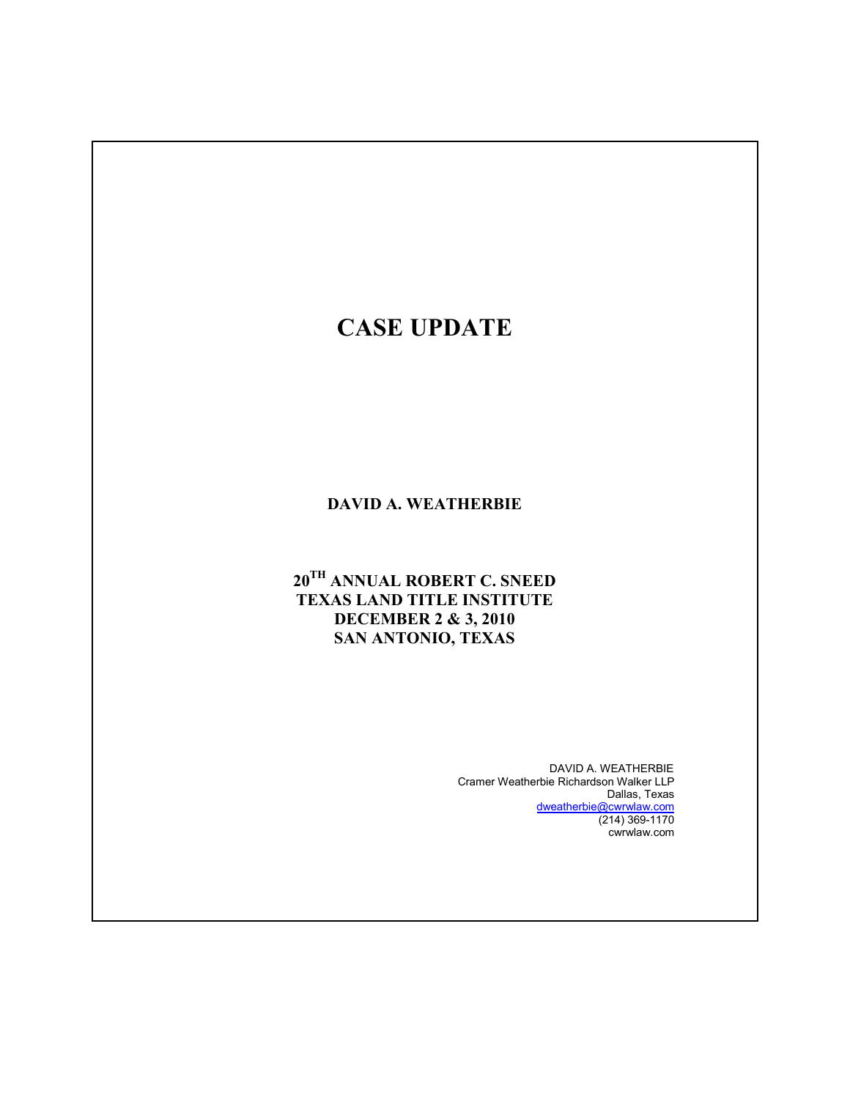# **CASE UPDATE**

### **DAVID A. WEATHERBIE**

# $20^{TH}$  ANNUAL ROBERT C. SNEED **TEXAS LAND TITLE INSTITUTE DECEMBER 2 & 3, 2010 SAN ANTONIO, TEXAS**

DAVID A. WEATHERBIE Cramer Weatherbie Richardson Walker LLP Dallas, Texas dweatherbie@cwrwlaw.com (214) 369-1170 cwrwlaw.com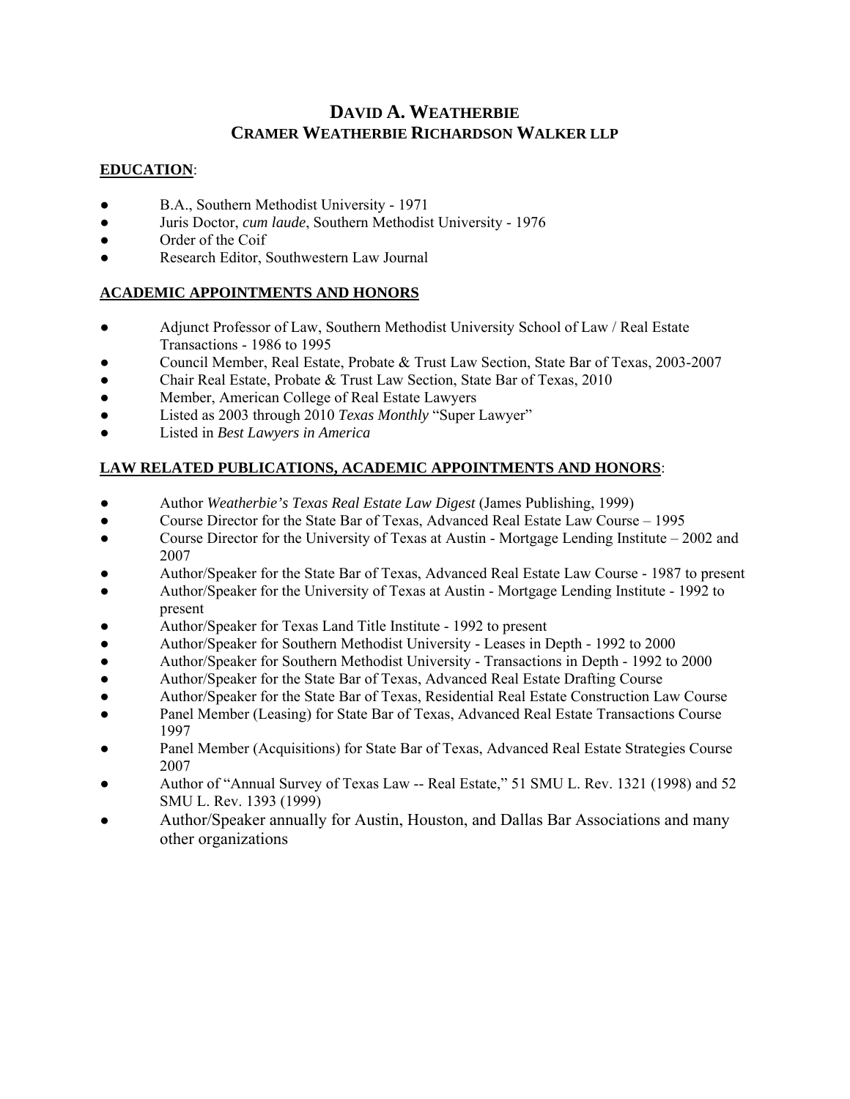# **DAVID A. WEATHERBIE CRAMER WEATHERBIE RICHARDSON WALKER LLP**

#### **EDUCATION**:

- B.A., Southern Methodist University 1971
- Juris Doctor, *cum laude*, Southern Methodist University 1976
- Order of the Coif
- Research Editor, Southwestern Law Journal

### **ACADEMIC APPOINTMENTS AND HONORS**

- Adjunct Professor of Law, Southern Methodist University School of Law / Real Estate Transactions - 1986 to 1995
- Council Member, Real Estate, Probate & Trust Law Section, State Bar of Texas, 2003-2007
- Chair Real Estate, Probate & Trust Law Section, State Bar of Texas, 2010
- Member, American College of Real Estate Lawyers
- Listed as 2003 through 2010 *Texas Monthly* "Super Lawyer"
- Listed in *Best Lawyers in America*

### **LAW RELATED PUBLICATIONS, ACADEMIC APPOINTMENTS AND HONORS**:

- Author *Weatherbie's Texas Real Estate Law Digest* (James Publishing, 1999)
- Course Director for the State Bar of Texas, Advanced Real Estate Law Course 1995
- Course Director for the University of Texas at Austin Mortgage Lending Institute 2002 and 2007
- Author/Speaker for the State Bar of Texas, Advanced Real Estate Law Course 1987 to present
- Author/Speaker for the University of Texas at Austin Mortgage Lending Institute 1992 to present
- Author/Speaker for Texas Land Title Institute 1992 to present
- Author/Speaker for Southern Methodist University Leases in Depth 1992 to 2000
- Author/Speaker for Southern Methodist University Transactions in Depth 1992 to 2000
- Author/Speaker for the State Bar of Texas, Advanced Real Estate Drafting Course
- Author/Speaker for the State Bar of Texas, Residential Real Estate Construction Law Course
- Panel Member (Leasing) for State Bar of Texas, Advanced Real Estate Transactions Course 1997
- Panel Member (Acquisitions) for State Bar of Texas, Advanced Real Estate Strategies Course 2007
- Author of "Annual Survey of Texas Law -- Real Estate," 51 SMU L. Rev. 1321 (1998) and 52 SMU L. Rev. 1393 (1999)
- Author/Speaker annually for Austin, Houston, and Dallas Bar Associations and many other organizations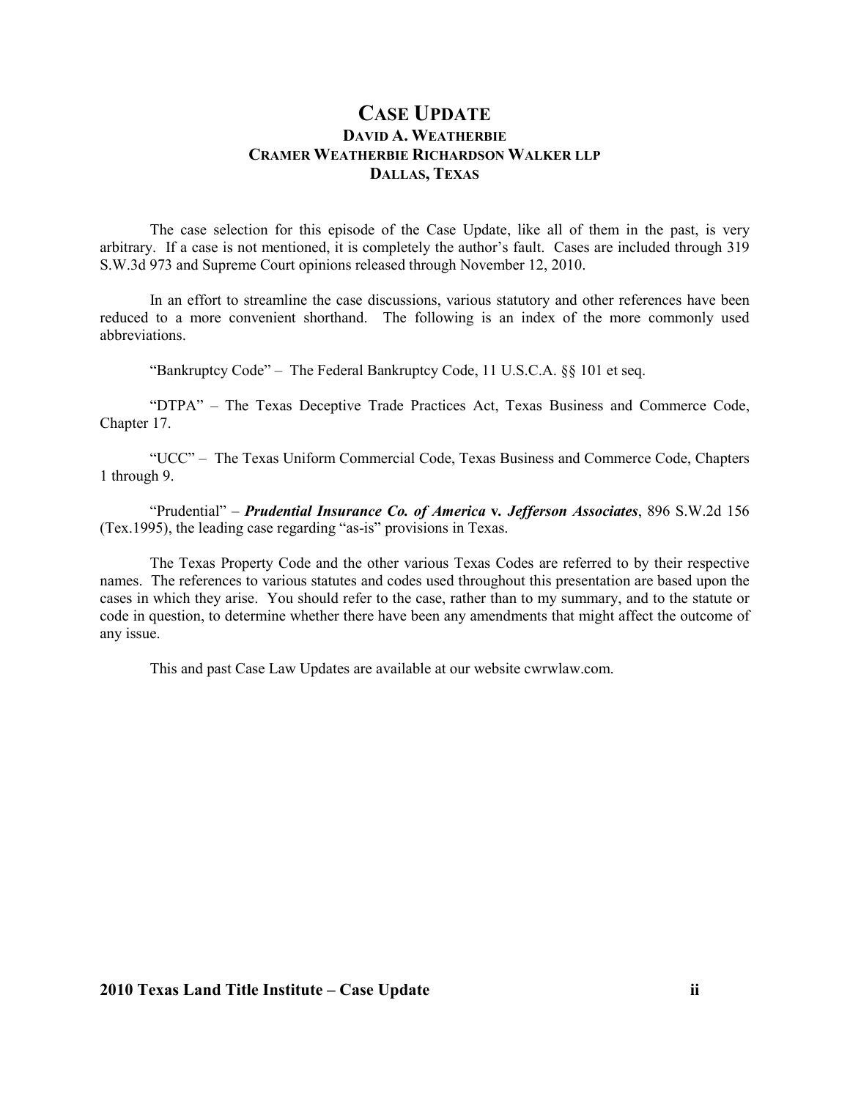## **CASE UPDATE DAVID A. WEATHERBIE CRAMER WEATHERBIE RICHARDSO WALKER LLP DALLAS, TEXAS**

 The case selection for this episode of the Case Update, like all of them in the past, is very arbitrary. If a case is not mentioned, it is completely the author's fault. Cases are included through 319 S.W.3d 973 and Supreme Court opinions released through November 12, 2010.

 In an effort to streamline the case discussions, various statutory and other references have been reduced to a more convenient shorthand. The following is an index of the more commonly used abbreviations.

"Bankruptcy Code" – The Federal Bankruptcy Code, 11 U.S.C.A. §§ 101 et seq.

 "DTPA" – The Texas Deceptive Trade Practices Act, Texas Business and Commerce Code, Chapter 17.

 "UCC" – The Texas Uniform Commercial Code, Texas Business and Commerce Code, Chapters 1 through 9.

"Prudential" – *Prudential Insurance Co. of America* **v***. Jefferson Associates*, 896 S.W.2d 156 (Tex.1995), the leading case regarding "as-is" provisions in Texas.

 The Texas Property Code and the other various Texas Codes are referred to by their respective names. The references to various statutes and codes used throughout this presentation are based upon the cases in which they arise. You should refer to the case, rather than to my summary, and to the statute or code in question, to determine whether there have been any amendments that might affect the outcome of any issue.

This and past Case Law Updates are available at our website cwrwlaw.com.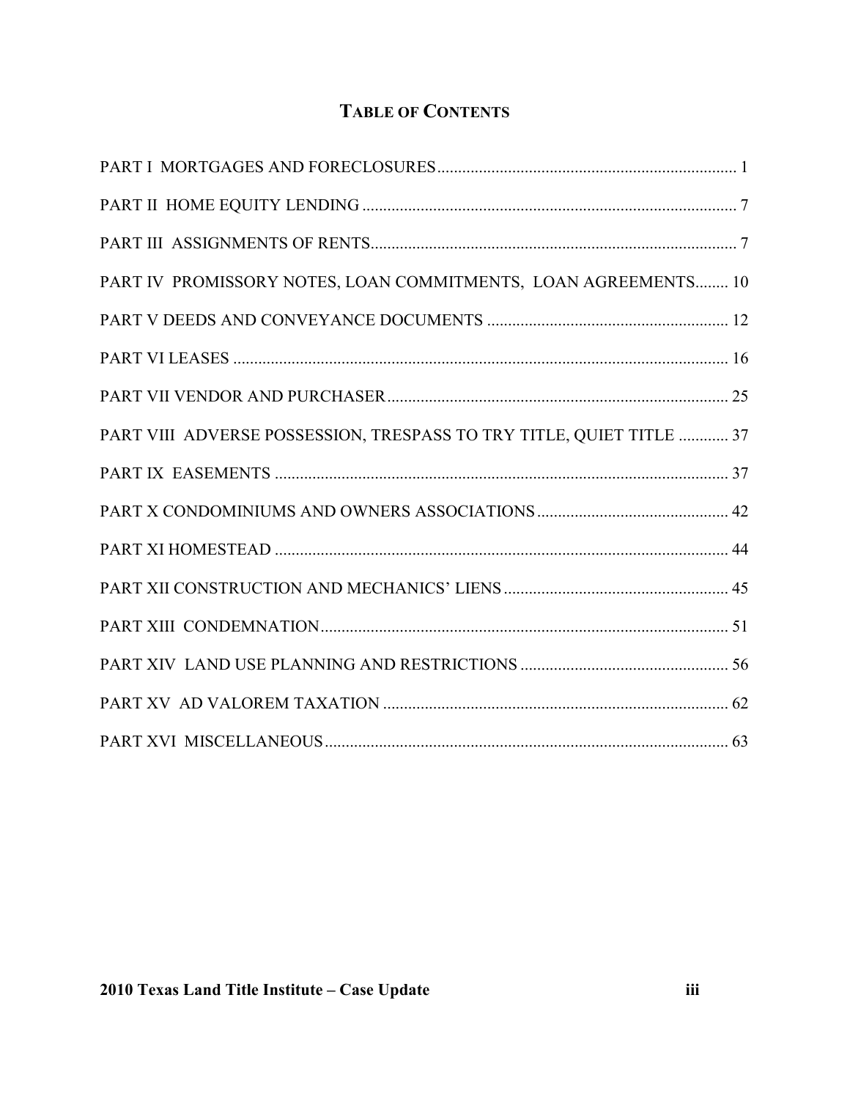# **TABLE OF CONTENTS**

| PART IV PROMISSORY NOTES, LOAN COMMITMENTS, LOAN AGREEMENTS 10       |  |
|----------------------------------------------------------------------|--|
|                                                                      |  |
|                                                                      |  |
|                                                                      |  |
| PART VIII ADVERSE POSSESSION, TRESPASS TO TRY TITLE, QUIET TITLE  37 |  |
|                                                                      |  |
|                                                                      |  |
|                                                                      |  |
|                                                                      |  |
|                                                                      |  |
|                                                                      |  |
|                                                                      |  |
|                                                                      |  |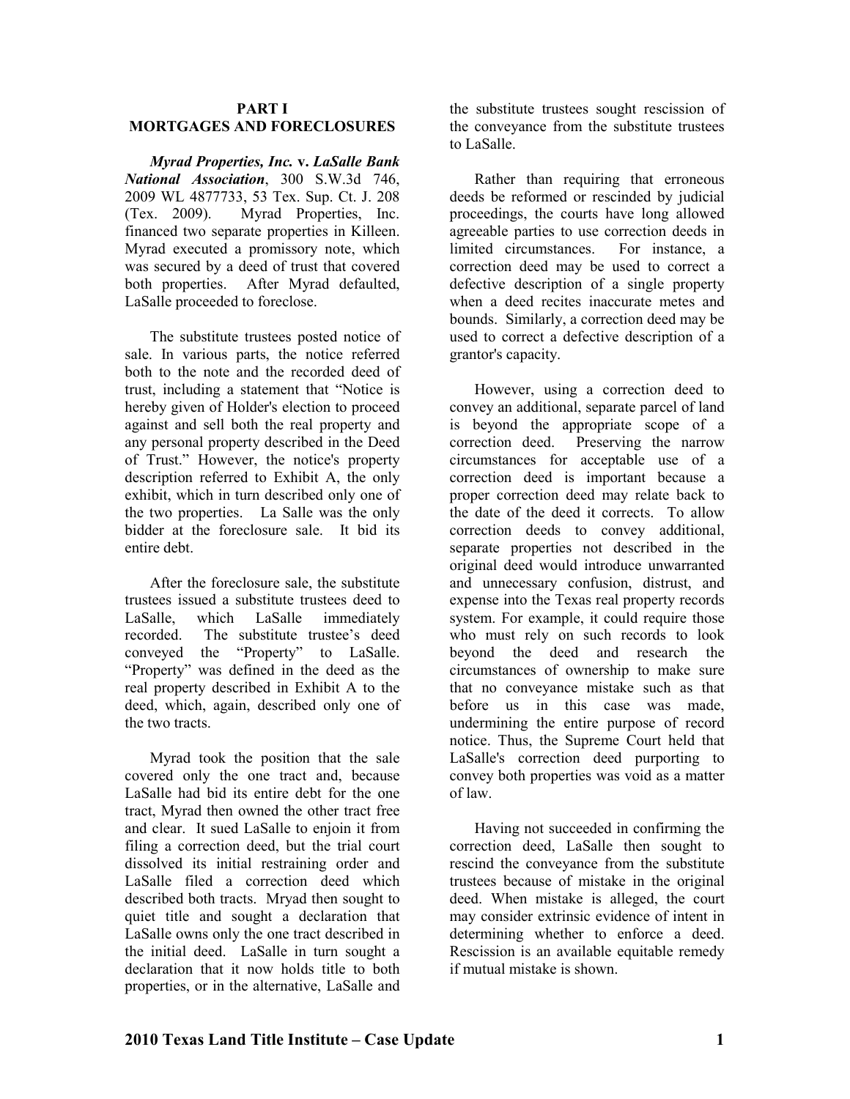#### **PART I MORTGAGES AD FORECLOSURES**

*Myrad Properties, Inc.* **v.** *LaSalle Bank ational Association*, 300 S.W.3d 746, 2009 WL 4877733, 53 Tex. Sup. Ct. J. 208 (Tex. 2009). Myrad Properties, Inc. financed two separate properties in Killeen. Myrad executed a promissory note, which was secured by a deed of trust that covered both properties. After Myrad defaulted, LaSalle proceeded to foreclose.

The substitute trustees posted notice of sale. In various parts, the notice referred both to the note and the recorded deed of trust, including a statement that "Notice is hereby given of Holder's election to proceed against and sell both the real property and any personal property described in the Deed of Trust." However, the notice's property description referred to Exhibit A, the only exhibit, which in turn described only one of the two properties. La Salle was the only bidder at the foreclosure sale. It bid its entire debt.

After the foreclosure sale, the substitute trustees issued a substitute trustees deed to LaSalle, which LaSalle immediately recorded. The substitute trustee's deed conveyed the "Property" to LaSalle. "Property" was defined in the deed as the real property described in Exhibit A to the deed, which, again, described only one of the two tracts.

Myrad took the position that the sale covered only the one tract and, because LaSalle had bid its entire debt for the one tract, Myrad then owned the other tract free and clear. It sued LaSalle to enjoin it from filing a correction deed, but the trial court dissolved its initial restraining order and LaSalle filed a correction deed which described both tracts. Mryad then sought to quiet title and sought a declaration that LaSalle owns only the one tract described in the initial deed. LaSalle in turn sought a declaration that it now holds title to both properties, or in the alternative, LaSalle and

the substitute trustees sought rescission of the conveyance from the substitute trustees to LaSalle.

Rather than requiring that erroneous deeds be reformed or rescinded by judicial proceedings, the courts have long allowed agreeable parties to use correction deeds in limited circumstances. For instance, a correction deed may be used to correct a defective description of a single property when a deed recites inaccurate metes and bounds. Similarly, a correction deed may be used to correct a defective description of a grantor's capacity.

However, using a correction deed to convey an additional, separate parcel of land is beyond the appropriate scope of a correction deed. Preserving the narrow circumstances for acceptable use of a correction deed is important because a proper correction deed may relate back to the date of the deed it corrects. To allow correction deeds to convey additional, separate properties not described in the original deed would introduce unwarranted and unnecessary confusion, distrust, and expense into the Texas real property records system. For example, it could require those who must rely on such records to look beyond the deed and research the circumstances of ownership to make sure that no conveyance mistake such as that before us in this case was made, undermining the entire purpose of record notice. Thus, the Supreme Court held that LaSalle's correction deed purporting to convey both properties was void as a matter of law.

Having not succeeded in confirming the correction deed, LaSalle then sought to rescind the conveyance from the substitute trustees because of mistake in the original deed. When mistake is alleged, the court may consider extrinsic evidence of intent in determining whether to enforce a deed. Rescission is an available equitable remedy if mutual mistake is shown.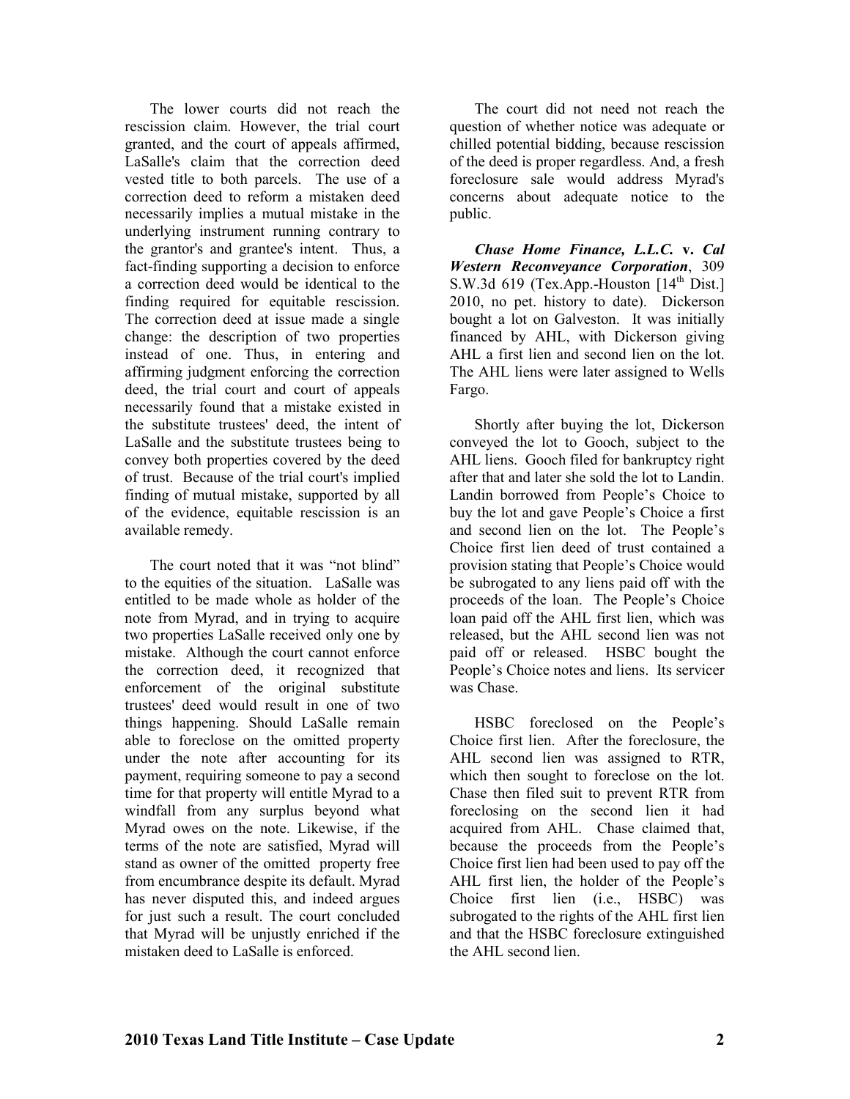The lower courts did not reach the rescission claim. However, the trial court granted, and the court of appeals affirmed, LaSalle's claim that the correction deed vested title to both parcels. The use of a correction deed to reform a mistaken deed necessarily implies a mutual mistake in the underlying instrument running contrary to the grantor's and grantee's intent. Thus, a fact-finding supporting a decision to enforce a correction deed would be identical to the finding required for equitable rescission. The correction deed at issue made a single change: the description of two properties instead of one. Thus, in entering and affirming judgment enforcing the correction deed, the trial court and court of appeals necessarily found that a mistake existed in the substitute trustees' deed, the intent of LaSalle and the substitute trustees being to convey both properties covered by the deed of trust. Because of the trial court's implied finding of mutual mistake, supported by all of the evidence, equitable rescission is an available remedy.

The court noted that it was "not blind" to the equities of the situation. LaSalle was entitled to be made whole as holder of the note from Myrad, and in trying to acquire two properties LaSalle received only one by mistake. Although the court cannot enforce the correction deed, it recognized that enforcement of the original substitute trustees' deed would result in one of two things happening. Should LaSalle remain able to foreclose on the omitted property under the note after accounting for its payment, requiring someone to pay a second time for that property will entitle Myrad to a windfall from any surplus beyond what Myrad owes on the note. Likewise, if the terms of the note are satisfied, Myrad will stand as owner of the omitted property free from encumbrance despite its default. Myrad has never disputed this, and indeed argues for just such a result. The court concluded that Myrad will be unjustly enriched if the mistaken deed to LaSalle is enforced.

The court did not need not reach the question of whether notice was adequate or chilled potential bidding, because rescission of the deed is proper regardless. And, a fresh foreclosure sale would address Myrad's concerns about adequate notice to the public.

*Chase Home Finance, L.L.C.* **v.** *Cal Western Reconveyance Corporation*, 309 S.W.3d 619 (Tex.App.-Houston  $[14<sup>th</sup> Dist.]$ 2010, no pet. history to date). Dickerson bought a lot on Galveston. It was initially financed by AHL, with Dickerson giving AHL a first lien and second lien on the lot. The AHL liens were later assigned to Wells Fargo.

Shortly after buying the lot, Dickerson conveyed the lot to Gooch, subject to the AHL liens. Gooch filed for bankruptcy right after that and later she sold the lot to Landin. Landin borrowed from People's Choice to buy the lot and gave People's Choice a first and second lien on the lot. The People's Choice first lien deed of trust contained a provision stating that People's Choice would be subrogated to any liens paid off with the proceeds of the loan. The People's Choice loan paid off the AHL first lien, which was released, but the AHL second lien was not paid off or released. HSBC bought the People's Choice notes and liens. Its servicer was Chase.

HSBC foreclosed on the People's Choice first lien. After the foreclosure, the AHL second lien was assigned to RTR, which then sought to foreclose on the lot. Chase then filed suit to prevent RTR from foreclosing on the second lien it had acquired from AHL. Chase claimed that, because the proceeds from the People's Choice first lien had been used to pay off the AHL first lien, the holder of the People's Choice first lien (i.e., HSBC) was subrogated to the rights of the AHL first lien and that the HSBC foreclosure extinguished the AHL second lien.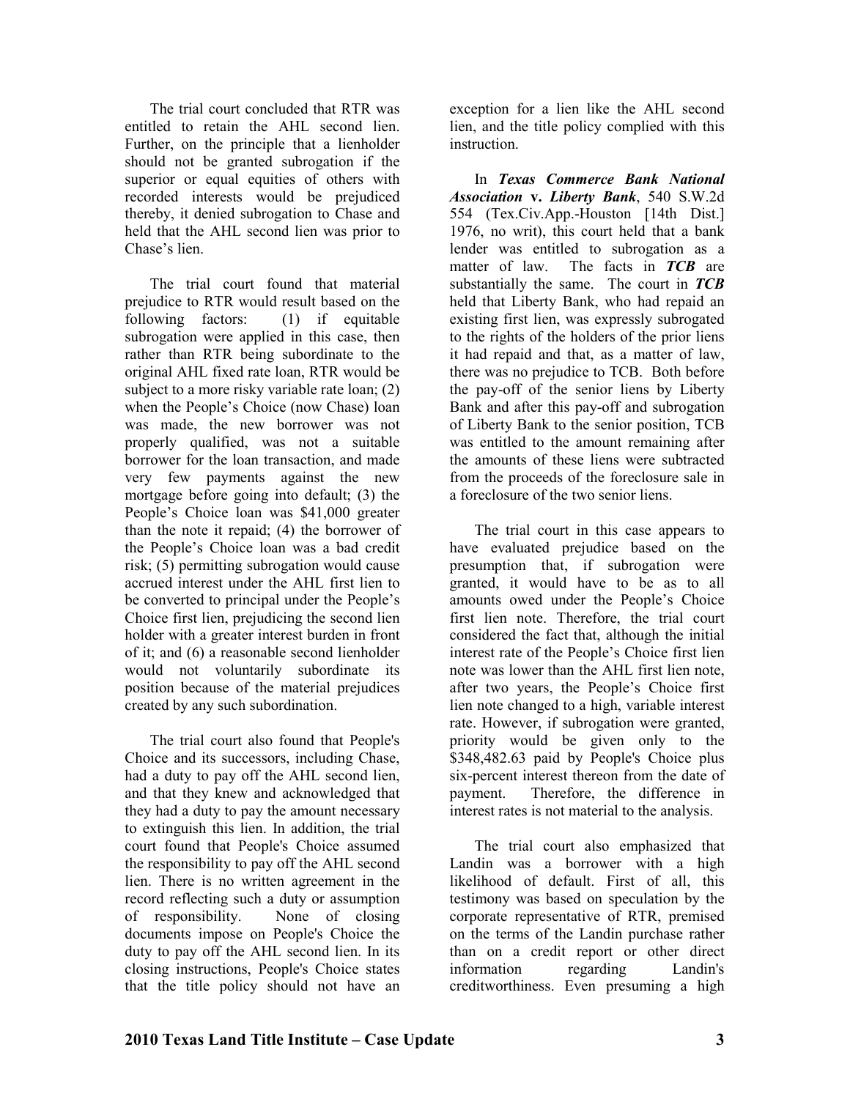The trial court concluded that RTR was entitled to retain the AHL second lien. Further, on the principle that a lienholder should not be granted subrogation if the superior or equal equities of others with recorded interests would be prejudiced thereby, it denied subrogation to Chase and held that the AHL second lien was prior to Chase's lien.

The trial court found that material prejudice to RTR would result based on the following factors: (1) if equitable subrogation were applied in this case, then rather than RTR being subordinate to the original AHL fixed rate loan, RTR would be subject to a more risky variable rate loan; (2) when the People's Choice (now Chase) loan was made, the new borrower was not properly qualified, was not a suitable borrower for the loan transaction, and made very few payments against the new mortgage before going into default; (3) the People's Choice loan was \$41,000 greater than the note it repaid; (4) the borrower of the People's Choice loan was a bad credit risk; (5) permitting subrogation would cause accrued interest under the AHL first lien to be converted to principal under the People's Choice first lien, prejudicing the second lien holder with a greater interest burden in front of it; and (6) a reasonable second lienholder would not voluntarily subordinate its position because of the material prejudices created by any such subordination.

The trial court also found that People's Choice and its successors, including Chase, had a duty to pay off the AHL second lien, and that they knew and acknowledged that they had a duty to pay the amount necessary to extinguish this lien. In addition, the trial court found that People's Choice assumed the responsibility to pay off the AHL second lien. There is no written agreement in the record reflecting such a duty or assumption of responsibility. None of closing documents impose on People's Choice the duty to pay off the AHL second lien. In its closing instructions, People's Choice states that the title policy should not have an

exception for a lien like the AHL second lien, and the title policy complied with this **instruction** 

In *Texas Commerce Bank National Association* **v.** *Liberty Bank*, 540 S.W.2d 554 (Tex.Civ.App.-Houston [14th Dist.] 1976, no writ), this court held that a bank lender was entitled to subrogation as a matter of law. The facts in *TCB* are substantially the same. The court in *TCB* held that Liberty Bank, who had repaid an existing first lien, was expressly subrogated to the rights of the holders of the prior liens it had repaid and that, as a matter of law, there was no prejudice to TCB. Both before the pay-off of the senior liens by Liberty Bank and after this pay-off and subrogation of Liberty Bank to the senior position, TCB was entitled to the amount remaining after the amounts of these liens were subtracted from the proceeds of the foreclosure sale in a foreclosure of the two senior liens.

The trial court in this case appears to have evaluated prejudice based on the presumption that, if subrogation were granted, it would have to be as to all amounts owed under the People's Choice first lien note. Therefore, the trial court considered the fact that, although the initial interest rate of the People's Choice first lien note was lower than the AHL first lien note, after two years, the People's Choice first lien note changed to a high, variable interest rate. However, if subrogation were granted, priority would be given only to the \$348,482.63 paid by People's Choice plus six-percent interest thereon from the date of payment. Therefore, the difference in interest rates is not material to the analysis.

The trial court also emphasized that Landin was a borrower with a high likelihood of default. First of all, this testimony was based on speculation by the corporate representative of RTR, premised on the terms of the Landin purchase rather than on a credit report or other direct information regarding Landin's creditworthiness. Even presuming a high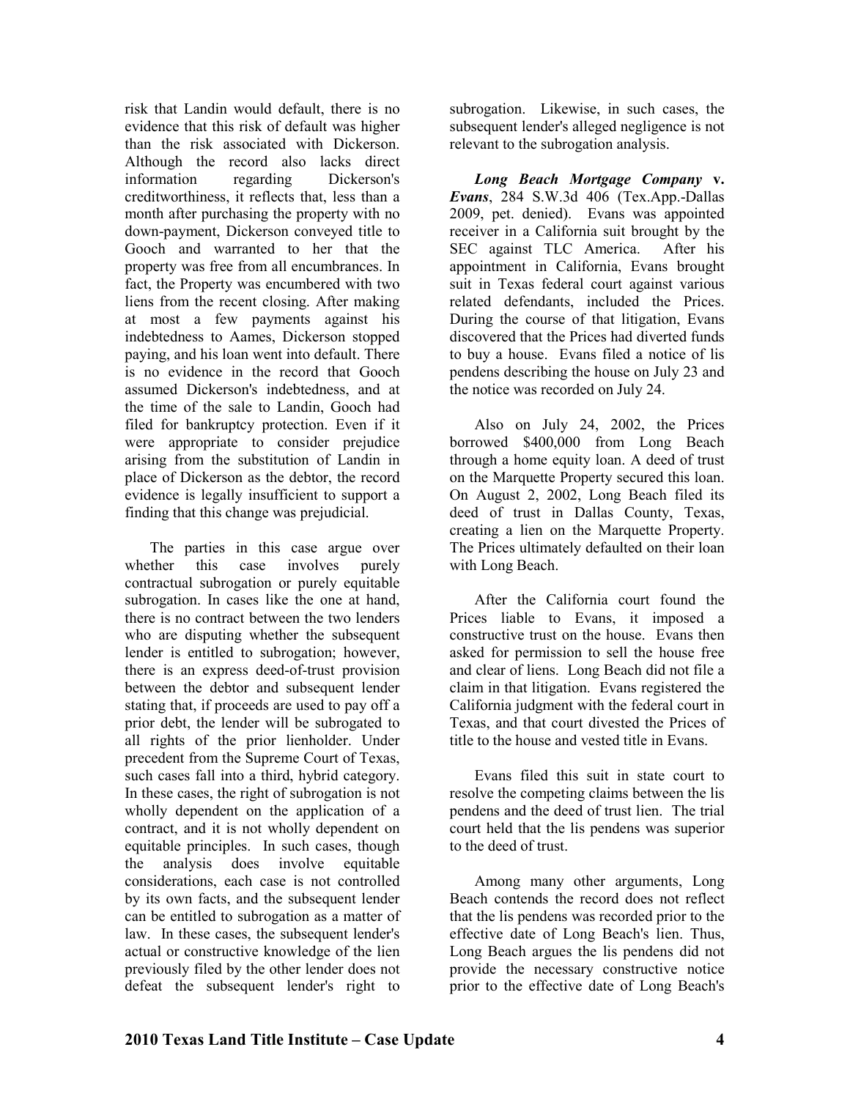risk that Landin would default, there is no evidence that this risk of default was higher than the risk associated with Dickerson. Although the record also lacks direct information regarding Dickerson's creditworthiness, it reflects that, less than a month after purchasing the property with no down-payment, Dickerson conveyed title to Gooch and warranted to her that the property was free from all encumbrances. In fact, the Property was encumbered with two liens from the recent closing. After making at most a few payments against his indebtedness to Aames, Dickerson stopped paying, and his loan went into default. There is no evidence in the record that Gooch assumed Dickerson's indebtedness, and at the time of the sale to Landin, Gooch had filed for bankruptcy protection. Even if it were appropriate to consider prejudice arising from the substitution of Landin in place of Dickerson as the debtor, the record evidence is legally insufficient to support a finding that this change was prejudicial.

The parties in this case argue over whether this case involves purely contractual subrogation or purely equitable subrogation. In cases like the one at hand, there is no contract between the two lenders who are disputing whether the subsequent lender is entitled to subrogation; however, there is an express deed-of-trust provision between the debtor and subsequent lender stating that, if proceeds are used to pay off a prior debt, the lender will be subrogated to all rights of the prior lienholder. Under precedent from the Supreme Court of Texas, such cases fall into a third, hybrid category. In these cases, the right of subrogation is not wholly dependent on the application of a contract, and it is not wholly dependent on equitable principles. In such cases, though the analysis does involve equitable considerations, each case is not controlled by its own facts, and the subsequent lender can be entitled to subrogation as a matter of law. In these cases, the subsequent lender's actual or constructive knowledge of the lien previously filed by the other lender does not defeat the subsequent lender's right to

subrogation. Likewise, in such cases, the subsequent lender's alleged negligence is not relevant to the subrogation analysis.

*Long Beach Mortgage Company* **v.**  *Evans*, 284 S.W.3d 406 (Tex.App.-Dallas 2009, pet. denied). Evans was appointed receiver in a California suit brought by the SEC against TLC America. After his appointment in California, Evans brought suit in Texas federal court against various related defendants, included the Prices. During the course of that litigation, Evans discovered that the Prices had diverted funds to buy a house. Evans filed a notice of lis pendens describing the house on July 23 and the notice was recorded on July 24.

Also on July 24, 2002, the Prices borrowed \$400,000 from Long Beach through a home equity loan. A deed of trust on the Marquette Property secured this loan. On August 2, 2002, Long Beach filed its deed of trust in Dallas County, Texas, creating a lien on the Marquette Property. The Prices ultimately defaulted on their loan with Long Beach.

After the California court found the Prices liable to Evans, it imposed a constructive trust on the house. Evans then asked for permission to sell the house free and clear of liens. Long Beach did not file a claim in that litigation. Evans registered the California judgment with the federal court in Texas, and that court divested the Prices of title to the house and vested title in Evans.

Evans filed this suit in state court to resolve the competing claims between the lis pendens and the deed of trust lien. The trial court held that the lis pendens was superior to the deed of trust.

Among many other arguments, Long Beach contends the record does not reflect that the lis pendens was recorded prior to the effective date of Long Beach's lien. Thus, Long Beach argues the lis pendens did not provide the necessary constructive notice prior to the effective date of Long Beach's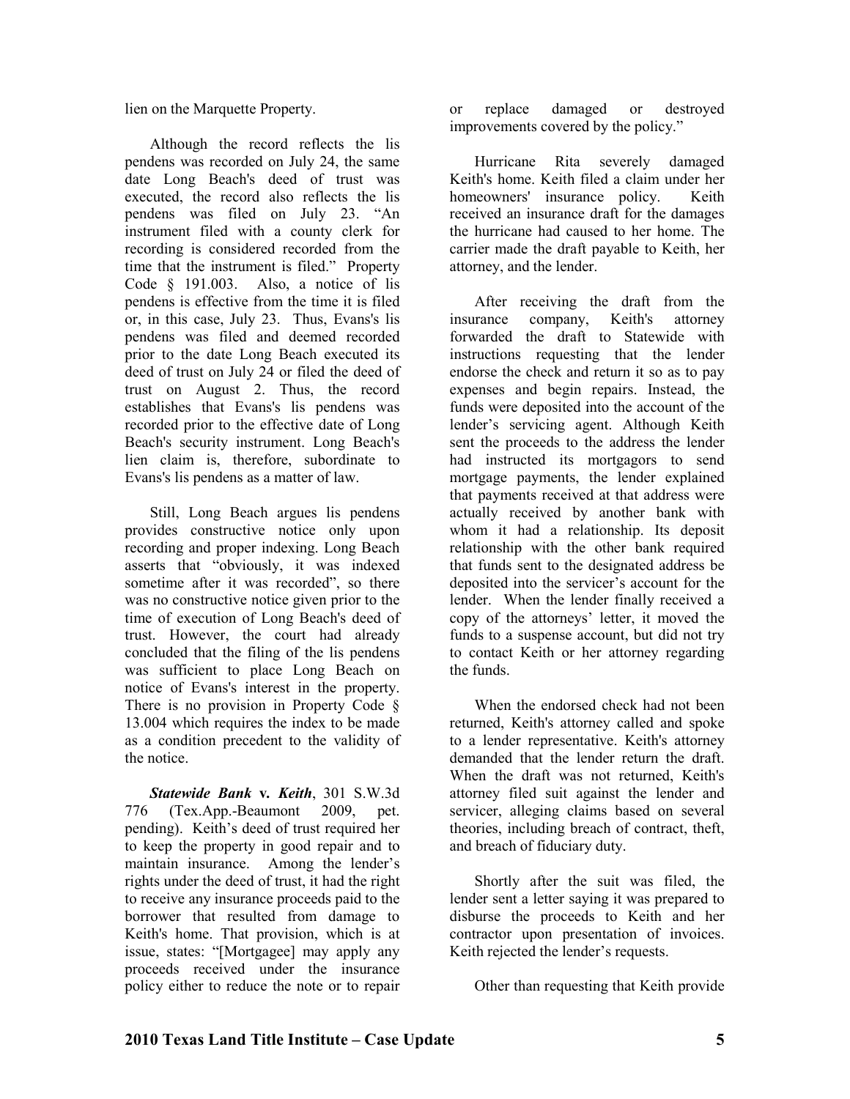lien on the Marquette Property.

Although the record reflects the lis pendens was recorded on July 24, the same date Long Beach's deed of trust was executed, the record also reflects the lis pendens was filed on July 23. "An instrument filed with a county clerk for recording is considered recorded from the time that the instrument is filed." Property Code § 191.003. Also, a notice of lis pendens is effective from the time it is filed or, in this case, July 23. Thus, Evans's lis pendens was filed and deemed recorded prior to the date Long Beach executed its deed of trust on July 24 or filed the deed of trust on August 2. Thus, the record establishes that Evans's lis pendens was recorded prior to the effective date of Long Beach's security instrument. Long Beach's lien claim is, therefore, subordinate to Evans's lis pendens as a matter of law.

Still, Long Beach argues lis pendens provides constructive notice only upon recording and proper indexing. Long Beach asserts that "obviously, it was indexed sometime after it was recorded", so there was no constructive notice given prior to the time of execution of Long Beach's deed of trust. However, the court had already concluded that the filing of the lis pendens was sufficient to place Long Beach on notice of Evans's interest in the property. There is no provision in Property Code § 13.004 which requires the index to be made as a condition precedent to the validity of the notice.

*Statewide Bank* **v***. Keith*, 301 S.W.3d 776 (Tex.App.-Beaumont 2009, pet. pending). Keith's deed of trust required her to keep the property in good repair and to maintain insurance. Among the lender's rights under the deed of trust, it had the right to receive any insurance proceeds paid to the borrower that resulted from damage to Keith's home. That provision, which is at issue, states: "[Mortgagee] may apply any proceeds received under the insurance policy either to reduce the note or to repair

or replace damaged or destroyed improvements covered by the policy."

Hurricane Rita severely damaged Keith's home. Keith filed a claim under her homeowners' insurance policy. Keith received an insurance draft for the damages the hurricane had caused to her home. The carrier made the draft payable to Keith, her attorney, and the lender.

After receiving the draft from the insurance company, Keith's attorney forwarded the draft to Statewide with instructions requesting that the lender endorse the check and return it so as to pay expenses and begin repairs. Instead, the funds were deposited into the account of the lender's servicing agent. Although Keith sent the proceeds to the address the lender had instructed its mortgagors to send mortgage payments, the lender explained that payments received at that address were actually received by another bank with whom it had a relationship. Its deposit relationship with the other bank required that funds sent to the designated address be deposited into the servicer's account for the lender. When the lender finally received a copy of the attorneys' letter, it moved the funds to a suspense account, but did not try to contact Keith or her attorney regarding the funds.

When the endorsed check had not been returned, Keith's attorney called and spoke to a lender representative. Keith's attorney demanded that the lender return the draft. When the draft was not returned, Keith's attorney filed suit against the lender and servicer, alleging claims based on several theories, including breach of contract, theft, and breach of fiduciary duty.

Shortly after the suit was filed, the lender sent a letter saying it was prepared to disburse the proceeds to Keith and her contractor upon presentation of invoices. Keith rejected the lender's requests.

Other than requesting that Keith provide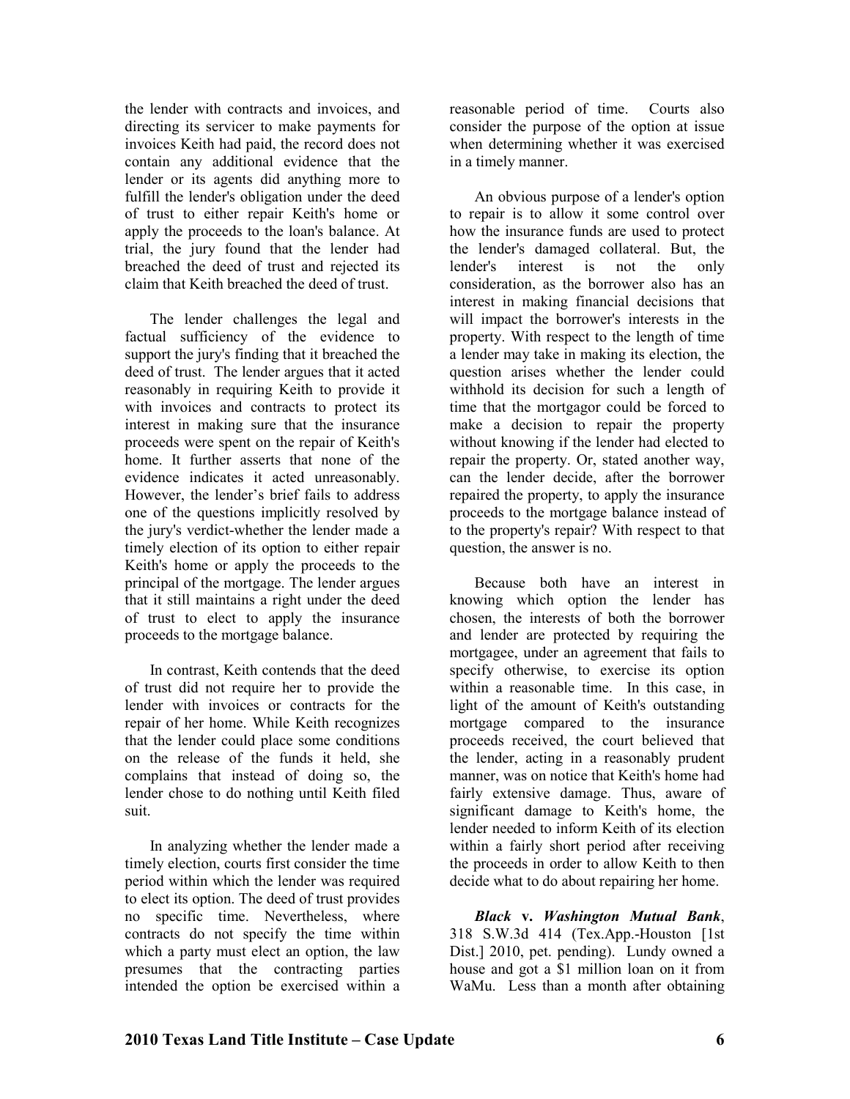the lender with contracts and invoices, and directing its servicer to make payments for invoices Keith had paid, the record does not contain any additional evidence that the lender or its agents did anything more to fulfill the lender's obligation under the deed of trust to either repair Keith's home or apply the proceeds to the loan's balance. At trial, the jury found that the lender had breached the deed of trust and rejected its claim that Keith breached the deed of trust.

The lender challenges the legal and factual sufficiency of the evidence to support the jury's finding that it breached the deed of trust. The lender argues that it acted reasonably in requiring Keith to provide it with invoices and contracts to protect its interest in making sure that the insurance proceeds were spent on the repair of Keith's home. It further asserts that none of the evidence indicates it acted unreasonably. However, the lender's brief fails to address one of the questions implicitly resolved by the jury's verdict-whether the lender made a timely election of its option to either repair Keith's home or apply the proceeds to the principal of the mortgage. The lender argues that it still maintains a right under the deed of trust to elect to apply the insurance proceeds to the mortgage balance.

In contrast, Keith contends that the deed of trust did not require her to provide the lender with invoices or contracts for the repair of her home. While Keith recognizes that the lender could place some conditions on the release of the funds it held, she complains that instead of doing so, the lender chose to do nothing until Keith filed suit.

In analyzing whether the lender made a timely election, courts first consider the time period within which the lender was required to elect its option. The deed of trust provides no specific time. Nevertheless, where contracts do not specify the time within which a party must elect an option, the law presumes that the contracting parties intended the option be exercised within a

reasonable period of time. Courts also consider the purpose of the option at issue when determining whether it was exercised in a timely manner.

An obvious purpose of a lender's option to repair is to allow it some control over how the insurance funds are used to protect the lender's damaged collateral. But, the lender's interest is not the only consideration, as the borrower also has an interest in making financial decisions that will impact the borrower's interests in the property. With respect to the length of time a lender may take in making its election, the question arises whether the lender could withhold its decision for such a length of time that the mortgagor could be forced to make a decision to repair the property without knowing if the lender had elected to repair the property. Or, stated another way, can the lender decide, after the borrower repaired the property, to apply the insurance proceeds to the mortgage balance instead of to the property's repair? With respect to that question, the answer is no.

Because both have an interest in knowing which option the lender has chosen, the interests of both the borrower and lender are protected by requiring the mortgagee, under an agreement that fails to specify otherwise, to exercise its option within a reasonable time. In this case, in light of the amount of Keith's outstanding mortgage compared to the insurance proceeds received, the court believed that the lender, acting in a reasonably prudent manner, was on notice that Keith's home had fairly extensive damage. Thus, aware of significant damage to Keith's home, the lender needed to inform Keith of its election within a fairly short period after receiving the proceeds in order to allow Keith to then decide what to do about repairing her home.

*Black* **v.** *Washington Mutual Bank*, 318 S.W.3d 414 (Tex.App.-Houston [1st Dist.] 2010, pet. pending). Lundy owned a house and got a \$1 million loan on it from WaMu. Less than a month after obtaining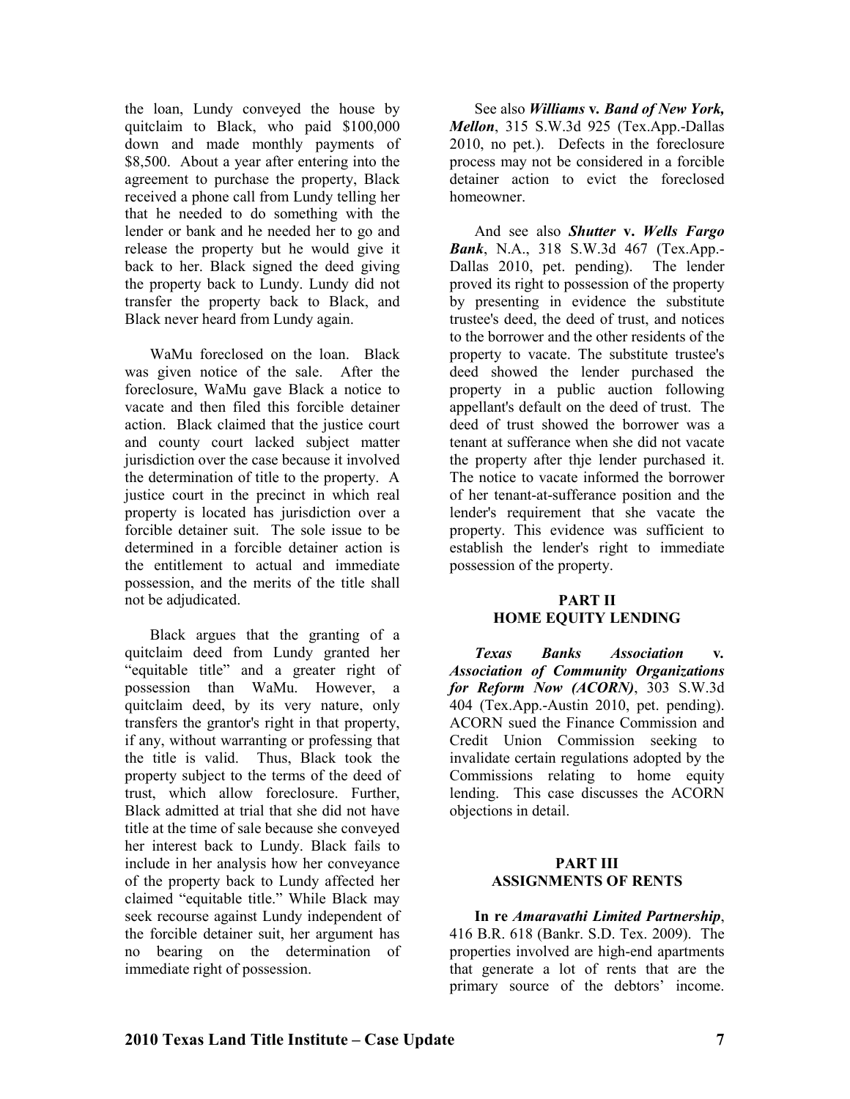the loan, Lundy conveyed the house by quitclaim to Black, who paid \$100,000 down and made monthly payments of \$8,500. About a year after entering into the agreement to purchase the property, Black received a phone call from Lundy telling her that he needed to do something with the lender or bank and he needed her to go and release the property but he would give it back to her. Black signed the deed giving the property back to Lundy. Lundy did not transfer the property back to Black, and Black never heard from Lundy again.

WaMu foreclosed on the loan. Black was given notice of the sale. After the foreclosure, WaMu gave Black a notice to vacate and then filed this forcible detainer action. Black claimed that the justice court and county court lacked subject matter jurisdiction over the case because it involved the determination of title to the property. A justice court in the precinct in which real property is located has jurisdiction over a forcible detainer suit. The sole issue to be determined in a forcible detainer action is the entitlement to actual and immediate possession, and the merits of the title shall not be adjudicated.

Black argues that the granting of a quitclaim deed from Lundy granted her "equitable title" and a greater right of possession than WaMu. However, a quitclaim deed, by its very nature, only transfers the grantor's right in that property, if any, without warranting or professing that the title is valid. Thus, Black took the property subject to the terms of the deed of trust, which allow foreclosure. Further, Black admitted at trial that she did not have title at the time of sale because she conveyed her interest back to Lundy. Black fails to include in her analysis how her conveyance of the property back to Lundy affected her claimed "equitable title." While Black may seek recourse against Lundy independent of the forcible detainer suit, her argument has no bearing on the determination of immediate right of possession.

See also *Williams v. Band of New York*, *Mellon*, 315 S.W.3d 925 (Tex.App.-Dallas 2010, no pet.). Defects in the foreclosure process may not be considered in a forcible detainer action to evict the foreclosed homeowner.

And see also *Shutter* **v.** *Wells Fargo Bank*, N.A., 318 S.W.3d 467 (Tex.App.- Dallas 2010, pet. pending). The lender proved its right to possession of the property by presenting in evidence the substitute trustee's deed, the deed of trust, and notices to the borrower and the other residents of the property to vacate. The substitute trustee's deed showed the lender purchased the property in a public auction following appellant's default on the deed of trust. The deed of trust showed the borrower was a tenant at sufferance when she did not vacate the property after thje lender purchased it. The notice to vacate informed the borrower of her tenant-at-sufferance position and the lender's requirement that she vacate the property. This evidence was sufficient to establish the lender's right to immediate possession of the property.

#### **PART II HOME EQUITY LENDING**

*Texas Banks Association* **v***. Association of Community Organizations for Reform Now (ACORN)*, 303 S.W.3d 404 (Tex.App.-Austin 2010, pet. pending). ACORN sued the Finance Commission and Credit Union Commission seeking to invalidate certain regulations adopted by the Commissions relating to home equity lending. This case discusses the ACORN objections in detail.

#### **PART III ASSIGNMENTS OF RENTS**

**In re** *Amaravathi Limited Partnership*, 416 B.R. 618 (Bankr. S.D. Tex. 2009). The properties involved are high-end apartments that generate a lot of rents that are the primary source of the debtors' income.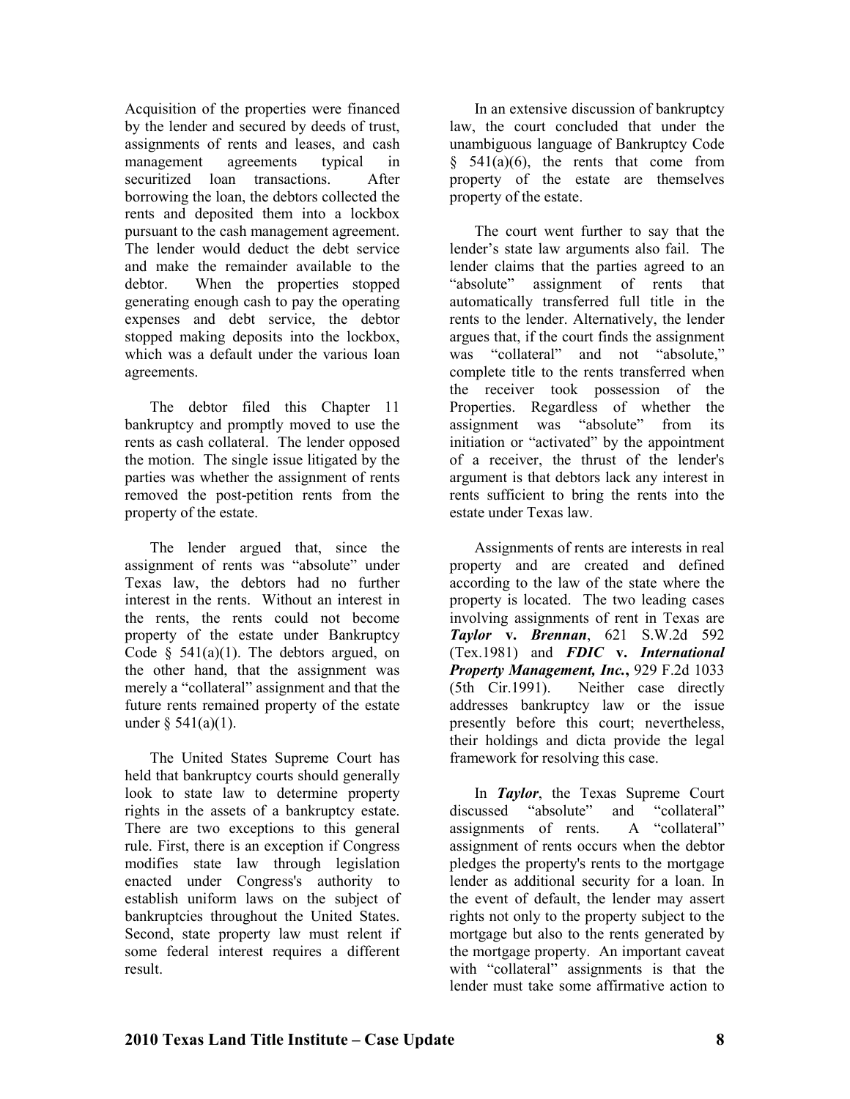Acquisition of the properties were financed by the lender and secured by deeds of trust, assignments of rents and leases, and cash management agreements typical in securitized loan transactions. After borrowing the loan, the debtors collected the rents and deposited them into a lockbox pursuant to the cash management agreement. The lender would deduct the debt service and make the remainder available to the debtor. When the properties stopped generating enough cash to pay the operating expenses and debt service, the debtor stopped making deposits into the lockbox, which was a default under the various loan agreements.

The debtor filed this Chapter 11 bankruptcy and promptly moved to use the rents as cash collateral. The lender opposed the motion. The single issue litigated by the parties was whether the assignment of rents removed the post-petition rents from the property of the estate.

The lender argued that, since the assignment of rents was "absolute" under Texas law, the debtors had no further interest in the rents. Without an interest in the rents, the rents could not become property of the estate under Bankruptcy Code  $\S$  541(a)(1). The debtors argued, on the other hand, that the assignment was merely a "collateral" assignment and that the future rents remained property of the estate under  $§ 541(a)(1)$ .

The United States Supreme Court has held that bankruptcy courts should generally look to state law to determine property rights in the assets of a bankruptcy estate. There are two exceptions to this general rule. First, there is an exception if Congress modifies state law through legislation enacted under Congress's authority to establish uniform laws on the subject of bankruptcies throughout the United States. Second, state property law must relent if some federal interest requires a different result.

In an extensive discussion of bankruptcy law, the court concluded that under the unambiguous language of Bankruptcy Code  $§$  541(a)(6), the rents that come from property of the estate are themselves property of the estate.

The court went further to say that the lender's state law arguments also fail. The lender claims that the parties agreed to an "absolute" assignment of rents that automatically transferred full title in the rents to the lender. Alternatively, the lender argues that, if the court finds the assignment was "collateral" and not "absolute," complete title to the rents transferred when the receiver took possession of the Properties. Regardless of whether the assignment was "absolute" from its assignment was "absolute" initiation or "activated" by the appointment of a receiver, the thrust of the lender's argument is that debtors lack any interest in rents sufficient to bring the rents into the estate under Texas law.

Assignments of rents are interests in real property and are created and defined according to the law of the state where the property is located. The two leading cases involving assignments of rent in Texas are *Taylor* **v.** *Brennan*, 621 S.W.2d 592 (Tex.1981) and *FDIC* **v.** *International Property Management, Inc.***,** 929 F.2d 1033 (5th Cir.1991). Neither case directly addresses bankruptcy law or the issue presently before this court; nevertheless, their holdings and dicta provide the legal framework for resolving this case.

In *Taylor*, the Texas Supreme Court discussed "absolute" and "collateral"<br>assignments of rents A "collateral" assignments of rents. assignment of rents occurs when the debtor pledges the property's rents to the mortgage lender as additional security for a loan. In the event of default, the lender may assert rights not only to the property subject to the mortgage but also to the rents generated by the mortgage property. An important caveat with "collateral" assignments is that the lender must take some affirmative action to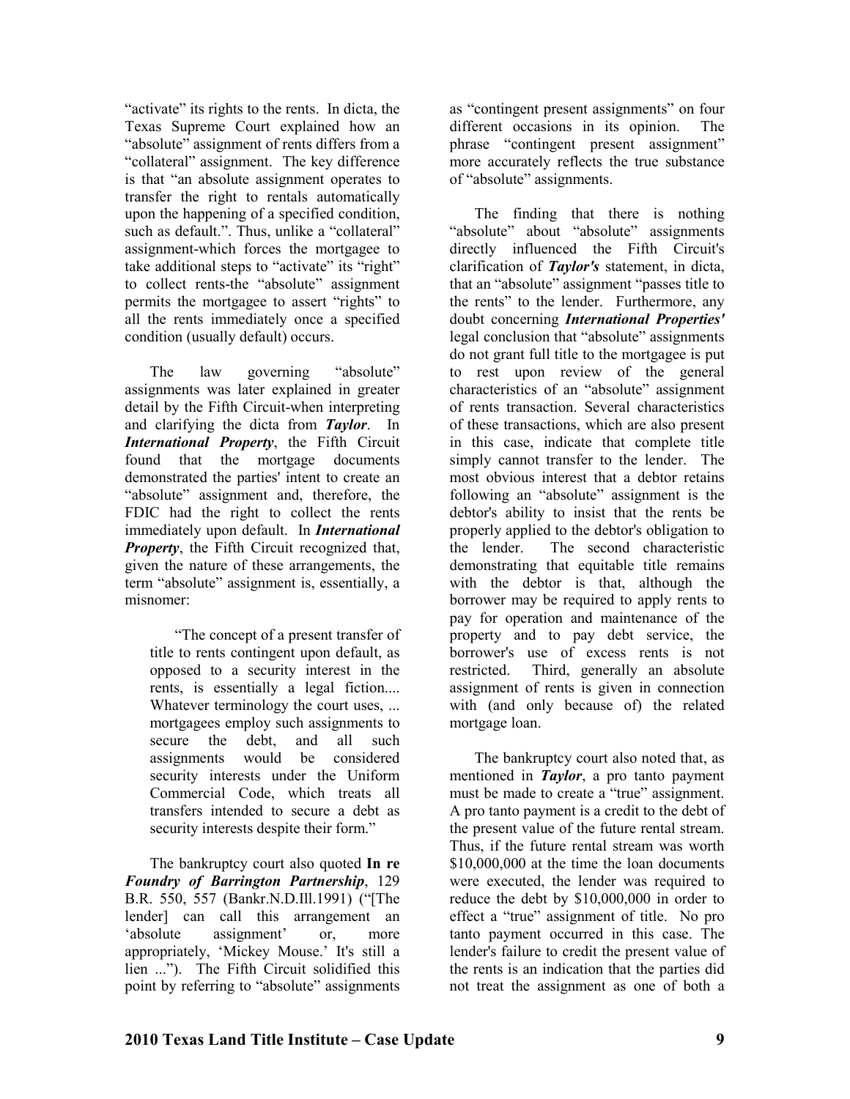"activate" its rights to the rents. In dicta, the Texas Supreme Court explained how an "absolute" assignment of rents differs from a "collateral" assignment. The key difference is that "an absolute assignment operates to transfer the right to rentals automatically upon the happening of a specified condition, such as default.". Thus, unlike a "collateral" assignment-which forces the mortgagee to take additional steps to "activate" its "right" to collect rents-the "absolute" assignment permits the mortgagee to assert "rights" to all the rents immediately once a specified condition (usually default) occurs.

The law governing "absolute" assignments was later explained in greater detail by the Fifth Circuit-when interpreting and clarifying the dicta from *Taylor*. In *International Property*, the Fifth Circuit found that the mortgage documents demonstrated the parties' intent to create an "absolute" assignment and, therefore, the FDIC had the right to collect the rents immediately upon default. In *International Property*, the Fifth Circuit recognized that, given the nature of these arrangements, the term "absolute" assignment is, essentially, a misnomer:

"The concept of a present transfer of title to rents contingent upon default, as opposed to a security interest in the rents, is essentially a legal fiction.... Whatever terminology the court uses, ... mortgagees employ such assignments to secure the debt, and all such assignments would be considered security interests under the Uniform Commercial Code, which treats all transfers intended to secure a debt as security interests despite their form."

The bankruptcy court also quoted **In re**  *Foundry of Barrington Partnership*, 129 B.R. 550, 557 (Bankr.N.D.Ill.1991) ("[The lender] can call this arrangement an 'absolute assignment' or, more appropriately, 'Mickey Mouse.' It's still a lien ..."). The Fifth Circuit solidified this point by referring to "absolute" assignments

as "contingent present assignments" on four different occasions in its opinion. The phrase "contingent present assignment" more accurately reflects the true substance of "absolute" assignments.

The finding that there is nothing "absolute" about "absolute" assignments directly influenced the Fifth Circuit's clarification of *Taylor's* statement, in dicta, that an "absolute" assignment "passes title to the rents" to the lender. Furthermore, any doubt concerning *International Properties'* legal conclusion that "absolute" assignments do not grant full title to the mortgagee is put to rest upon review of the general characteristics of an "absolute" assignment of rents transaction. Several characteristics of these transactions, which are also present in this case, indicate that complete title simply cannot transfer to the lender. The most obvious interest that a debtor retains following an "absolute" assignment is the debtor's ability to insist that the rents be properly applied to the debtor's obligation to the lender. The second characteristic demonstrating that equitable title remains with the debtor is that, although the borrower may be required to apply rents to pay for operation and maintenance of the property and to pay debt service, the borrower's use of excess rents is not restricted. Third, generally an absolute assignment of rents is given in connection with (and only because of) the related mortgage loan.

The bankruptcy court also noted that, as mentioned in *Taylor*, a pro tanto payment must be made to create a "true" assignment. A pro tanto payment is a credit to the debt of the present value of the future rental stream. Thus, if the future rental stream was worth \$10,000,000 at the time the loan documents were executed, the lender was required to reduce the debt by \$10,000,000 in order to effect a "true" assignment of title. No pro tanto payment occurred in this case. The lender's failure to credit the present value of the rents is an indication that the parties did not treat the assignment as one of both a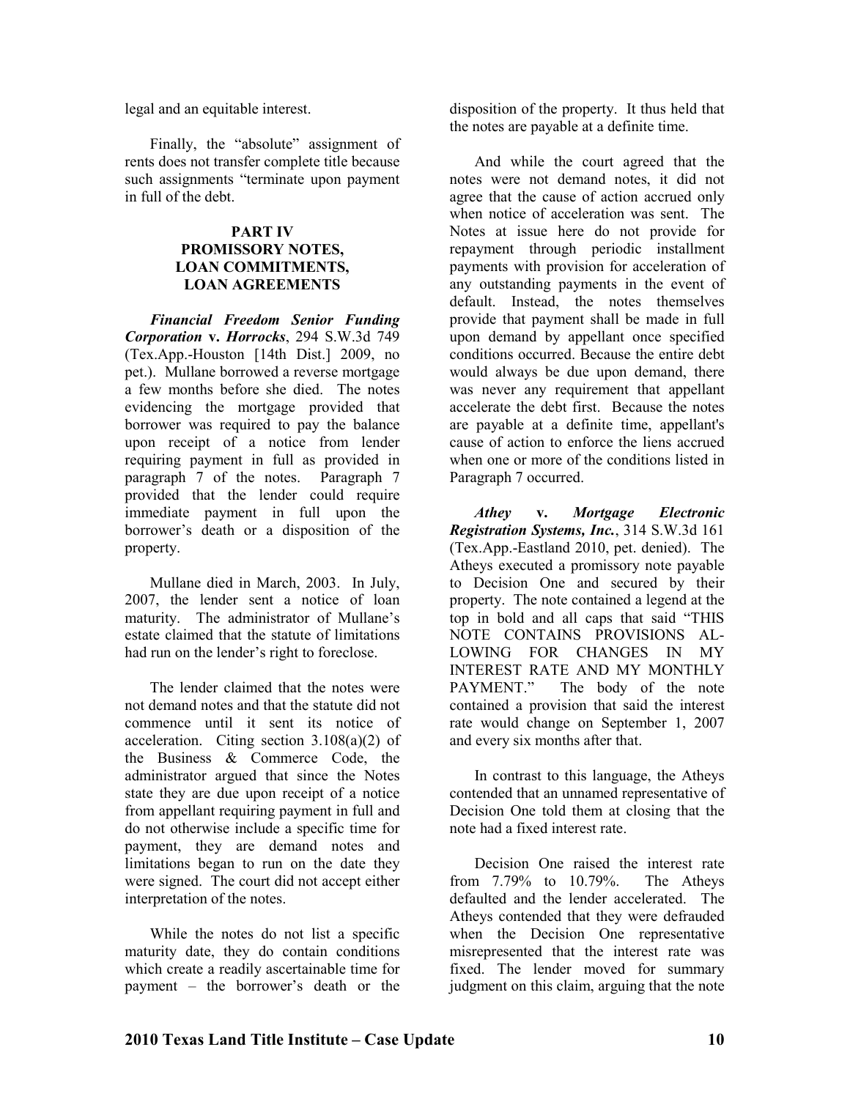legal and an equitable interest.

Finally, the "absolute" assignment of rents does not transfer complete title because such assignments "terminate upon payment in full of the debt.

#### **PART IV PROMISSORY NOTES. LOAN COMMITMENTS, LOAN AGREEMENTS**

*Financial Freedom Senior Funding Corporation* **v.** *Horrocks*, 294 S.W.3d 749 (Tex.App.-Houston [14th Dist.] 2009, no pet.). Mullane borrowed a reverse mortgage a few months before she died. The notes evidencing the mortgage provided that borrower was required to pay the balance upon receipt of a notice from lender requiring payment in full as provided in paragraph 7 of the notes. Paragraph 7 provided that the lender could require immediate payment in full upon the borrower's death or a disposition of the property.

Mullane died in March, 2003. In July, 2007, the lender sent a notice of loan maturity. The administrator of Mullane's estate claimed that the statute of limitations had run on the lender's right to foreclose.

The lender claimed that the notes were not demand notes and that the statute did not commence until it sent its notice of acceleration. Citing section 3.108(a)(2) of the Business & Commerce Code, the administrator argued that since the Notes state they are due upon receipt of a notice from appellant requiring payment in full and do not otherwise include a specific time for payment, they are demand notes and limitations began to run on the date they were signed. The court did not accept either interpretation of the notes.

While the notes do not list a specific maturity date, they do contain conditions which create a readily ascertainable time for payment – the borrower's death or the

disposition of the property. It thus held that the notes are payable at a definite time.

And while the court agreed that the notes were not demand notes, it did not agree that the cause of action accrued only when notice of acceleration was sent. The Notes at issue here do not provide for repayment through periodic installment payments with provision for acceleration of any outstanding payments in the event of default. Instead, the notes themselves provide that payment shall be made in full upon demand by appellant once specified conditions occurred. Because the entire debt would always be due upon demand, there was never any requirement that appellant accelerate the debt first. Because the notes are payable at a definite time, appellant's cause of action to enforce the liens accrued when one or more of the conditions listed in Paragraph 7 occurred.

*Athey* **v.** *Mortgage Electronic Registration Systems, Inc.*, 314 S.W.3d 161 (Tex.App.-Eastland 2010, pet. denied). The Atheys executed a promissory note payable to Decision One and secured by their property. The note contained a legend at the top in bold and all caps that said "THIS NOTE CONTAINS PROVISIONS AL-LOWING FOR CHANGES IN MY INTEREST RATE AND MY MONTHLY<br>PAYMENT." The body of the note The body of the note contained a provision that said the interest rate would change on September 1, 2007 and every six months after that.

In contrast to this language, the Atheys contended that an unnamed representative of Decision One told them at closing that the note had a fixed interest rate.

Decision One raised the interest rate from 7.79% to 10.79%. The Atheys defaulted and the lender accelerated. The Atheys contended that they were defrauded when the Decision One representative misrepresented that the interest rate was fixed. The lender moved for summary judgment on this claim, arguing that the note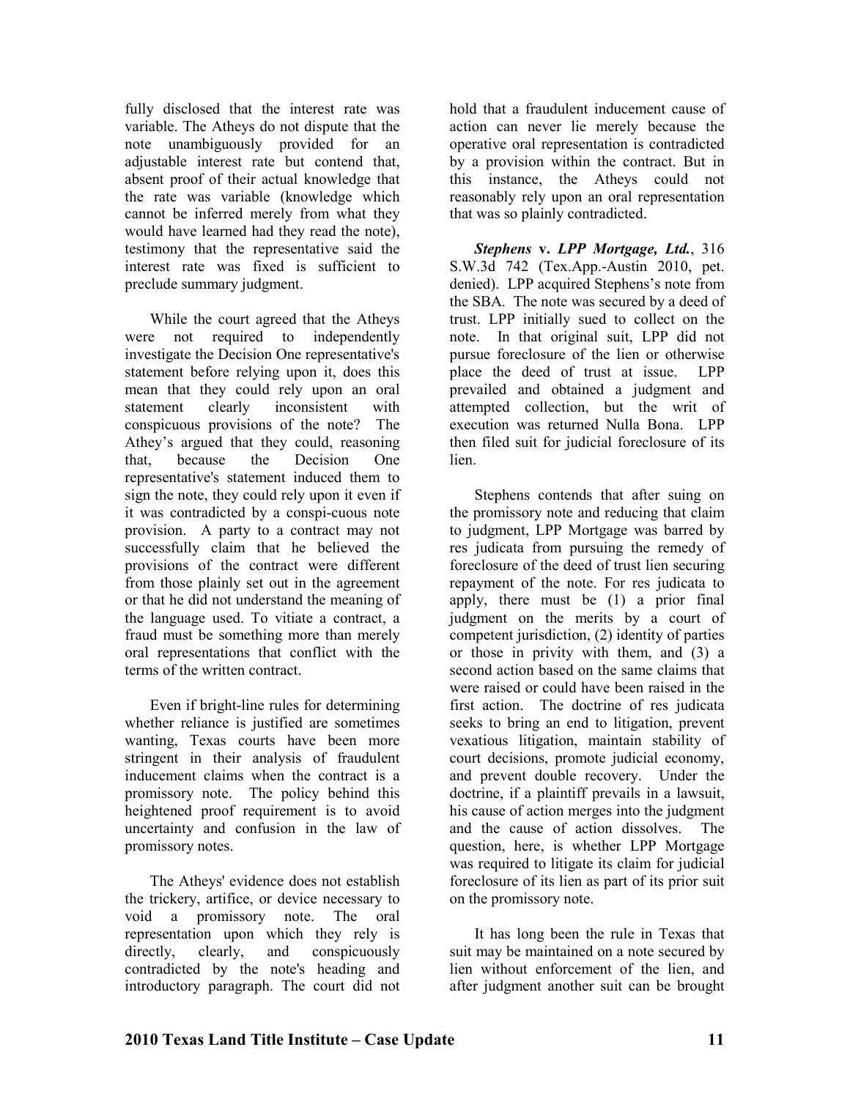fully disclosed that the interest rate was variable. The Atheys do not dispute that the note unambiguously provided for an adjustable interest rate but contend that, absent proof of their actual knowledge that the rate was variable (knowledge which cannot be inferred merely from what they would have learned had they read the note), testimony that the representative said the interest rate was fixed is sufficient to preclude summary judgment.

While the court agreed that the Atheys were not required to independently investigate the Decision One representative's statement before relying upon it, does this mean that they could rely upon an oral statement clearly inconsistent with conspicuous provisions of the note? The Athey's argued that they could, reasoning that, because the Decision One representative's statement induced them to sign the note, they could rely upon it even if it was contradicted by a conspi-cuous note provision. A party to a contract may not successfully claim that he believed the provisions of the contract were different from those plainly set out in the agreement or that he did not understand the meaning of the language used. To vitiate a contract, a fraud must be something more than merely oral representations that conflict with the terms of the written contract.

Even if bright-line rules for determining whether reliance is justified are sometimes wanting, Texas courts have been more stringent in their analysis of fraudulent inducement claims when the contract is a promissory note. The policy behind this heightened proof requirement is to avoid uncertainty and confusion in the law of promissory notes.

The Atheys' evidence does not establish the trickery, artifice, or device necessary to void a promissory note. The oral representation upon which they rely is directly, clearly, and conspicuously contradicted by the note's heading and introductory paragraph. The court did not hold that a fraudulent inducement cause of action can never lie merely because the operative oral representation is contradicted by a provision within the contract. But in this instance, the Atheys could not reasonably rely upon an oral representation that was so plainly contradicted.

*Stephens* **v.** *LPP Mortgage, Ltd.*, 316 S.W.3d 742 (Tex.App.-Austin 2010, pet. denied). LPP acquired Stephens's note from the SBA. The note was secured by a deed of trust. LPP initially sued to collect on the note. In that original suit, LPP did not pursue foreclosure of the lien or otherwise place the deed of trust at issue. LPP prevailed and obtained a judgment and attempted collection, but the writ of execution was returned Nulla Bona. LPP then filed suit for judicial foreclosure of its lien.

Stephens contends that after suing on the promissory note and reducing that claim to judgment, LPP Mortgage was barred by res judicata from pursuing the remedy of foreclosure of the deed of trust lien securing repayment of the note. For res judicata to apply, there must be (1) a prior final judgment on the merits by a court of competent jurisdiction, (2) identity of parties or those in privity with them, and (3) a second action based on the same claims that were raised or could have been raised in the first action. The doctrine of res judicata seeks to bring an end to litigation, prevent vexatious litigation, maintain stability of court decisions, promote judicial economy, and prevent double recovery. Under the doctrine, if a plaintiff prevails in a lawsuit, his cause of action merges into the judgment and the cause of action dissolves. The question, here, is whether LPP Mortgage was required to litigate its claim for judicial foreclosure of its lien as part of its prior suit on the promissory note.

It has long been the rule in Texas that suit may be maintained on a note secured by lien without enforcement of the lien, and after judgment another suit can be brought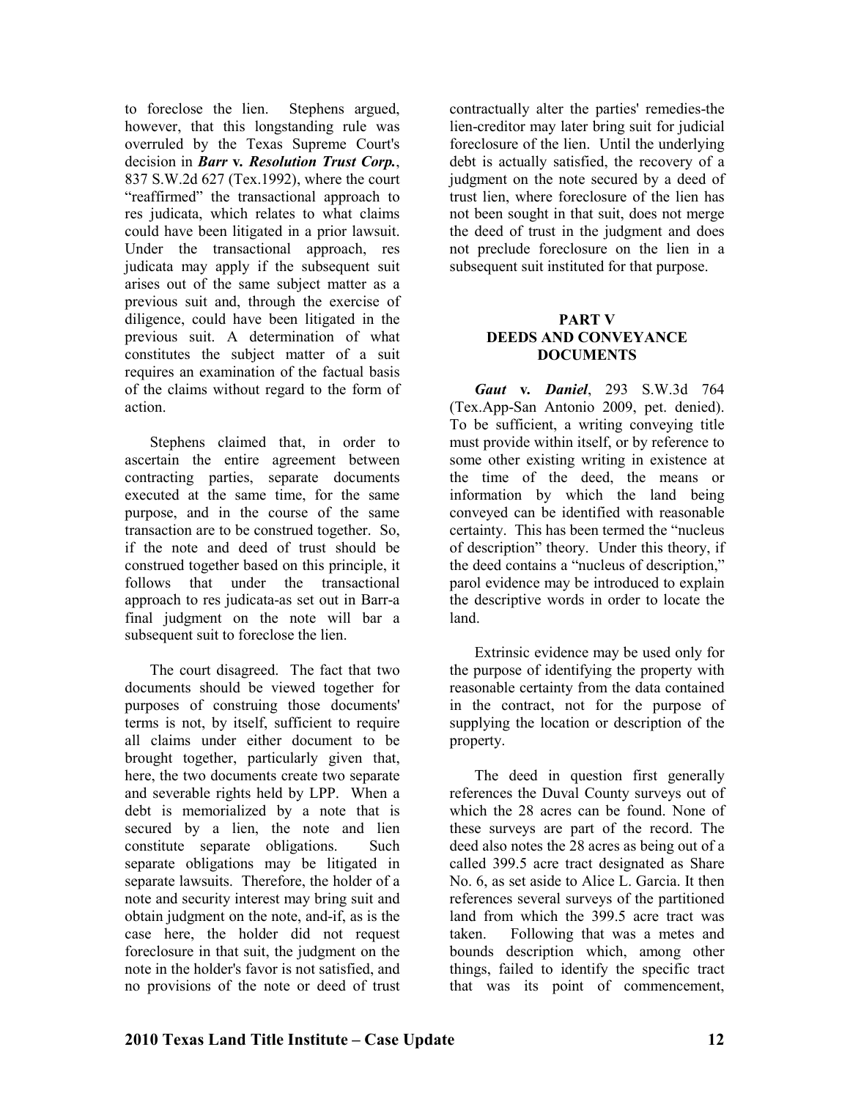to foreclose the lien. Stephens argued, however, that this longstanding rule was overruled by the Texas Supreme Court's decision in *Barr* **v***. Resolution Trust Corp.*, 837 S.W.2d 627 (Tex.1992), where the court "reaffirmed" the transactional approach to res judicata, which relates to what claims could have been litigated in a prior lawsuit. Under the transactional approach, res judicata may apply if the subsequent suit arises out of the same subject matter as a previous suit and, through the exercise of diligence, could have been litigated in the previous suit. A determination of what constitutes the subject matter of a suit requires an examination of the factual basis of the claims without regard to the form of action.

Stephens claimed that, in order to ascertain the entire agreement between contracting parties, separate documents executed at the same time, for the same purpose, and in the course of the same transaction are to be construed together. So, if the note and deed of trust should be construed together based on this principle, it follows that under the transactional approach to res judicata-as set out in Barr-a final judgment on the note will bar a subsequent suit to foreclose the lien.

The court disagreed. The fact that two documents should be viewed together for purposes of construing those documents' terms is not, by itself, sufficient to require all claims under either document to be brought together, particularly given that, here, the two documents create two separate and severable rights held by LPP. When a debt is memorialized by a note that is secured by a lien, the note and lien constitute separate obligations. Such separate obligations may be litigated in separate lawsuits. Therefore, the holder of a note and security interest may bring suit and obtain judgment on the note, and-if, as is the case here, the holder did not request foreclosure in that suit, the judgment on the note in the holder's favor is not satisfied, and no provisions of the note or deed of trust

contractually alter the parties' remedies-the lien-creditor may later bring suit for judicial foreclosure of the lien. Until the underlying debt is actually satisfied, the recovery of a judgment on the note secured by a deed of trust lien, where foreclosure of the lien has not been sought in that suit, does not merge the deed of trust in the judgment and does not preclude foreclosure on the lien in a subsequent suit instituted for that purpose.

#### **PART V DEEDS AND CONVEYANCE DOCUMETS**

*Gaut* **v***. Daniel*, 293 S.W.3d 764 (Tex.App-San Antonio 2009, pet. denied). To be sufficient, a writing conveying title must provide within itself, or by reference to some other existing writing in existence at the time of the deed, the means or information by which the land being conveyed can be identified with reasonable certainty. This has been termed the "nucleus of description" theory. Under this theory, if the deed contains a "nucleus of description," parol evidence may be introduced to explain the descriptive words in order to locate the land.

Extrinsic evidence may be used only for the purpose of identifying the property with reasonable certainty from the data contained in the contract, not for the purpose of supplying the location or description of the property.

The deed in question first generally references the Duval County surveys out of which the 28 acres can be found. None of these surveys are part of the record. The deed also notes the 28 acres as being out of a called 399.5 acre tract designated as Share No. 6, as set aside to Alice L. Garcia. It then references several surveys of the partitioned land from which the 399.5 acre tract was taken. Following that was a metes and bounds description which, among other things, failed to identify the specific tract that was its point of commencement,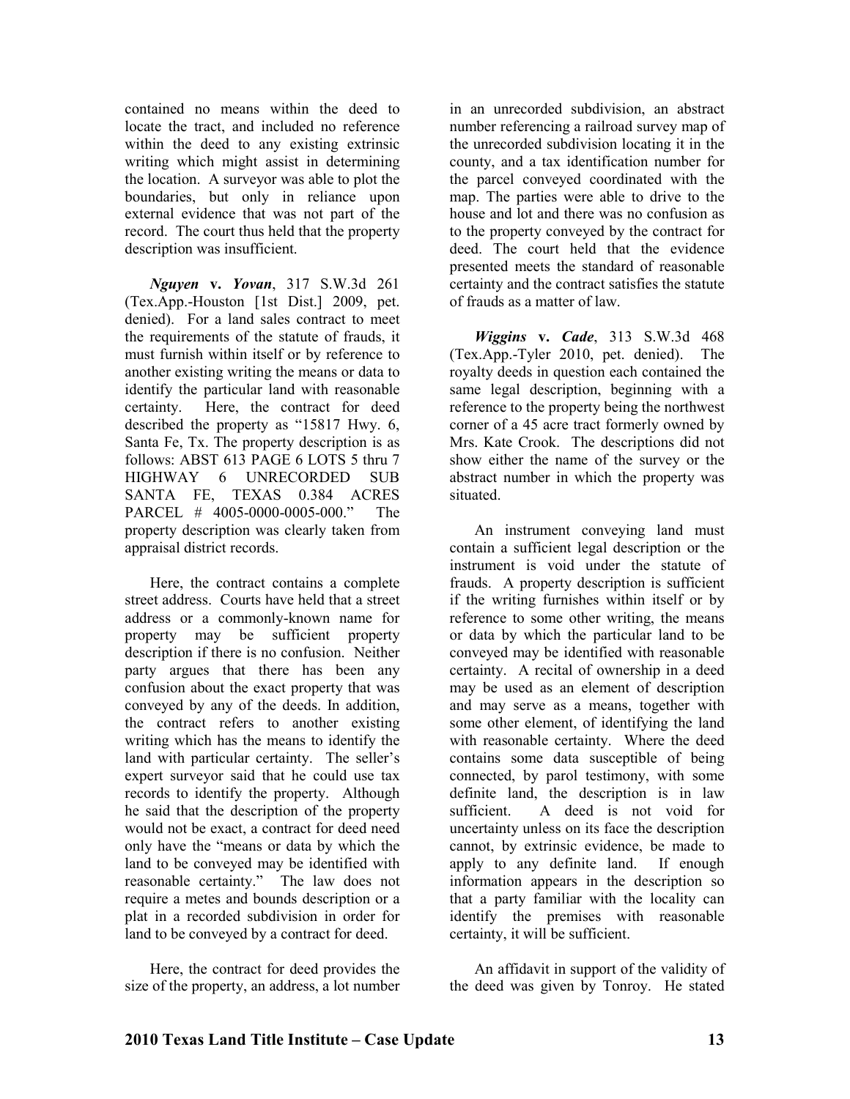contained no means within the deed to locate the tract, and included no reference within the deed to any existing extrinsic writing which might assist in determining the location. A surveyor was able to plot the boundaries, but only in reliance upon external evidence that was not part of the record. The court thus held that the property description was insufficient.

*guyen* **v.** *Yovan*, 317 S.W.3d 261 (Tex.App.-Houston [1st Dist.] 2009, pet. denied). For a land sales contract to meet the requirements of the statute of frauds, it must furnish within itself or by reference to another existing writing the means or data to identify the particular land with reasonable certainty. Here, the contract for deed described the property as "15817 Hwy. 6, Santa Fe, Tx. The property description is as follows: ABST 613 PAGE 6 LOTS 5 thru 7 HIGHWAY 6 UNRECORDED SUB SANTA FE, TEXAS 0.384 ACRES PARCEL # 4005-0000-0005-000." The property description was clearly taken from appraisal district records.

Here, the contract contains a complete street address. Courts have held that a street address or a commonly-known name for property may be sufficient property description if there is no confusion. Neither party argues that there has been any confusion about the exact property that was conveyed by any of the deeds. In addition, the contract refers to another existing writing which has the means to identify the land with particular certainty. The seller's expert surveyor said that he could use tax records to identify the property. Although he said that the description of the property would not be exact, a contract for deed need only have the "means or data by which the land to be conveyed may be identified with reasonable certainty." The law does not require a metes and bounds description or a plat in a recorded subdivision in order for land to be conveyed by a contract for deed.

Here, the contract for deed provides the size of the property, an address, a lot number

in an unrecorded subdivision, an abstract number referencing a railroad survey map of the unrecorded subdivision locating it in the county, and a tax identification number for the parcel conveyed coordinated with the map. The parties were able to drive to the house and lot and there was no confusion as to the property conveyed by the contract for deed. The court held that the evidence presented meets the standard of reasonable certainty and the contract satisfies the statute of frauds as a matter of law.

*Wiggins* **v.** *Cade*, 313 S.W.3d 468 (Tex.App.-Tyler 2010, pet. denied). The royalty deeds in question each contained the same legal description, beginning with a reference to the property being the northwest corner of a 45 acre tract formerly owned by Mrs. Kate Crook. The descriptions did not show either the name of the survey or the abstract number in which the property was situated.

An instrument conveying land must contain a sufficient legal description or the instrument is void under the statute of frauds. A property description is sufficient if the writing furnishes within itself or by reference to some other writing, the means or data by which the particular land to be conveyed may be identified with reasonable certainty. A recital of ownership in a deed may be used as an element of description and may serve as a means, together with some other element, of identifying the land with reasonable certainty. Where the deed contains some data susceptible of being connected, by parol testimony, with some definite land, the description is in law sufficient. A deed is not void for uncertainty unless on its face the description cannot, by extrinsic evidence, be made to apply to any definite land. If enough information appears in the description so that a party familiar with the locality can identify the premises with reasonable certainty, it will be sufficient.

An affidavit in support of the validity of the deed was given by Tonroy. He stated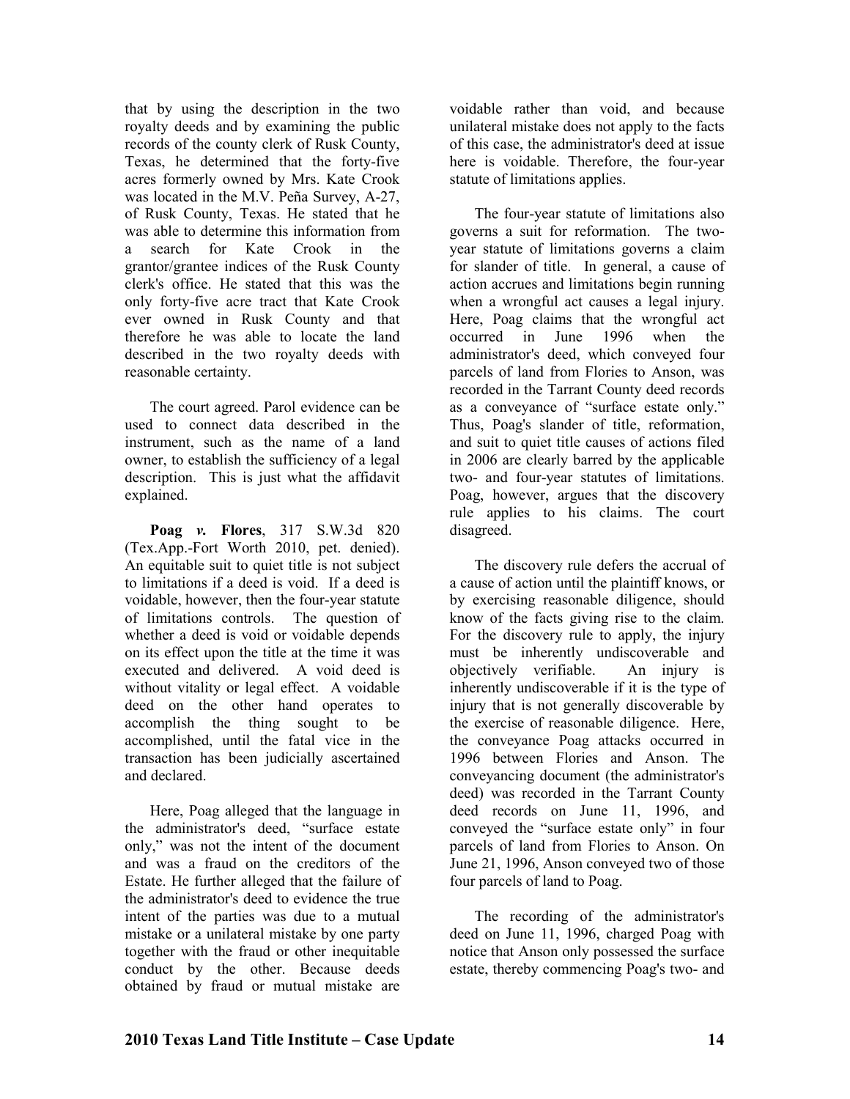that by using the description in the two royalty deeds and by examining the public records of the county clerk of Rusk County, Texas, he determined that the forty-five acres formerly owned by Mrs. Kate Crook was located in the M.V. Peña Survey, A-27, of Rusk County, Texas. He stated that he was able to determine this information from a search for Kate Crook in the grantor/grantee indices of the Rusk County clerk's office. He stated that this was the only forty-five acre tract that Kate Crook ever owned in Rusk County and that therefore he was able to locate the land described in the two royalty deeds with reasonable certainty.

The court agreed. Parol evidence can be used to connect data described in the instrument, such as the name of a land owner, to establish the sufficiency of a legal description. This is just what the affidavit explained.

**Poag** *v.* **Flores**, 317 S.W.3d 820 (Tex.App.-Fort Worth 2010, pet. denied). An equitable suit to quiet title is not subject to limitations if a deed is void. If a deed is voidable, however, then the four-year statute of limitations controls. The question of whether a deed is void or voidable depends on its effect upon the title at the time it was executed and delivered. A void deed is without vitality or legal effect. A voidable deed on the other hand operates to accomplish the thing sought to be accomplished, until the fatal vice in the transaction has been judicially ascertained and declared.

Here, Poag alleged that the language in the administrator's deed, "surface estate only," was not the intent of the document and was a fraud on the creditors of the Estate. He further alleged that the failure of the administrator's deed to evidence the true intent of the parties was due to a mutual mistake or a unilateral mistake by one party together with the fraud or other inequitable conduct by the other. Because deeds obtained by fraud or mutual mistake are

voidable rather than void, and because unilateral mistake does not apply to the facts of this case, the administrator's deed at issue here is voidable. Therefore, the four-year statute of limitations applies.

The four-year statute of limitations also governs a suit for reformation. The twoyear statute of limitations governs a claim for slander of title. In general, a cause of action accrues and limitations begin running when a wrongful act causes a legal injury. Here, Poag claims that the wrongful act occurred in June 1996 when the administrator's deed, which conveyed four parcels of land from Flories to Anson, was recorded in the Tarrant County deed records as a conveyance of "surface estate only." Thus, Poag's slander of title, reformation, and suit to quiet title causes of actions filed in 2006 are clearly barred by the applicable two- and four-year statutes of limitations. Poag, however, argues that the discovery rule applies to his claims. The court disagreed.

The discovery rule defers the accrual of a cause of action until the plaintiff knows, or by exercising reasonable diligence, should know of the facts giving rise to the claim. For the discovery rule to apply, the injury must be inherently undiscoverable and objectively verifiable. An injury is inherently undiscoverable if it is the type of injury that is not generally discoverable by the exercise of reasonable diligence. Here, the conveyance Poag attacks occurred in 1996 between Flories and Anson. The conveyancing document (the administrator's deed) was recorded in the Tarrant County deed records on June 11, 1996, and conveyed the "surface estate only" in four parcels of land from Flories to Anson. On June 21, 1996, Anson conveyed two of those four parcels of land to Poag.

The recording of the administrator's deed on June 11, 1996, charged Poag with notice that Anson only possessed the surface estate, thereby commencing Poag's two- and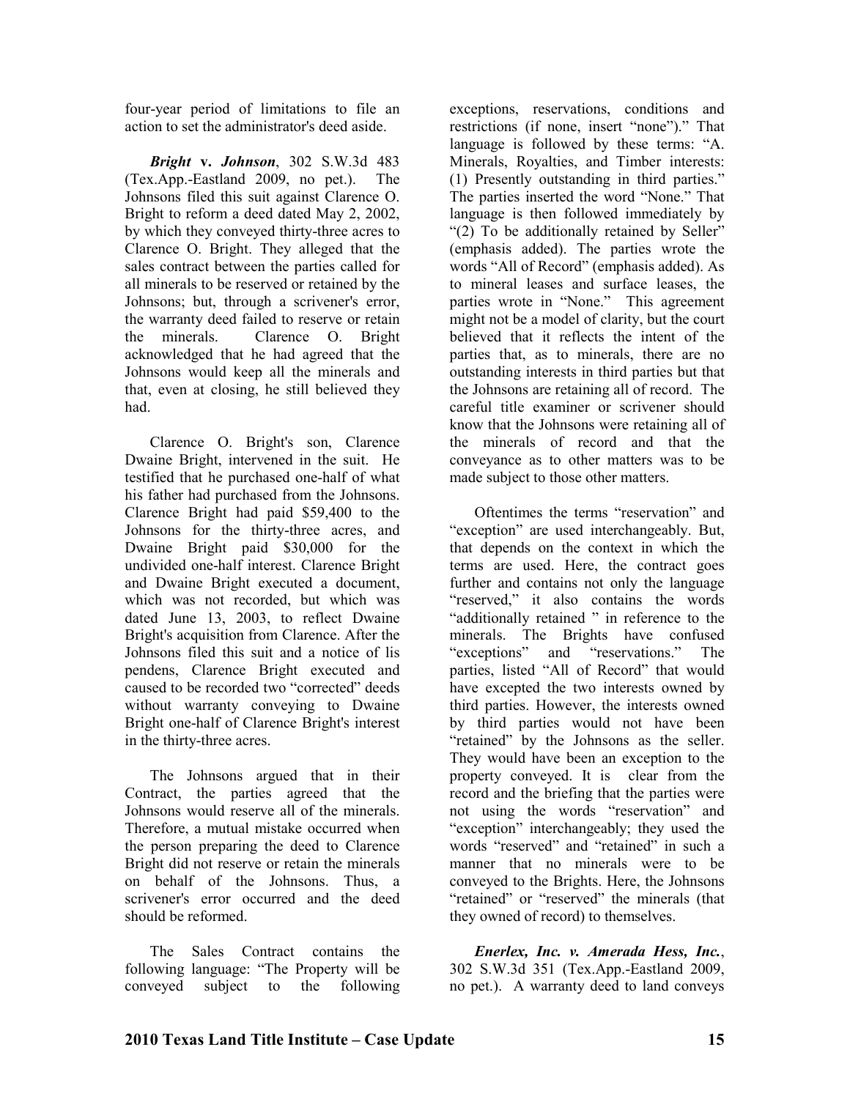four-year period of limitations to file an action to set the administrator's deed aside.

*Bright* **v.** *Johnson*, 302 S.W.3d 483 (Tex.App.-Eastland 2009, no pet.). The Johnsons filed this suit against Clarence O. Bright to reform a deed dated May 2, 2002, by which they conveyed thirty-three acres to Clarence O. Bright. They alleged that the sales contract between the parties called for all minerals to be reserved or retained by the Johnsons; but, through a scrivener's error, the warranty deed failed to reserve or retain<br>the minerals. Clarence O. Bright Clarence O. Bright acknowledged that he had agreed that the Johnsons would keep all the minerals and that, even at closing, he still believed they had.

Clarence O. Bright's son, Clarence Dwaine Bright, intervened in the suit. He testified that he purchased one-half of what his father had purchased from the Johnsons. Clarence Bright had paid \$59,400 to the Johnsons for the thirty-three acres, and Dwaine Bright paid \$30,000 for the undivided one-half interest. Clarence Bright and Dwaine Bright executed a document, which was not recorded, but which was dated June 13, 2003, to reflect Dwaine Bright's acquisition from Clarence. After the Johnsons filed this suit and a notice of lis pendens, Clarence Bright executed and caused to be recorded two "corrected" deeds without warranty conveying to Dwaine Bright one-half of Clarence Bright's interest in the thirty-three acres.

The Johnsons argued that in their Contract, the parties agreed that the Johnsons would reserve all of the minerals. Therefore, a mutual mistake occurred when the person preparing the deed to Clarence Bright did not reserve or retain the minerals on behalf of the Johnsons. Thus, a scrivener's error occurred and the deed should be reformed.

The Sales Contract contains the following language: "The Property will be conveyed subject to the following exceptions, reservations, conditions and restrictions (if none, insert "none")." That language is followed by these terms: "A. Minerals, Royalties, and Timber interests: (1) Presently outstanding in third parties." The parties inserted the word "None." That language is then followed immediately by "(2) To be additionally retained by Seller" (emphasis added). The parties wrote the words "All of Record" (emphasis added). As to mineral leases and surface leases, the parties wrote in "None." This agreement might not be a model of clarity, but the court believed that it reflects the intent of the parties that, as to minerals, there are no outstanding interests in third parties but that the Johnsons are retaining all of record. The careful title examiner or scrivener should know that the Johnsons were retaining all of the minerals of record and that the conveyance as to other matters was to be made subject to those other matters.

Oftentimes the terms "reservation" and "exception" are used interchangeably. But, that depends on the context in which the terms are used. Here, the contract goes further and contains not only the language "reserved," it also contains the words "additionally retained " in reference to the minerals. The Brights have confused "exceptions" and "reservations." The parties, listed "All of Record" that would have excepted the two interests owned by third parties. However, the interests owned by third parties would not have been "retained" by the Johnsons as the seller. They would have been an exception to the property conveyed. It is clear from the record and the briefing that the parties were not using the words "reservation" and "exception" interchangeably; they used the words "reserved" and "retained" in such a manner that no minerals were to be conveyed to the Brights. Here, the Johnsons "retained" or "reserved" the minerals (that they owned of record) to themselves.

*Enerlex, Inc. v. Amerada Hess, Inc.*, 302 S.W.3d 351 (Tex.App.-Eastland 2009, no pet.). A warranty deed to land conveys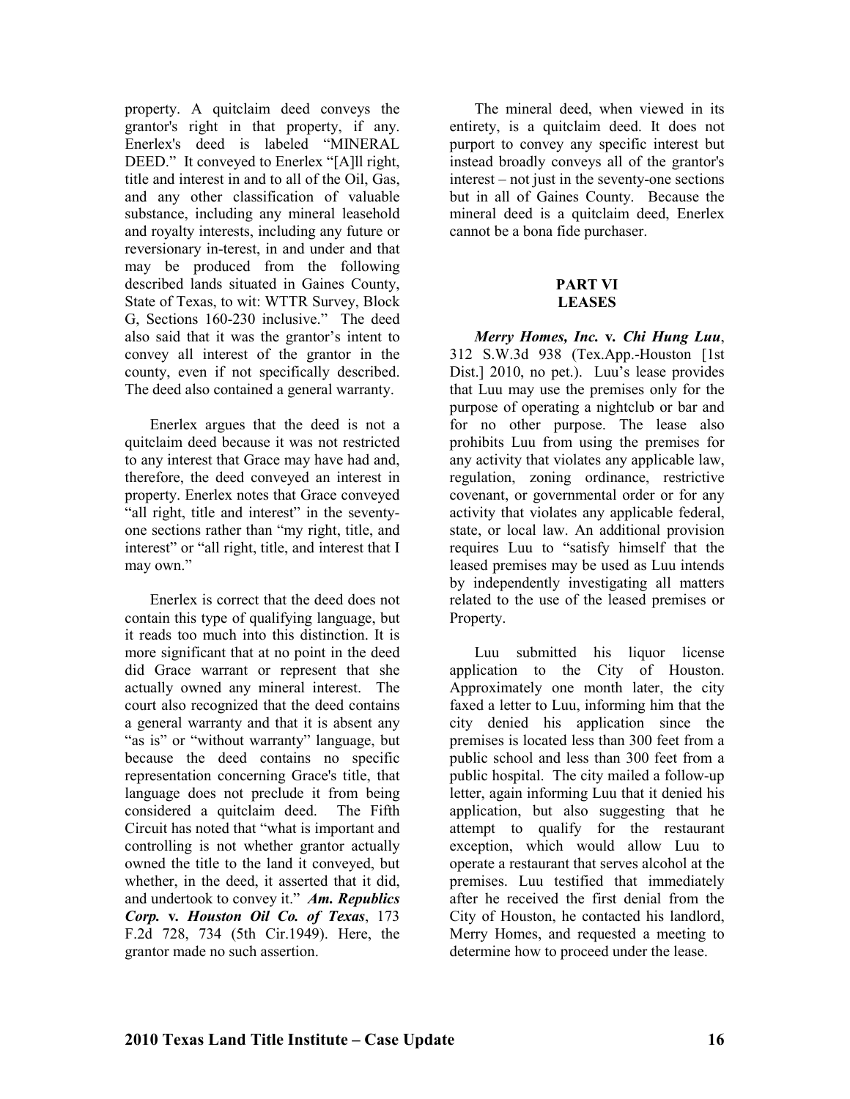property. A quitclaim deed conveys the grantor's right in that property, if any. Enerlex's deed is labeled "MINERAL DEED." It conveyed to Enerlex "[A]ll right, title and interest in and to all of the Oil, Gas, and any other classification of valuable substance, including any mineral leasehold and royalty interests, including any future or reversionary in-terest, in and under and that may be produced from the following described lands situated in Gaines County, State of Texas, to wit: WTTR Survey, Block G, Sections 160-230 inclusive." The deed also said that it was the grantor's intent to convey all interest of the grantor in the county, even if not specifically described. The deed also contained a general warranty.

Enerlex argues that the deed is not a quitclaim deed because it was not restricted to any interest that Grace may have had and, therefore, the deed conveyed an interest in property. Enerlex notes that Grace conveyed "all right, title and interest" in the seventyone sections rather than "my right, title, and interest" or "all right, title, and interest that I may own."

Enerlex is correct that the deed does not contain this type of qualifying language, but it reads too much into this distinction. It is more significant that at no point in the deed did Grace warrant or represent that she actually owned any mineral interest. The court also recognized that the deed contains a general warranty and that it is absent any "as is" or "without warranty" language, but because the deed contains no specific representation concerning Grace's title, that language does not preclude it from being considered a quitclaim deed. The Fifth Circuit has noted that "what is important and controlling is not whether grantor actually owned the title to the land it conveyed, but whether, in the deed, it asserted that it did, and undertook to convey it." *Am. Republics Corp.* **v***. Houston Oil Co. of Texas*, 173 F.2d 728, 734 (5th Cir.1949). Here, the grantor made no such assertion.

The mineral deed, when viewed in its entirety, is a quitclaim deed. It does not purport to convey any specific interest but instead broadly conveys all of the grantor's interest – not just in the seventy-one sections but in all of Gaines County. Because the mineral deed is a quitclaim deed, Enerlex cannot be a bona fide purchaser.

#### **PART VI LEASES**

*Merry Homes, Inc.* **v***. Chi Hung Luu*, 312 S.W.3d 938 (Tex.App.-Houston [1st Dist.] 2010, no pet.). Luu's lease provides that Luu may use the premises only for the purpose of operating a nightclub or bar and for no other purpose. The lease also prohibits Luu from using the premises for any activity that violates any applicable law, regulation, zoning ordinance, restrictive covenant, or governmental order or for any activity that violates any applicable federal, state, or local law. An additional provision requires Luu to "satisfy himself that the leased premises may be used as Luu intends by independently investigating all matters related to the use of the leased premises or Property.

Luu submitted his liquor license application to the City of Houston. Approximately one month later, the city faxed a letter to Luu, informing him that the city denied his application since the premises is located less than 300 feet from a public school and less than 300 feet from a public hospital. The city mailed a follow-up letter, again informing Luu that it denied his application, but also suggesting that he attempt to qualify for the restaurant exception, which would allow Luu to operate a restaurant that serves alcohol at the premises. Luu testified that immediately after he received the first denial from the City of Houston, he contacted his landlord, Merry Homes, and requested a meeting to determine how to proceed under the lease.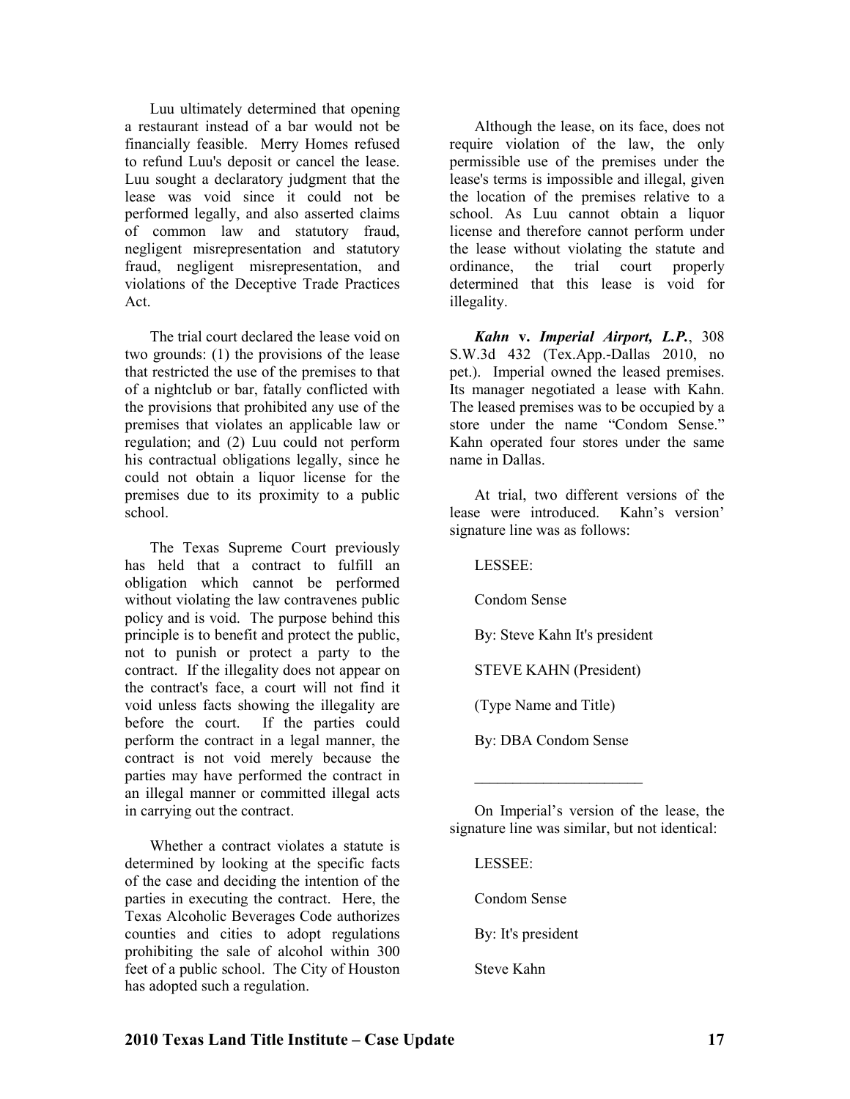Luu ultimately determined that opening a restaurant instead of a bar would not be financially feasible. Merry Homes refused to refund Luu's deposit or cancel the lease. Luu sought a declaratory judgment that the lease was void since it could not be performed legally, and also asserted claims of common law and statutory fraud, negligent misrepresentation and statutory fraud, negligent misrepresentation, and violations of the Deceptive Trade Practices Act.

The trial court declared the lease void on two grounds: (1) the provisions of the lease that restricted the use of the premises to that of a nightclub or bar, fatally conflicted with the provisions that prohibited any use of the premises that violates an applicable law or regulation; and (2) Luu could not perform his contractual obligations legally, since he could not obtain a liquor license for the premises due to its proximity to a public school.

The Texas Supreme Court previously has held that a contract to fulfill an obligation which cannot be performed without violating the law contravenes public policy and is void. The purpose behind this principle is to benefit and protect the public, not to punish or protect a party to the contract. If the illegality does not appear on the contract's face, a court will not find it void unless facts showing the illegality are before the court. If the parties could perform the contract in a legal manner, the contract is not void merely because the parties may have performed the contract in an illegal manner or committed illegal acts in carrying out the contract.

Whether a contract violates a statute is determined by looking at the specific facts of the case and deciding the intention of the parties in executing the contract. Here, the Texas Alcoholic Beverages Code authorizes counties and cities to adopt regulations prohibiting the sale of alcohol within 300 feet of a public school. The City of Houston has adopted such a regulation.

Although the lease, on its face, does not require violation of the law, the only permissible use of the premises under the lease's terms is impossible and illegal, given the location of the premises relative to a school. As Luu cannot obtain a liquor license and therefore cannot perform under the lease without violating the statute and ordinance, the trial court properly determined that this lease is void for illegality.

*Kahn* **v.** *Imperial Airport, L.P.*, 308 S.W.3d 432 (Tex.App.-Dallas 2010, no pet.). Imperial owned the leased premises. Its manager negotiated a lease with Kahn. The leased premises was to be occupied by a store under the name "Condom Sense." Kahn operated four stores under the same name in Dallas.

At trial, two different versions of the lease were introduced. Kahn's version' signature line was as follows:

LESSEE:

Condom Sense

By: Steve Kahn It's president

STEVE KAHN (President)

(Type Name and Title)

By: DBA Condom Sense

 $\_$ 

On Imperial's version of the lease, the signature line was similar, but not identical:

LESSEE: Condom Sense

By: It's president

Steve Kahn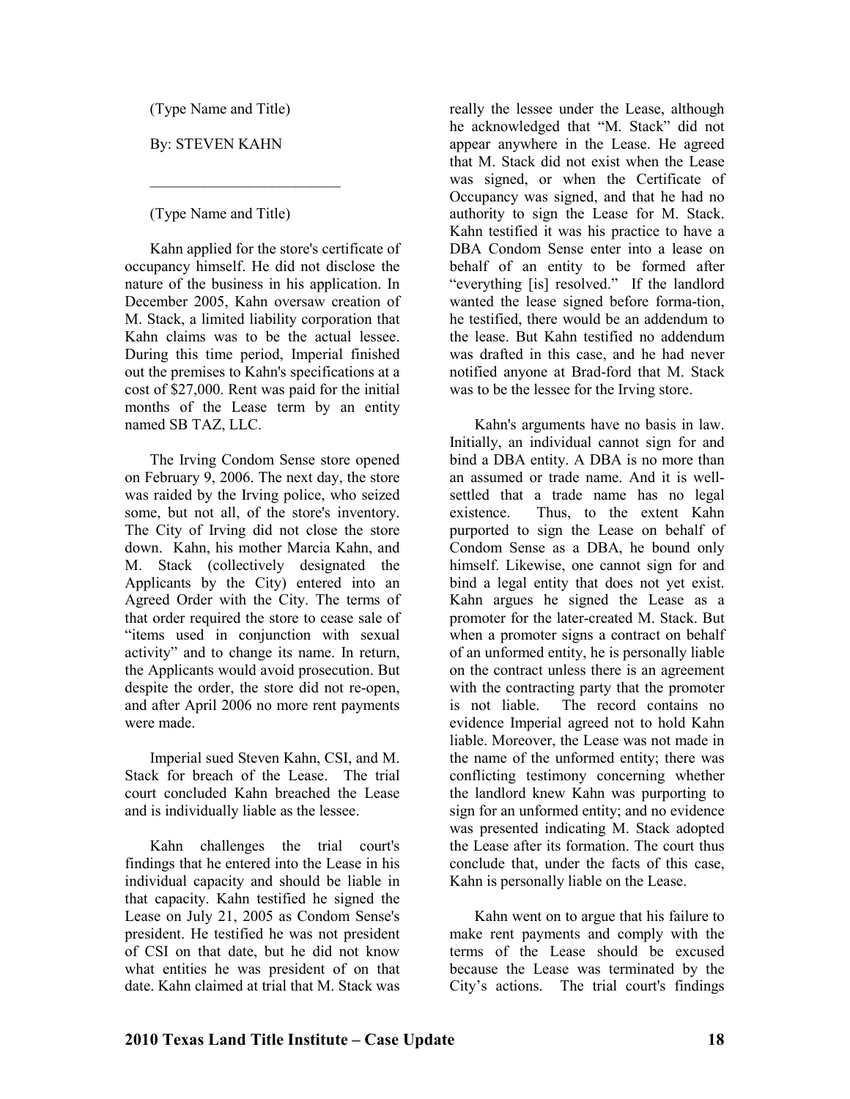(Type Name and Title)

By: STEVEN KAHN

(Type Name and Title)

 $\_$ 

Kahn applied for the store's certificate of occupancy himself. He did not disclose the nature of the business in his application. In December 2005, Kahn oversaw creation of M. Stack, a limited liability corporation that Kahn claims was to be the actual lessee. During this time period, Imperial finished out the premises to Kahn's specifications at a cost of \$27,000. Rent was paid for the initial months of the Lease term by an entity named SB TAZ, LLC.

The Irving Condom Sense store opened on February 9, 2006. The next day, the store was raided by the Irving police, who seized some, but not all, of the store's inventory. The City of Irving did not close the store down. Kahn, his mother Marcia Kahn, and M. Stack (collectively designated the Applicants by the City) entered into an Agreed Order with the City. The terms of that order required the store to cease sale of "items used in conjunction with sexual activity" and to change its name. In return, the Applicants would avoid prosecution. But despite the order, the store did not re-open, and after April 2006 no more rent payments were made.

Imperial sued Steven Kahn, CSI, and M. Stack for breach of the Lease. The trial court concluded Kahn breached the Lease and is individually liable as the lessee.

Kahn challenges the trial court's findings that he entered into the Lease in his individual capacity and should be liable in that capacity. Kahn testified he signed the Lease on July 21, 2005 as Condom Sense's president. He testified he was not president of CSI on that date, but he did not know what entities he was president of on that date. Kahn claimed at trial that M. Stack was

really the lessee under the Lease, although he acknowledged that "M. Stack" did not appear anywhere in the Lease. He agreed that M. Stack did not exist when the Lease was signed, or when the Certificate of Occupancy was signed, and that he had no authority to sign the Lease for M. Stack. Kahn testified it was his practice to have a DBA Condom Sense enter into a lease on behalf of an entity to be formed after "everything [is] resolved." If the landlord wanted the lease signed before forma-tion, he testified, there would be an addendum to the lease. But Kahn testified no addendum was drafted in this case, and he had never notified anyone at Brad-ford that M. Stack was to be the lessee for the Irving store.

Kahn's arguments have no basis in law. Initially, an individual cannot sign for and bind a DBA entity. A DBA is no more than an assumed or trade name. And it is wellsettled that a trade name has no legal existence. Thus, to the extent Kahn purported to sign the Lease on behalf of Condom Sense as a DBA, he bound only himself. Likewise, one cannot sign for and bind a legal entity that does not yet exist. Kahn argues he signed the Lease as a promoter for the later-created M. Stack. But when a promoter signs a contract on behalf of an unformed entity, he is personally liable on the contract unless there is an agreement with the contracting party that the promoter is not liable. The record contains no evidence Imperial agreed not to hold Kahn liable. Moreover, the Lease was not made in the name of the unformed entity; there was conflicting testimony concerning whether the landlord knew Kahn was purporting to sign for an unformed entity; and no evidence was presented indicating M. Stack adopted the Lease after its formation. The court thus conclude that, under the facts of this case, Kahn is personally liable on the Lease.

Kahn went on to argue that his failure to make rent payments and comply with the terms of the Lease should be excused because the Lease was terminated by the City's actions. The trial court's findings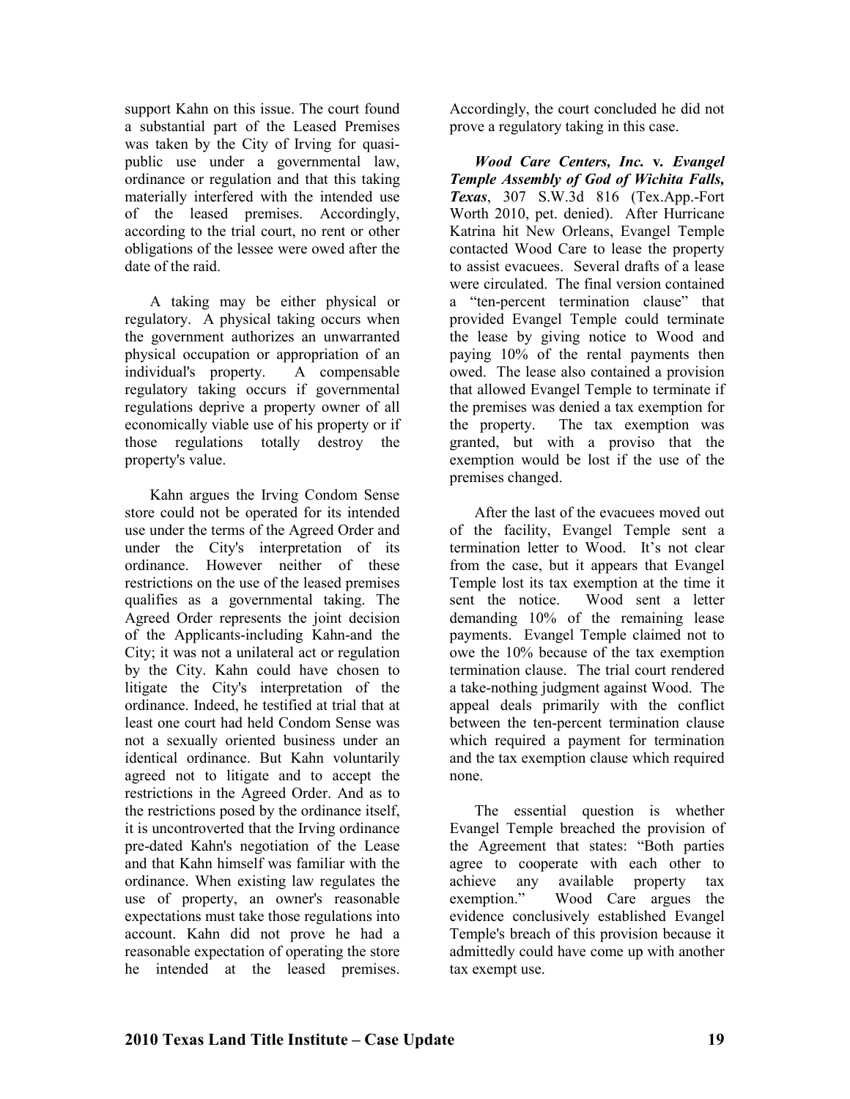support Kahn on this issue. The court found a substantial part of the Leased Premises was taken by the City of Irving for quasipublic use under a governmental law, ordinance or regulation and that this taking materially interfered with the intended use of the leased premises. Accordingly, according to the trial court, no rent or other obligations of the lessee were owed after the date of the raid.

A taking may be either physical or regulatory. A physical taking occurs when the government authorizes an unwarranted physical occupation or appropriation of an individual's property. A compensable regulatory taking occurs if governmental regulations deprive a property owner of all economically viable use of his property or if those regulations totally destroy the property's value.

Kahn argues the Irving Condom Sense store could not be operated for its intended use under the terms of the Agreed Order and under the City's interpretation of its ordinance. However neither of these restrictions on the use of the leased premises qualifies as a governmental taking. The Agreed Order represents the joint decision of the Applicants-including Kahn-and the City; it was not a unilateral act or regulation by the City. Kahn could have chosen to litigate the City's interpretation of the ordinance. Indeed, he testified at trial that at least one court had held Condom Sense was not a sexually oriented business under an identical ordinance. But Kahn voluntarily agreed not to litigate and to accept the restrictions in the Agreed Order. And as to the restrictions posed by the ordinance itself, it is uncontroverted that the Irving ordinance pre-dated Kahn's negotiation of the Lease and that Kahn himself was familiar with the ordinance. When existing law regulates the use of property, an owner's reasonable expectations must take those regulations into account. Kahn did not prove he had a reasonable expectation of operating the store he intended at the leased premises.

Accordingly, the court concluded he did not prove a regulatory taking in this case.

*Wood Care Centers, Inc.* **v***. Evangel Temple Assembly of God of Wichita Falls, Texas*, 307 S.W.3d 816 (Tex.App.-Fort Worth 2010, pet. denied). After Hurricane Katrina hit New Orleans, Evangel Temple contacted Wood Care to lease the property to assist evacuees. Several drafts of a lease were circulated. The final version contained a "ten-percent termination clause" that provided Evangel Temple could terminate the lease by giving notice to Wood and paying 10% of the rental payments then owed. The lease also contained a provision that allowed Evangel Temple to terminate if the premises was denied a tax exemption for the property. The tax exemption was granted, but with a proviso that the exemption would be lost if the use of the premises changed.

After the last of the evacuees moved out of the facility, Evangel Temple sent a termination letter to Wood. It's not clear from the case, but it appears that Evangel Temple lost its tax exemption at the time it sent the notice. Wood sent a letter demanding 10% of the remaining lease payments. Evangel Temple claimed not to owe the 10% because of the tax exemption termination clause. The trial court rendered a take-nothing judgment against Wood. The appeal deals primarily with the conflict between the ten-percent termination clause which required a payment for termination and the tax exemption clause which required none.

The essential question is whether Evangel Temple breached the provision of the Agreement that states: "Both parties agree to cooperate with each other to achieve any available property tax exemption." Wood Care argues the evidence conclusively established Evangel Temple's breach of this provision because it admittedly could have come up with another tax exempt use.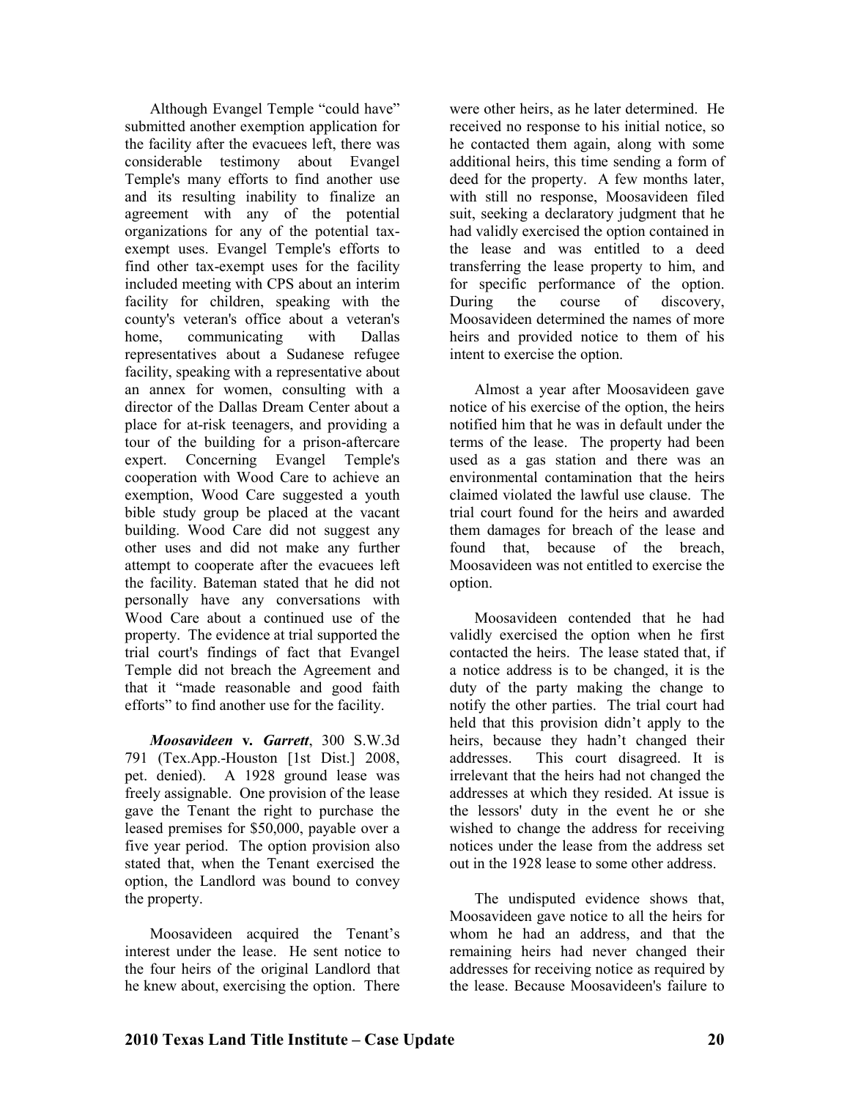Although Evangel Temple "could have" submitted another exemption application for the facility after the evacuees left, there was considerable testimony about Evangel Temple's many efforts to find another use and its resulting inability to finalize an agreement with any of the potential organizations for any of the potential taxexempt uses. Evangel Temple's efforts to find other tax-exempt uses for the facility included meeting with CPS about an interim facility for children, speaking with the county's veteran's office about a veteran's home, communicating with Dallas representatives about a Sudanese refugee facility, speaking with a representative about an annex for women, consulting with a director of the Dallas Dream Center about a place for at-risk teenagers, and providing a tour of the building for a prison-aftercare expert. Concerning Evangel Temple's cooperation with Wood Care to achieve an exemption, Wood Care suggested a youth bible study group be placed at the vacant building. Wood Care did not suggest any other uses and did not make any further attempt to cooperate after the evacuees left the facility. Bateman stated that he did not personally have any conversations with Wood Care about a continued use of the property. The evidence at trial supported the trial court's findings of fact that Evangel Temple did not breach the Agreement and that it "made reasonable and good faith efforts" to find another use for the facility.

*Moosavideen* **v***. Garrett*, 300 S.W.3d 791 (Tex.App.-Houston [1st Dist.] 2008, pet. denied). A 1928 ground lease was freely assignable. One provision of the lease gave the Tenant the right to purchase the leased premises for \$50,000, payable over a five year period. The option provision also stated that, when the Tenant exercised the option, the Landlord was bound to convey the property.

Moosavideen acquired the Tenant's interest under the lease. He sent notice to the four heirs of the original Landlord that he knew about, exercising the option. There

were other heirs, as he later determined. He received no response to his initial notice, so he contacted them again, along with some additional heirs, this time sending a form of deed for the property. A few months later, with still no response, Moosavideen filed suit, seeking a declaratory judgment that he had validly exercised the option contained in the lease and was entitled to a deed transferring the lease property to him, and for specific performance of the option. During the course of discovery, Moosavideen determined the names of more heirs and provided notice to them of his intent to exercise the option.

Almost a year after Moosavideen gave notice of his exercise of the option, the heirs notified him that he was in default under the terms of the lease. The property had been used as a gas station and there was an environmental contamination that the heirs claimed violated the lawful use clause. The trial court found for the heirs and awarded them damages for breach of the lease and found that, because of the breach, Moosavideen was not entitled to exercise the option.

Moosavideen contended that he had validly exercised the option when he first contacted the heirs. The lease stated that, if a notice address is to be changed, it is the duty of the party making the change to notify the other parties. The trial court had held that this provision didn't apply to the heirs, because they hadn't changed their addresses. This court disagreed. It is irrelevant that the heirs had not changed the addresses at which they resided. At issue is the lessors' duty in the event he or she wished to change the address for receiving notices under the lease from the address set out in the 1928 lease to some other address.

The undisputed evidence shows that, Moosavideen gave notice to all the heirs for whom he had an address, and that the remaining heirs had never changed their addresses for receiving notice as required by the lease. Because Moosavideen's failure to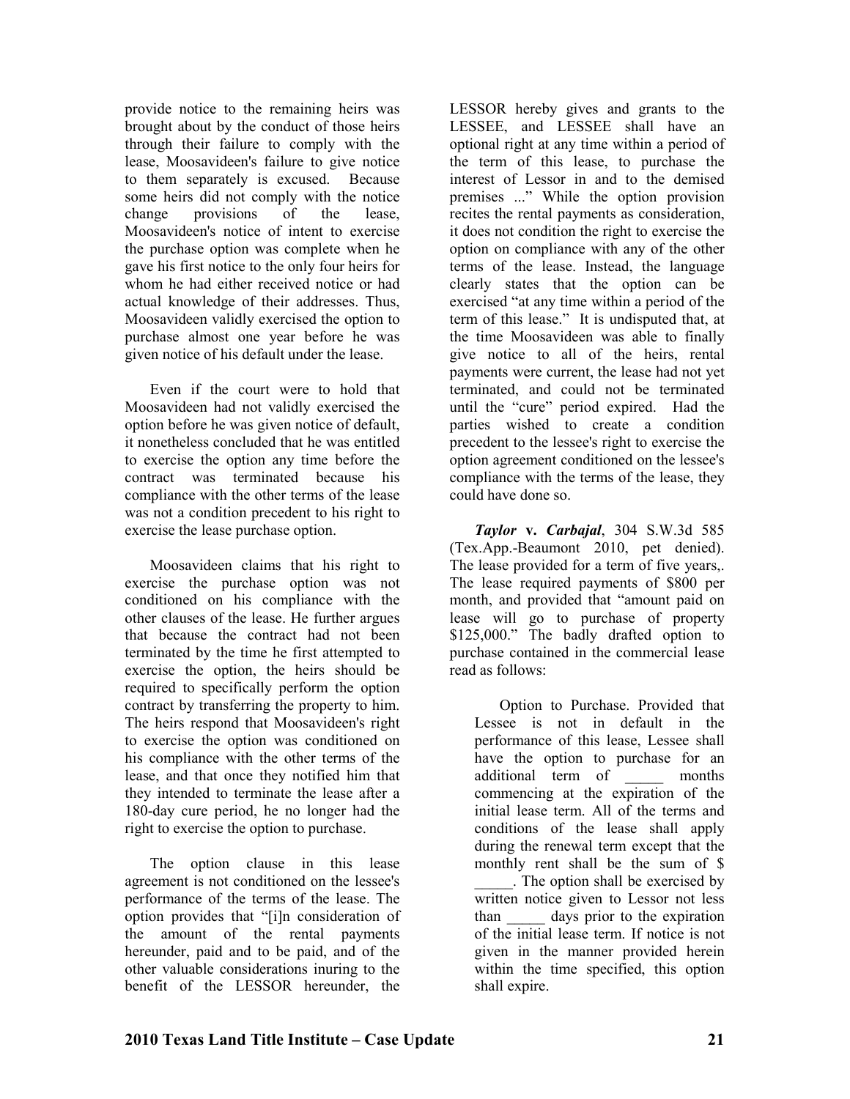provide notice to the remaining heirs was brought about by the conduct of those heirs through their failure to comply with the lease, Moosavideen's failure to give notice to them separately is excused. Because some heirs did not comply with the notice change provisions of the lease, Moosavideen's notice of intent to exercise the purchase option was complete when he gave his first notice to the only four heirs for whom he had either received notice or had actual knowledge of their addresses. Thus, Moosavideen validly exercised the option to purchase almost one year before he was given notice of his default under the lease.

Even if the court were to hold that Moosavideen had not validly exercised the option before he was given notice of default, it nonetheless concluded that he was entitled to exercise the option any time before the contract was terminated because his compliance with the other terms of the lease was not a condition precedent to his right to exercise the lease purchase option.

Moosavideen claims that his right to exercise the purchase option was not conditioned on his compliance with the other clauses of the lease. He further argues that because the contract had not been terminated by the time he first attempted to exercise the option, the heirs should be required to specifically perform the option contract by transferring the property to him. The heirs respond that Moosavideen's right to exercise the option was conditioned on his compliance with the other terms of the lease, and that once they notified him that they intended to terminate the lease after a 180-day cure period, he no longer had the right to exercise the option to purchase.

The option clause in this lease agreement is not conditioned on the lessee's performance of the terms of the lease. The option provides that "[i]n consideration of the amount of the rental payments hereunder, paid and to be paid, and of the other valuable considerations inuring to the benefit of the LESSOR hereunder, the

LESSOR hereby gives and grants to the LESSEE, and LESSEE shall have an optional right at any time within a period of the term of this lease, to purchase the interest of Lessor in and to the demised premises ..." While the option provision recites the rental payments as consideration, it does not condition the right to exercise the option on compliance with any of the other terms of the lease. Instead, the language clearly states that the option can be exercised "at any time within a period of the term of this lease." It is undisputed that, at the time Moosavideen was able to finally give notice to all of the heirs, rental payments were current, the lease had not yet terminated, and could not be terminated until the "cure" period expired. Had the parties wished to create a condition precedent to the lessee's right to exercise the option agreement conditioned on the lessee's compliance with the terms of the lease, they could have done so.

*Taylor* **v.** *Carbajal*, 304 S.W.3d 585 (Tex.App.-Beaumont 2010, pet denied). The lease provided for a term of five years,. The lease required payments of \$800 per month, and provided that "amount paid on lease will go to purchase of property \$125,000." The badly drafted option to purchase contained in the commercial lease read as follows:

Option to Purchase. Provided that Lessee is not in default in the performance of this lease, Lessee shall have the option to purchase for an additional term of \_\_\_\_\_ months commencing at the expiration of the initial lease term. All of the terms and conditions of the lease shall apply during the renewal term except that the monthly rent shall be the sum of \$ \_\_\_\_\_. The option shall be exercised by written notice given to Lessor not less than days prior to the expiration of the initial lease term. If notice is not given in the manner provided herein within the time specified, this option shall expire.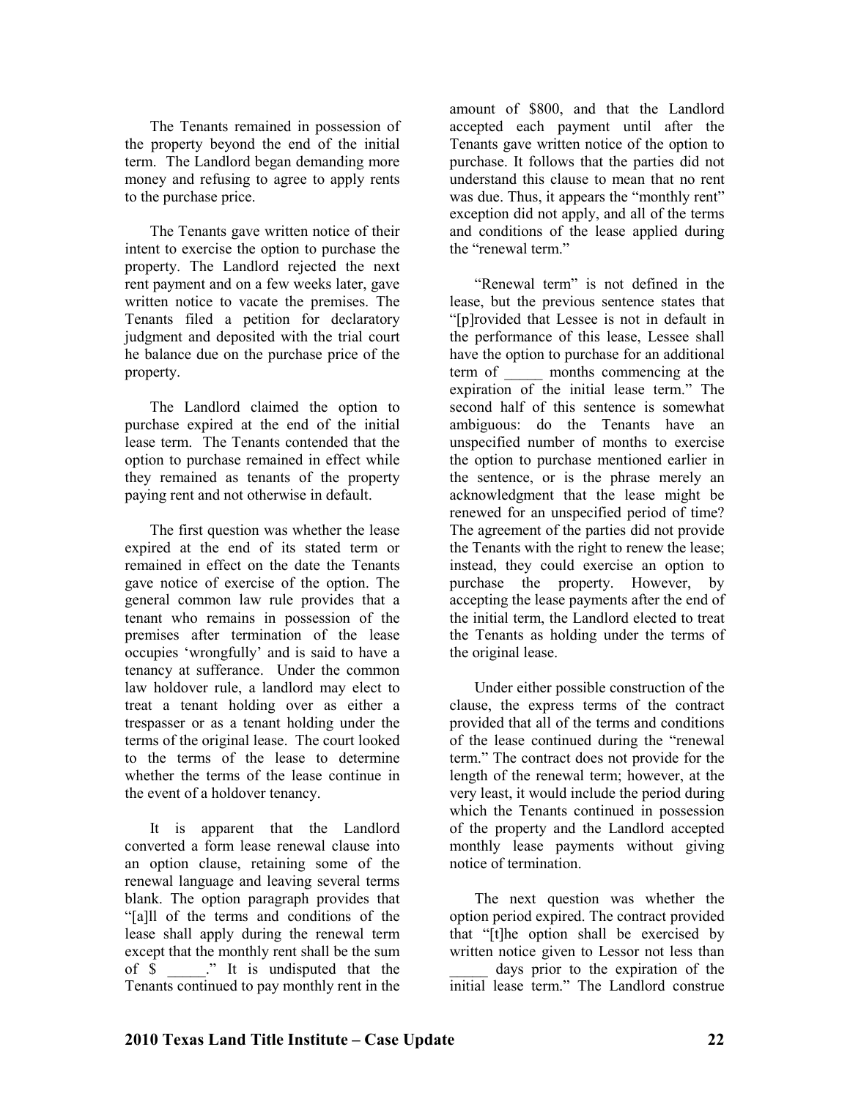The Tenants remained in possession of the property beyond the end of the initial term. The Landlord began demanding more money and refusing to agree to apply rents to the purchase price.

The Tenants gave written notice of their intent to exercise the option to purchase the property. The Landlord rejected the next rent payment and on a few weeks later, gave written notice to vacate the premises. The Tenants filed a petition for declaratory judgment and deposited with the trial court he balance due on the purchase price of the property.

The Landlord claimed the option to purchase expired at the end of the initial lease term. The Tenants contended that the option to purchase remained in effect while they remained as tenants of the property paying rent and not otherwise in default.

The first question was whether the lease expired at the end of its stated term or remained in effect on the date the Tenants gave notice of exercise of the option. The general common law rule provides that a tenant who remains in possession of the premises after termination of the lease occupies 'wrongfully' and is said to have a tenancy at sufferance. Under the common law holdover rule, a landlord may elect to treat a tenant holding over as either a trespasser or as a tenant holding under the terms of the original lease. The court looked to the terms of the lease to determine whether the terms of the lease continue in the event of a holdover tenancy.

It is apparent that the Landlord converted a form lease renewal clause into an option clause, retaining some of the renewal language and leaving several terms blank. The option paragraph provides that "[a]ll of the terms and conditions of the lease shall apply during the renewal term except that the monthly rent shall be the sum of \$ \_\_\_\_\_." It is undisputed that the Tenants continued to pay monthly rent in the

amount of \$800, and that the Landlord accepted each payment until after the Tenants gave written notice of the option to purchase. It follows that the parties did not understand this clause to mean that no rent was due. Thus, it appears the "monthly rent" exception did not apply, and all of the terms and conditions of the lease applied during the "renewal term"

"Renewal term" is not defined in the lease, but the previous sentence states that "[p]rovided that Lessee is not in default in the performance of this lease, Lessee shall have the option to purchase for an additional term of months commencing at the expiration of the initial lease term." The second half of this sentence is somewhat ambiguous: do the Tenants have an unspecified number of months to exercise the option to purchase mentioned earlier in the sentence, or is the phrase merely an acknowledgment that the lease might be renewed for an unspecified period of time? The agreement of the parties did not provide the Tenants with the right to renew the lease; instead, they could exercise an option to purchase the property. However, by accepting the lease payments after the end of the initial term, the Landlord elected to treat the Tenants as holding under the terms of the original lease.

Under either possible construction of the clause, the express terms of the contract provided that all of the terms and conditions of the lease continued during the "renewal term." The contract does not provide for the length of the renewal term; however, at the very least, it would include the period during which the Tenants continued in possession of the property and the Landlord accepted monthly lease payments without giving notice of termination.

The next question was whether the option period expired. The contract provided that "[t]he option shall be exercised by written notice given to Lessor not less than days prior to the expiration of the initial lease term." The Landlord construe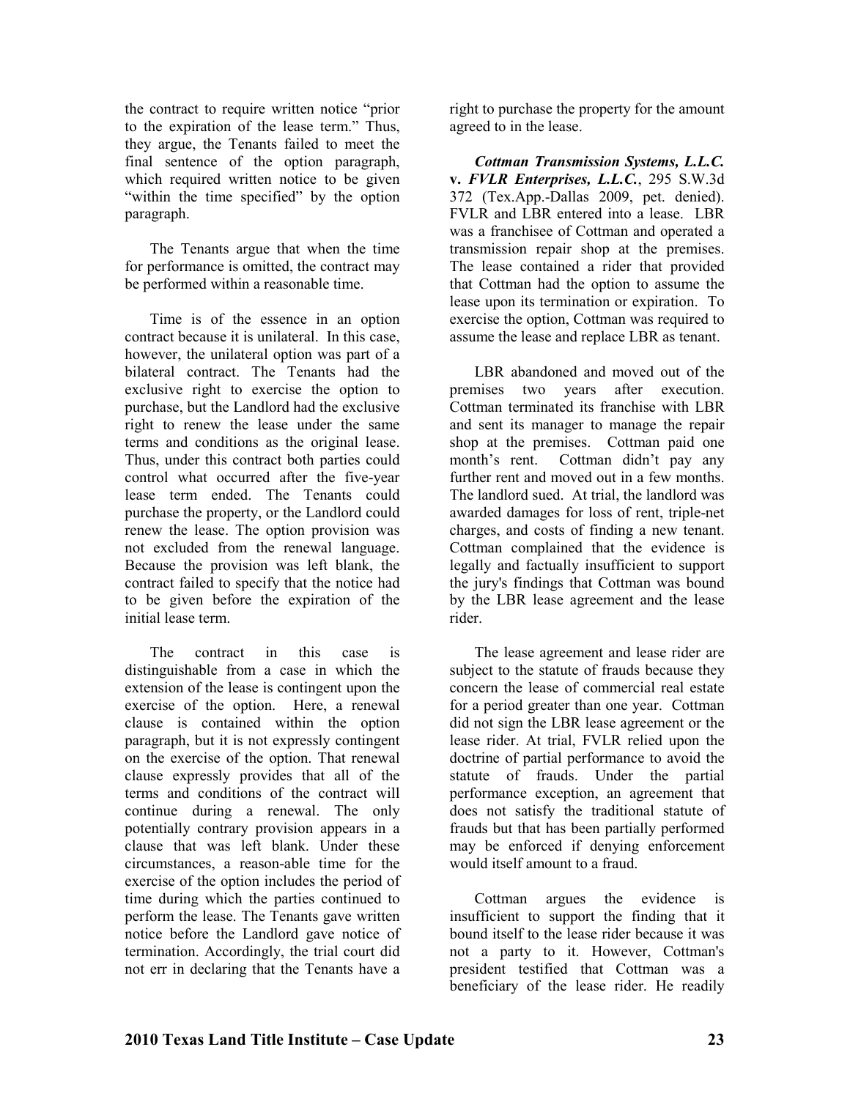the contract to require written notice "prior to the expiration of the lease term." Thus, they argue, the Tenants failed to meet the final sentence of the option paragraph, which required written notice to be given "within the time specified" by the option paragraph.

The Tenants argue that when the time for performance is omitted, the contract may be performed within a reasonable time.

Time is of the essence in an option contract because it is unilateral. In this case, however, the unilateral option was part of a bilateral contract. The Tenants had the exclusive right to exercise the option to purchase, but the Landlord had the exclusive right to renew the lease under the same terms and conditions as the original lease. Thus, under this contract both parties could control what occurred after the five-year lease term ended. The Tenants could purchase the property, or the Landlord could renew the lease. The option provision was not excluded from the renewal language. Because the provision was left blank, the contract failed to specify that the notice had to be given before the expiration of the initial lease term.

The contract in this case is distinguishable from a case in which the extension of the lease is contingent upon the exercise of the option. Here, a renewal clause is contained within the option paragraph, but it is not expressly contingent on the exercise of the option. That renewal clause expressly provides that all of the terms and conditions of the contract will continue during a renewal. The only potentially contrary provision appears in a clause that was left blank. Under these circumstances, a reason-able time for the exercise of the option includes the period of time during which the parties continued to perform the lease. The Tenants gave written notice before the Landlord gave notice of termination. Accordingly, the trial court did not err in declaring that the Tenants have a

right to purchase the property for the amount agreed to in the lease.

*Cottman Transmission Systems, L.L.C.*  **v.** *FVLR Enterprises, L.L.C.*, 295 S.W.3d 372 (Tex.App.-Dallas 2009, pet. denied). FVLR and LBR entered into a lease. LBR was a franchisee of Cottman and operated a transmission repair shop at the premises. The lease contained a rider that provided that Cottman had the option to assume the lease upon its termination or expiration. To exercise the option, Cottman was required to assume the lease and replace LBR as tenant.

LBR abandoned and moved out of the premises two years after execution. Cottman terminated its franchise with LBR and sent its manager to manage the repair shop at the premises. Cottman paid one month's rent. Cottman didn't pay any further rent and moved out in a few months. The landlord sued. At trial, the landlord was awarded damages for loss of rent, triple-net charges, and costs of finding a new tenant. Cottman complained that the evidence is legally and factually insufficient to support the jury's findings that Cottman was bound by the LBR lease agreement and the lease rider.

The lease agreement and lease rider are subject to the statute of frauds because they concern the lease of commercial real estate for a period greater than one year. Cottman did not sign the LBR lease agreement or the lease rider. At trial, FVLR relied upon the doctrine of partial performance to avoid the statute of frauds. Under the partial performance exception, an agreement that does not satisfy the traditional statute of frauds but that has been partially performed may be enforced if denying enforcement would itself amount to a fraud.

Cottman argues the evidence is insufficient to support the finding that it bound itself to the lease rider because it was not a party to it. However, Cottman's president testified that Cottman was a beneficiary of the lease rider. He readily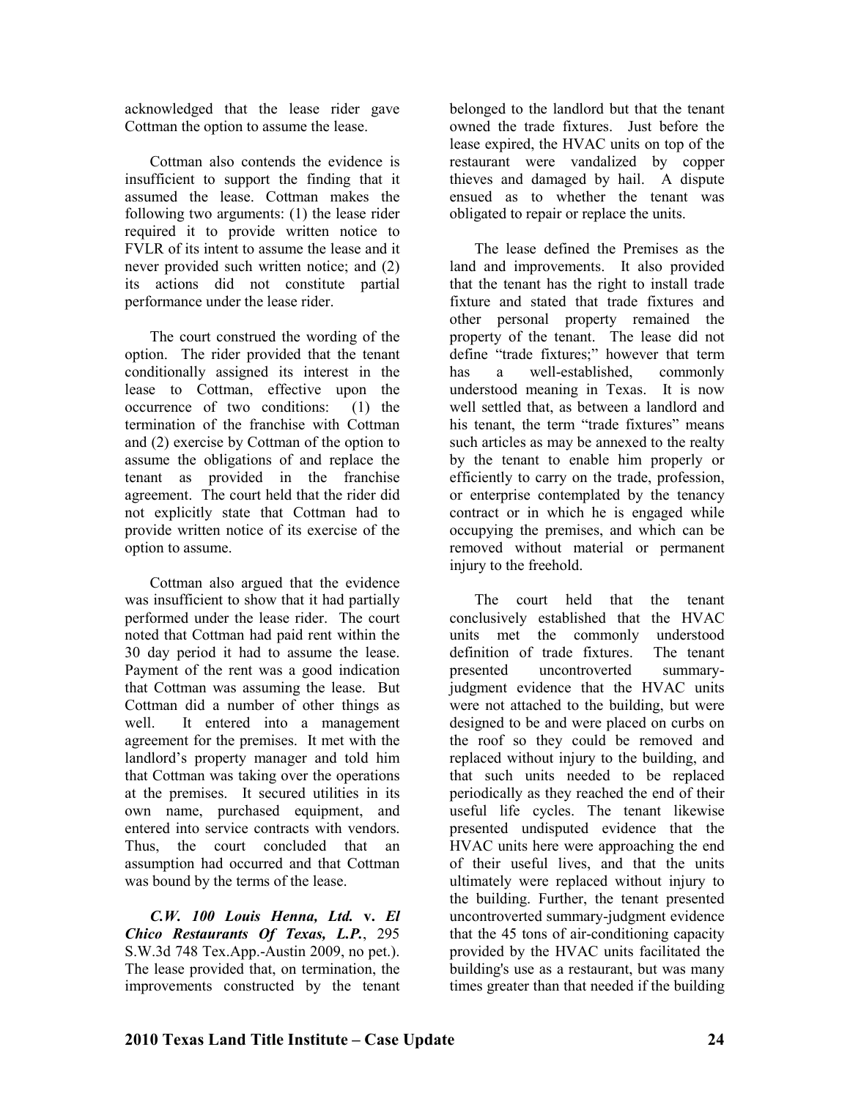acknowledged that the lease rider gave Cottman the option to assume the lease.

Cottman also contends the evidence is insufficient to support the finding that it assumed the lease. Cottman makes the following two arguments: (1) the lease rider required it to provide written notice to FVLR of its intent to assume the lease and it never provided such written notice; and (2) its actions did not constitute partial performance under the lease rider.

The court construed the wording of the option. The rider provided that the tenant conditionally assigned its interest in the lease to Cottman, effective upon the occurrence of two conditions: (1) the termination of the franchise with Cottman and (2) exercise by Cottman of the option to assume the obligations of and replace the tenant as provided in the franchise agreement. The court held that the rider did not explicitly state that Cottman had to provide written notice of its exercise of the option to assume.

Cottman also argued that the evidence was insufficient to show that it had partially performed under the lease rider. The court noted that Cottman had paid rent within the 30 day period it had to assume the lease. Payment of the rent was a good indication that Cottman was assuming the lease. But Cottman did a number of other things as well. It entered into a management agreement for the premises. It met with the landlord's property manager and told him that Cottman was taking over the operations at the premises. It secured utilities in its own name, purchased equipment, and entered into service contracts with vendors. Thus, the court concluded that an assumption had occurred and that Cottman was bound by the terms of the lease.

*C.W. 100 Louis Henna, Ltd.* **v.** *El Chico Restaurants Of Texas, L.P.*, 295 S.W.3d 748 Tex.App.-Austin 2009, no pet.). The lease provided that, on termination, the improvements constructed by the tenant

belonged to the landlord but that the tenant owned the trade fixtures. Just before the lease expired, the HVAC units on top of the restaurant were vandalized by copper thieves and damaged by hail. A dispute ensued as to whether the tenant was obligated to repair or replace the units.

The lease defined the Premises as the land and improvements. It also provided that the tenant has the right to install trade fixture and stated that trade fixtures and other personal property remained the property of the tenant. The lease did not define "trade fixtures;" however that term has a well-established, commonly understood meaning in Texas. It is now well settled that, as between a landlord and his tenant, the term "trade fixtures" means such articles as may be annexed to the realty by the tenant to enable him properly or efficiently to carry on the trade, profession, or enterprise contemplated by the tenancy contract or in which he is engaged while occupying the premises, and which can be removed without material or permanent injury to the freehold.

The court held that the tenant conclusively established that the HVAC units met the commonly understood definition of trade fixtures. The tenant presented uncontroverted summaryjudgment evidence that the HVAC units were not attached to the building, but were designed to be and were placed on curbs on the roof so they could be removed and replaced without injury to the building, and that such units needed to be replaced periodically as they reached the end of their useful life cycles. The tenant likewise presented undisputed evidence that the HVAC units here were approaching the end of their useful lives, and that the units ultimately were replaced without injury to the building. Further, the tenant presented uncontroverted summary-judgment evidence that the 45 tons of air-conditioning capacity provided by the HVAC units facilitated the building's use as a restaurant, but was many times greater than that needed if the building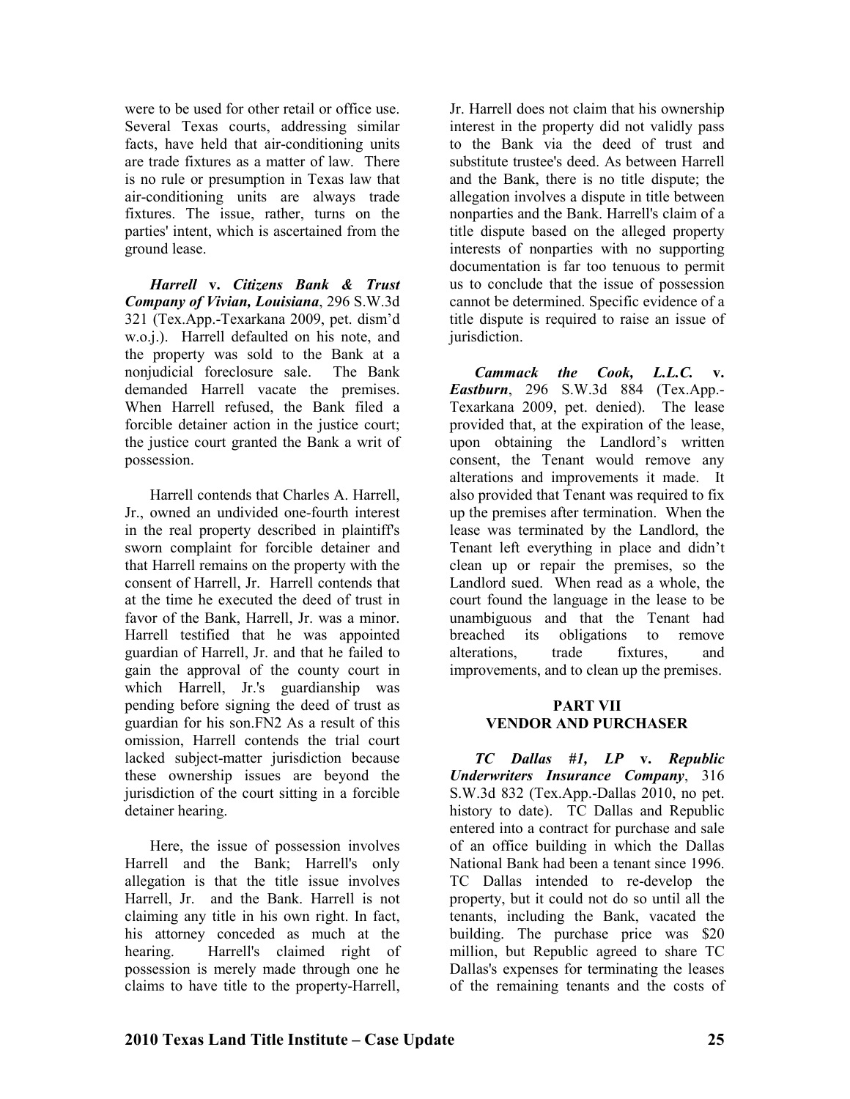were to be used for other retail or office use. Several Texas courts, addressing similar facts, have held that air-conditioning units are trade fixtures as a matter of law. There is no rule or presumption in Texas law that air-conditioning units are always trade fixtures. The issue, rather, turns on the parties' intent, which is ascertained from the ground lease.

*Harrell* **v.** *Citizens Bank & Trust Company of Vivian, Louisiana*, 296 S.W.3d 321 (Tex.App.-Texarkana 2009, pet. dism'd w.o.j.). Harrell defaulted on his note, and the property was sold to the Bank at a nonjudicial foreclosure sale. The Bank demanded Harrell vacate the premises. When Harrell refused, the Bank filed a forcible detainer action in the justice court; the justice court granted the Bank a writ of possession.

Harrell contends that Charles A. Harrell, Jr., owned an undivided one-fourth interest in the real property described in plaintiff's sworn complaint for forcible detainer and that Harrell remains on the property with the consent of Harrell, Jr. Harrell contends that at the time he executed the deed of trust in favor of the Bank, Harrell, Jr. was a minor. Harrell testified that he was appointed guardian of Harrell, Jr. and that he failed to gain the approval of the county court in which Harrell, Jr.'s guardianship was pending before signing the deed of trust as guardian for his son.FN2 As a result of this omission, Harrell contends the trial court lacked subject-matter jurisdiction because these ownership issues are beyond the jurisdiction of the court sitting in a forcible detainer hearing.

Here, the issue of possession involves Harrell and the Bank; Harrell's only allegation is that the title issue involves Harrell, Jr. and the Bank. Harrell is not claiming any title in his own right. In fact, his attorney conceded as much at the hearing. Harrell's claimed right of possession is merely made through one he claims to have title to the property-Harrell,

Jr. Harrell does not claim that his ownership interest in the property did not validly pass to the Bank via the deed of trust and substitute trustee's deed. As between Harrell and the Bank, there is no title dispute; the allegation involves a dispute in title between nonparties and the Bank. Harrell's claim of a title dispute based on the alleged property interests of nonparties with no supporting documentation is far too tenuous to permit us to conclude that the issue of possession cannot be determined. Specific evidence of a title dispute is required to raise an issue of jurisdiction.

*Cammack the Cook, L.L.C.* **v.**  *Eastburn*, 296 S.W.3d 884 (Tex.App.- Texarkana 2009, pet. denied). The lease provided that, at the expiration of the lease, upon obtaining the Landlord's written consent, the Tenant would remove any alterations and improvements it made. It also provided that Tenant was required to fix up the premises after termination. When the lease was terminated by the Landlord, the Tenant left everything in place and didn't clean up or repair the premises, so the Landlord sued. When read as a whole, the court found the language in the lease to be unambiguous and that the Tenant had breached its obligations to remove alterations, trade fixtures, and improvements, and to clean up the premises.

#### **PART VII VENDOR AND PURCHASER**

*TC Dallas #1, LP* **v.** *Republic Underwriters Insurance Company*, 316 S.W.3d 832 (Tex.App.-Dallas 2010, no pet. history to date). TC Dallas and Republic entered into a contract for purchase and sale of an office building in which the Dallas National Bank had been a tenant since 1996. TC Dallas intended to re-develop the property, but it could not do so until all the tenants, including the Bank, vacated the building. The purchase price was \$20 million, but Republic agreed to share TC Dallas's expenses for terminating the leases of the remaining tenants and the costs of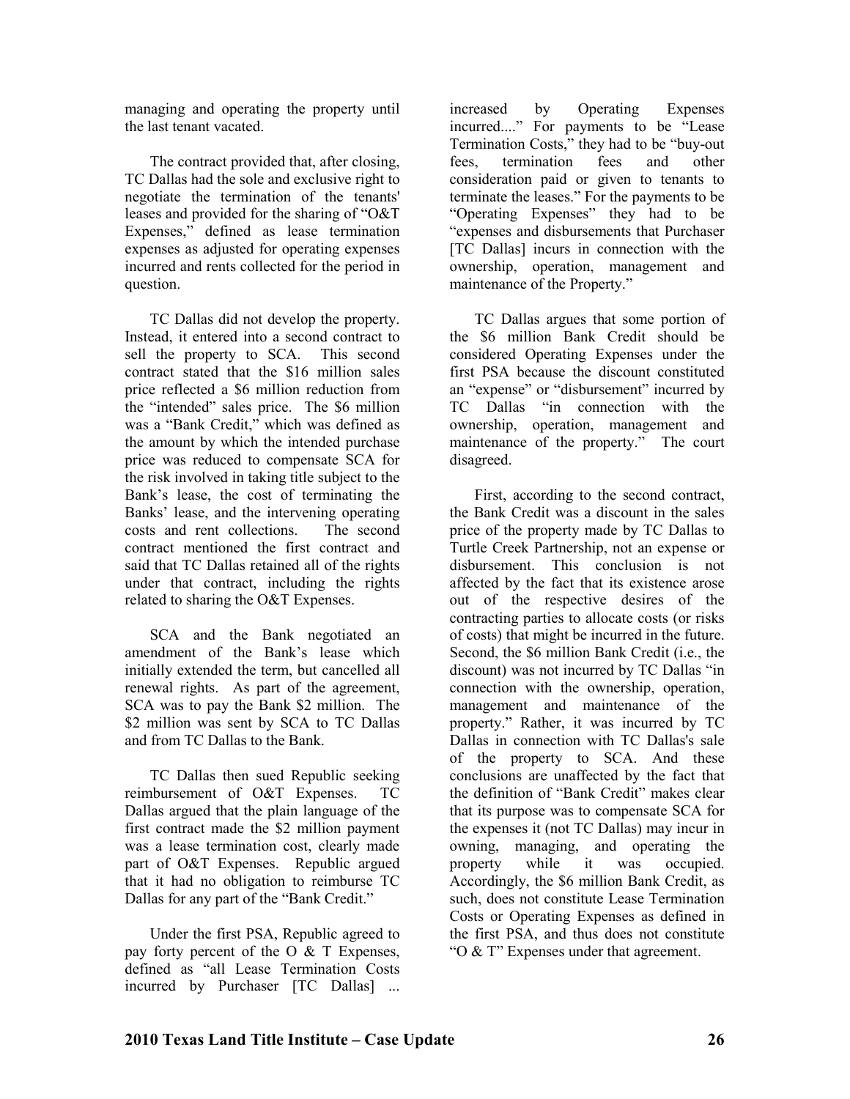managing and operating the property until the last tenant vacated.

The contract provided that, after closing, TC Dallas had the sole and exclusive right to negotiate the termination of the tenants' leases and provided for the sharing of "O&T Expenses," defined as lease termination expenses as adjusted for operating expenses incurred and rents collected for the period in question.

TC Dallas did not develop the property. Instead, it entered into a second contract to sell the property to SCA. This second contract stated that the \$16 million sales price reflected a \$6 million reduction from the "intended" sales price. The \$6 million was a "Bank Credit," which was defined as the amount by which the intended purchase price was reduced to compensate SCA for the risk involved in taking title subject to the Bank's lease, the cost of terminating the Banks' lease, and the intervening operating costs and rent collections. The second contract mentioned the first contract and said that TC Dallas retained all of the rights under that contract, including the rights related to sharing the O&T Expenses.

SCA and the Bank negotiated an amendment of the Bank's lease which initially extended the term, but cancelled all renewal rights. As part of the agreement, SCA was to pay the Bank \$2 million. The \$2 million was sent by SCA to TC Dallas and from TC Dallas to the Bank.

TC Dallas then sued Republic seeking reimbursement of O&T Expenses. TC Dallas argued that the plain language of the first contract made the \$2 million payment was a lease termination cost, clearly made part of O&T Expenses. Republic argued that it had no obligation to reimburse TC Dallas for any part of the "Bank Credit."

Under the first PSA, Republic agreed to pay forty percent of the  $\overline{O} \& \overline{T}$  Expenses, defined as "all Lease Termination Costs incurred by Purchaser [TC Dallas] ...

increased by Operating Expenses incurred...." For payments to be "Lease Termination Costs," they had to be "buy-out fees, termination fees and other consideration paid or given to tenants to terminate the leases." For the payments to be "Operating Expenses" they had to be "expenses and disbursements that Purchaser [TC Dallas] incurs in connection with the ownership, operation, management and maintenance of the Property."

TC Dallas argues that some portion of the \$6 million Bank Credit should be considered Operating Expenses under the first PSA because the discount constituted an "expense" or "disbursement" incurred by TC Dallas "in connection with the ownership, operation, management and maintenance of the property." The court disagreed.

First, according to the second contract, the Bank Credit was a discount in the sales price of the property made by TC Dallas to Turtle Creek Partnership, not an expense or disbursement. This conclusion is not affected by the fact that its existence arose out of the respective desires of the contracting parties to allocate costs (or risks of costs) that might be incurred in the future. Second, the \$6 million Bank Credit (i.e., the discount) was not incurred by TC Dallas "in connection with the ownership, operation, management and maintenance of the property." Rather, it was incurred by TC Dallas in connection with TC Dallas's sale of the property to SCA. And these conclusions are unaffected by the fact that the definition of "Bank Credit" makes clear that its purpose was to compensate SCA for the expenses it (not TC Dallas) may incur in owning, managing, and operating the property while it was occupied. Accordingly, the \$6 million Bank Credit, as such, does not constitute Lease Termination Costs or Operating Expenses as defined in the first PSA, and thus does not constitute "O & T" Expenses under that agreement.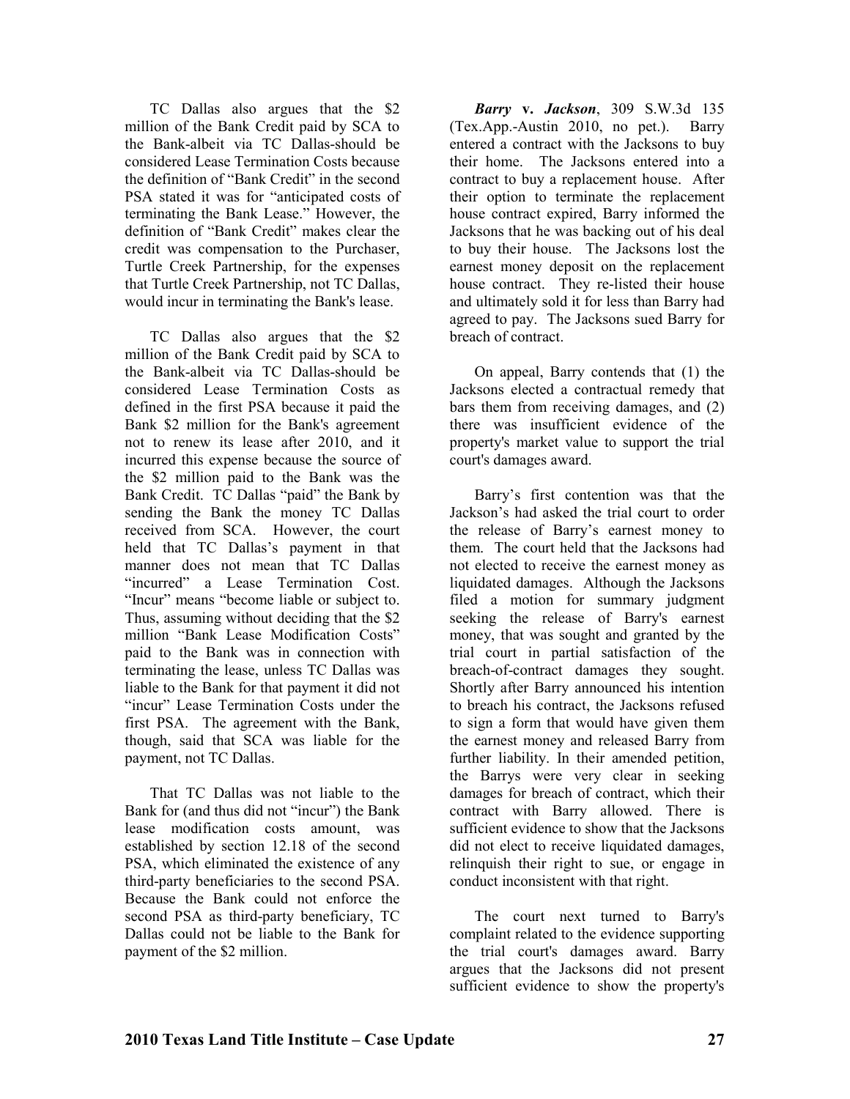TC Dallas also argues that the \$2 million of the Bank Credit paid by SCA to the Bank-albeit via TC Dallas-should be considered Lease Termination Costs because the definition of "Bank Credit" in the second PSA stated it was for "anticipated costs of terminating the Bank Lease." However, the definition of "Bank Credit" makes clear the credit was compensation to the Purchaser, Turtle Creek Partnership, for the expenses that Turtle Creek Partnership, not TC Dallas, would incur in terminating the Bank's lease.

TC Dallas also argues that the \$2 million of the Bank Credit paid by SCA to the Bank-albeit via TC Dallas-should be considered Lease Termination Costs as defined in the first PSA because it paid the Bank \$2 million for the Bank's agreement not to renew its lease after 2010, and it incurred this expense because the source of the \$2 million paid to the Bank was the Bank Credit. TC Dallas "paid" the Bank by sending the Bank the money TC Dallas received from SCA. However, the court held that TC Dallas's payment in that manner does not mean that TC Dallas "incurred" a Lease Termination Cost. "Incur" means "become liable or subject to. Thus, assuming without deciding that the \$2 million "Bank Lease Modification Costs" paid to the Bank was in connection with terminating the lease, unless TC Dallas was liable to the Bank for that payment it did not "incur" Lease Termination Costs under the first PSA. The agreement with the Bank, though, said that SCA was liable for the payment, not TC Dallas.

That TC Dallas was not liable to the Bank for (and thus did not "incur") the Bank lease modification costs amount, was established by section 12.18 of the second PSA, which eliminated the existence of any third-party beneficiaries to the second PSA. Because the Bank could not enforce the second PSA as third-party beneficiary, TC Dallas could not be liable to the Bank for payment of the \$2 million.

*Barry* **v.** *Jackson*, 309 S.W.3d 135 (Tex.App.-Austin 2010, no pet.). Barry entered a contract with the Jacksons to buy their home. The Jacksons entered into a contract to buy a replacement house. After their option to terminate the replacement house contract expired, Barry informed the Jacksons that he was backing out of his deal to buy their house. The Jacksons lost the earnest money deposit on the replacement house contract. They re-listed their house and ultimately sold it for less than Barry had agreed to pay. The Jacksons sued Barry for breach of contract.

On appeal, Barry contends that (1) the Jacksons elected a contractual remedy that bars them from receiving damages, and (2) there was insufficient evidence of the property's market value to support the trial court's damages award.

Barry's first contention was that the Jackson's had asked the trial court to order the release of Barry's earnest money to them. The court held that the Jacksons had not elected to receive the earnest money as liquidated damages. Although the Jacksons filed a motion for summary judgment seeking the release of Barry's earnest money, that was sought and granted by the trial court in partial satisfaction of the breach-of-contract damages they sought. Shortly after Barry announced his intention to breach his contract, the Jacksons refused to sign a form that would have given them the earnest money and released Barry from further liability. In their amended petition, the Barrys were very clear in seeking damages for breach of contract, which their contract with Barry allowed. There is sufficient evidence to show that the Jacksons did not elect to receive liquidated damages, relinquish their right to sue, or engage in conduct inconsistent with that right.

The court next turned to Barry's complaint related to the evidence supporting the trial court's damages award. Barry argues that the Jacksons did not present sufficient evidence to show the property's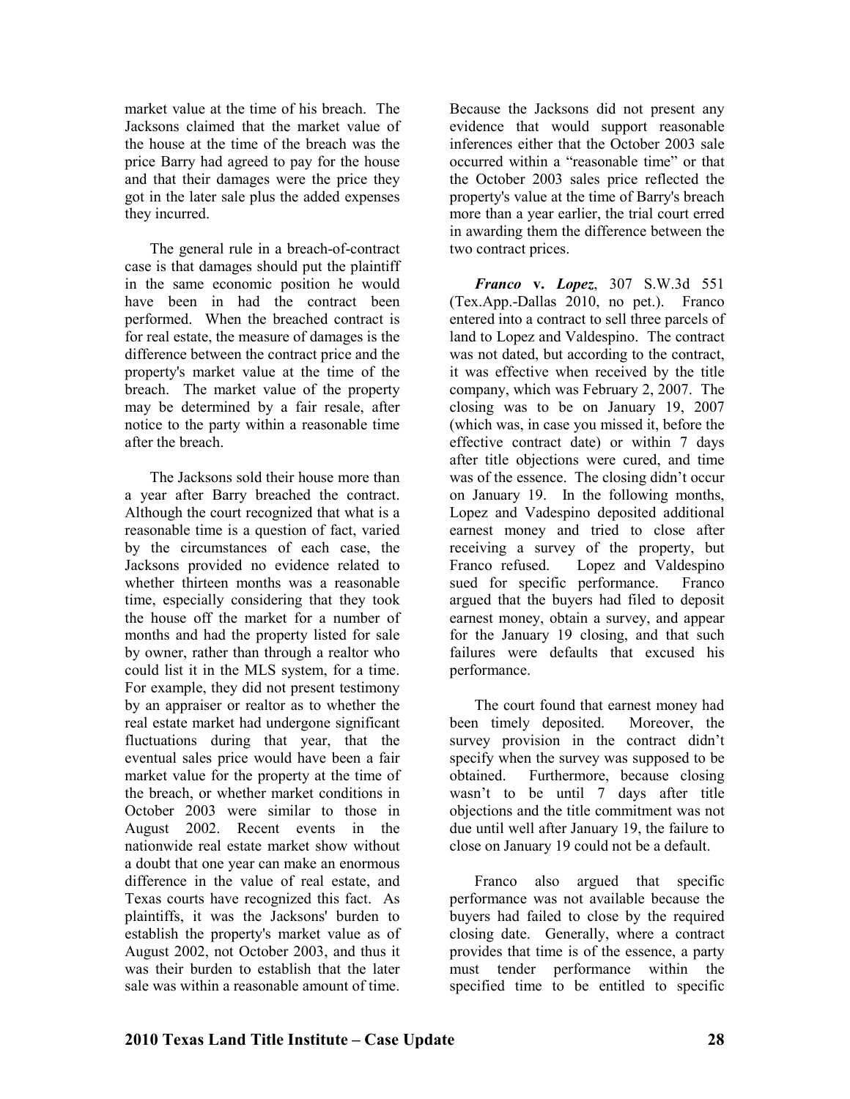market value at the time of his breach. The Jacksons claimed that the market value of the house at the time of the breach was the price Barry had agreed to pay for the house and that their damages were the price they got in the later sale plus the added expenses they incurred.

The general rule in a breach-of-contract case is that damages should put the plaintiff in the same economic position he would have been in had the contract been performed. When the breached contract is for real estate, the measure of damages is the difference between the contract price and the property's market value at the time of the breach. The market value of the property may be determined by a fair resale, after notice to the party within a reasonable time after the breach.

The Jacksons sold their house more than a year after Barry breached the contract. Although the court recognized that what is a reasonable time is a question of fact, varied by the circumstances of each case, the Jacksons provided no evidence related to whether thirteen months was a reasonable time, especially considering that they took the house off the market for a number of months and had the property listed for sale by owner, rather than through a realtor who could list it in the MLS system, for a time. For example, they did not present testimony by an appraiser or realtor as to whether the real estate market had undergone significant fluctuations during that year, that the eventual sales price would have been a fair market value for the property at the time of the breach, or whether market conditions in October 2003 were similar to those in August 2002. Recent events in the nationwide real estate market show without a doubt that one year can make an enormous difference in the value of real estate, and Texas courts have recognized this fact. As plaintiffs, it was the Jacksons' burden to establish the property's market value as of August 2002, not October 2003, and thus it was their burden to establish that the later sale was within a reasonable amount of time.

Because the Jacksons did not present any evidence that would support reasonable inferences either that the October 2003 sale occurred within a "reasonable time" or that the October 2003 sales price reflected the property's value at the time of Barry's breach more than a year earlier, the trial court erred in awarding them the difference between the two contract prices.

*Franco* **v.** *Lopez*, 307 S.W.3d 551 (Tex.App.-Dallas 2010, no pet.). Franco entered into a contract to sell three parcels of land to Lopez and Valdespino. The contract was not dated, but according to the contract, it was effective when received by the title company, which was February 2, 2007. The closing was to be on January 19, 2007 (which was, in case you missed it, before the effective contract date) or within 7 days after title objections were cured, and time was of the essence. The closing didn't occur on January 19. In the following months, Lopez and Vadespino deposited additional earnest money and tried to close after receiving a survey of the property, but Franco refused. Lopez and Valdespino sued for specific performance. Franco argued that the buyers had filed to deposit earnest money, obtain a survey, and appear for the January 19 closing, and that such failures were defaults that excused his performance.

The court found that earnest money had been timely deposited. Moreover, the survey provision in the contract didn't specify when the survey was supposed to be obtained. Furthermore, because closing wasn't to be until 7 days after title objections and the title commitment was not due until well after January 19, the failure to close on January 19 could not be a default.

Franco also argued that specific performance was not available because the buyers had failed to close by the required closing date. Generally, where a contract provides that time is of the essence, a party must tender performance within the specified time to be entitled to specific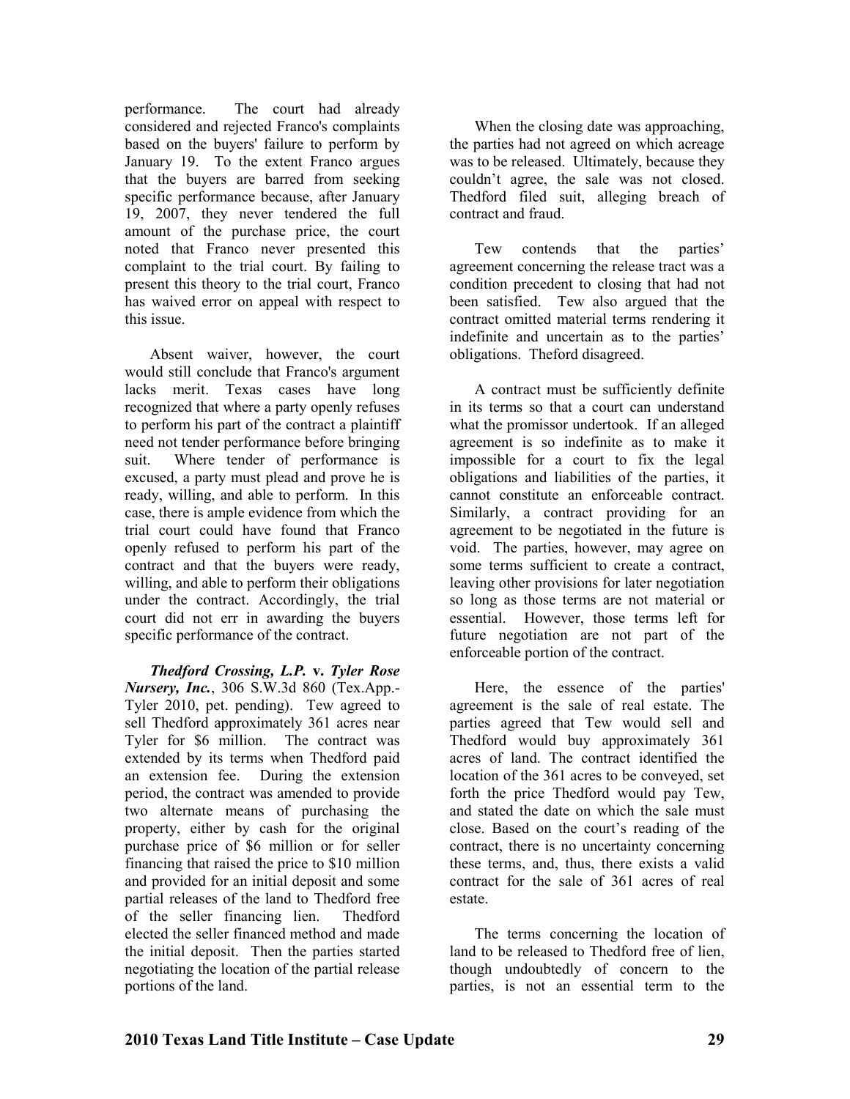performance. The court had already considered and rejected Franco's complaints based on the buyers' failure to perform by January 19. To the extent Franco argues that the buyers are barred from seeking specific performance because, after January 19, 2007, they never tendered the full amount of the purchase price, the court noted that Franco never presented this complaint to the trial court. By failing to present this theory to the trial court, Franco has waived error on appeal with respect to this issue.

Absent waiver, however, the court would still conclude that Franco's argument lacks merit. Texas cases have long recognized that where a party openly refuses to perform his part of the contract a plaintiff need not tender performance before bringing suit. Where tender of performance is excused, a party must plead and prove he is ready, willing, and able to perform. In this case, there is ample evidence from which the trial court could have found that Franco openly refused to perform his part of the contract and that the buyers were ready, willing, and able to perform their obligations under the contract. Accordingly, the trial court did not err in awarding the buyers specific performance of the contract.

*Thedford Crossing, L.P.* **v.** *Tyler Rose Nursery, Inc.*, 306 S.W.3d 860 (Tex.App.-Tyler 2010, pet. pending). Tew agreed to sell Thedford approximately 361 acres near Tyler for \$6 million. The contract was extended by its terms when Thedford paid an extension fee. During the extension period, the contract was amended to provide two alternate means of purchasing the property, either by cash for the original purchase price of \$6 million or for seller financing that raised the price to \$10 million and provided for an initial deposit and some partial releases of the land to Thedford free of the seller financing lien. Thedford elected the seller financed method and made the initial deposit. Then the parties started negotiating the location of the partial release portions of the land.

When the closing date was approaching, the parties had not agreed on which acreage was to be released. Ultimately, because they couldn't agree, the sale was not closed. Thedford filed suit, alleging breach of contract and fraud.

Tew contends that the parties' agreement concerning the release tract was a condition precedent to closing that had not been satisfied. Tew also argued that the contract omitted material terms rendering it indefinite and uncertain as to the parties' obligations. Theford disagreed.

A contract must be sufficiently definite in its terms so that a court can understand what the promissor undertook. If an alleged agreement is so indefinite as to make it impossible for a court to fix the legal obligations and liabilities of the parties, it cannot constitute an enforceable contract. Similarly, a contract providing for an agreement to be negotiated in the future is void. The parties, however, may agree on some terms sufficient to create a contract, leaving other provisions for later negotiation so long as those terms are not material or essential. However, those terms left for future negotiation are not part of the enforceable portion of the contract.

Here, the essence of the parties' agreement is the sale of real estate. The parties agreed that Tew would sell and Thedford would buy approximately 361 acres of land. The contract identified the location of the 361 acres to be conveyed, set forth the price Thedford would pay Tew, and stated the date on which the sale must close. Based on the court's reading of the contract, there is no uncertainty concerning these terms, and, thus, there exists a valid contract for the sale of 361 acres of real estate.

The terms concerning the location of land to be released to Thedford free of lien, though undoubtedly of concern to the parties, is not an essential term to the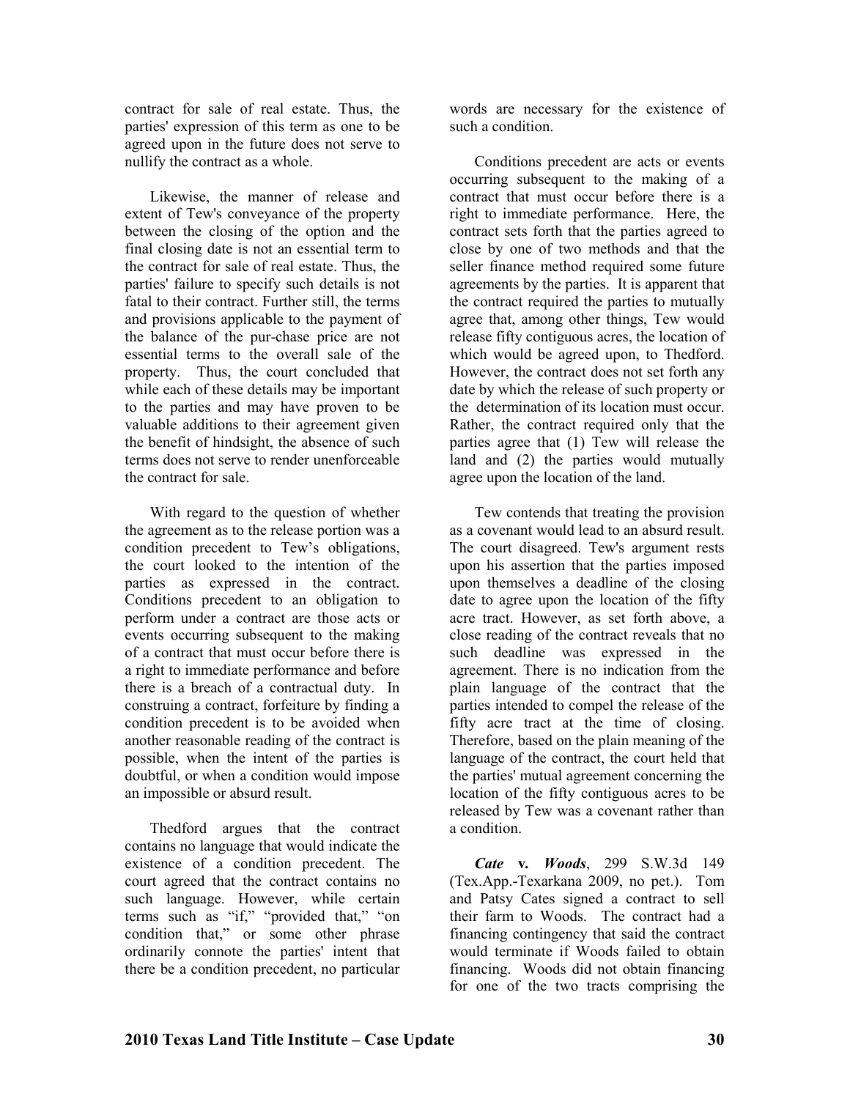contract for sale of real estate. Thus, the parties' expression of this term as one to be agreed upon in the future does not serve to nullify the contract as a whole.

Likewise, the manner of release and extent of Tew's conveyance of the property between the closing of the option and the final closing date is not an essential term to the contract for sale of real estate. Thus, the parties' failure to specify such details is not fatal to their contract. Further still, the terms and provisions applicable to the payment of the balance of the pur-chase price are not essential terms to the overall sale of the property. Thus, the court concluded that while each of these details may be important to the parties and may have proven to be valuable additions to their agreement given the benefit of hindsight, the absence of such terms does not serve to render unenforceable the contract for sale.

With regard to the question of whether the agreement as to the release portion was a condition precedent to Tew's obligations, the court looked to the intention of the parties as expressed in the contract. Conditions precedent to an obligation to perform under a contract are those acts or events occurring subsequent to the making of a contract that must occur before there is a right to immediate performance and before there is a breach of a contractual duty. In construing a contract, forfeiture by finding a condition precedent is to be avoided when another reasonable reading of the contract is possible, when the intent of the parties is doubtful, or when a condition would impose an impossible or absurd result.

Thedford argues that the contract contains no language that would indicate the existence of a condition precedent. The court agreed that the contract contains no such language. However, while certain terms such as "if," "provided that," "on condition that," or some other phrase ordinarily connote the parties' intent that there be a condition precedent, no particular

words are necessary for the existence of such a condition.

Conditions precedent are acts or events occurring subsequent to the making of a contract that must occur before there is a right to immediate performance. Here, the contract sets forth that the parties agreed to close by one of two methods and that the seller finance method required some future agreements by the parties. It is apparent that the contract required the parties to mutually agree that, among other things, Tew would release fifty contiguous acres, the location of which would be agreed upon, to Thedford. However, the contract does not set forth any date by which the release of such property or the determination of its location must occur. Rather, the contract required only that the parties agree that (1) Tew will release the land and (2) the parties would mutually agree upon the location of the land.

Tew contends that treating the provision as a covenant would lead to an absurd result. The court disagreed. Tew's argument rests upon his assertion that the parties imposed upon themselves a deadline of the closing date to agree upon the location of the fifty acre tract. However, as set forth above, a close reading of the contract reveals that no such deadline was expressed in the agreement. There is no indication from the plain language of the contract that the parties intended to compel the release of the fifty acre tract at the time of closing. Therefore, based on the plain meaning of the language of the contract, the court held that the parties' mutual agreement concerning the location of the fifty contiguous acres to be released by Tew was a covenant rather than a condition.

*Cate* **v***. Woods*, 299 S.W.3d 149 (Tex.App.-Texarkana 2009, no pet.). Tom and Patsy Cates signed a contract to sell their farm to Woods. The contract had a financing contingency that said the contract would terminate if Woods failed to obtain financing. Woods did not obtain financing for one of the two tracts comprising the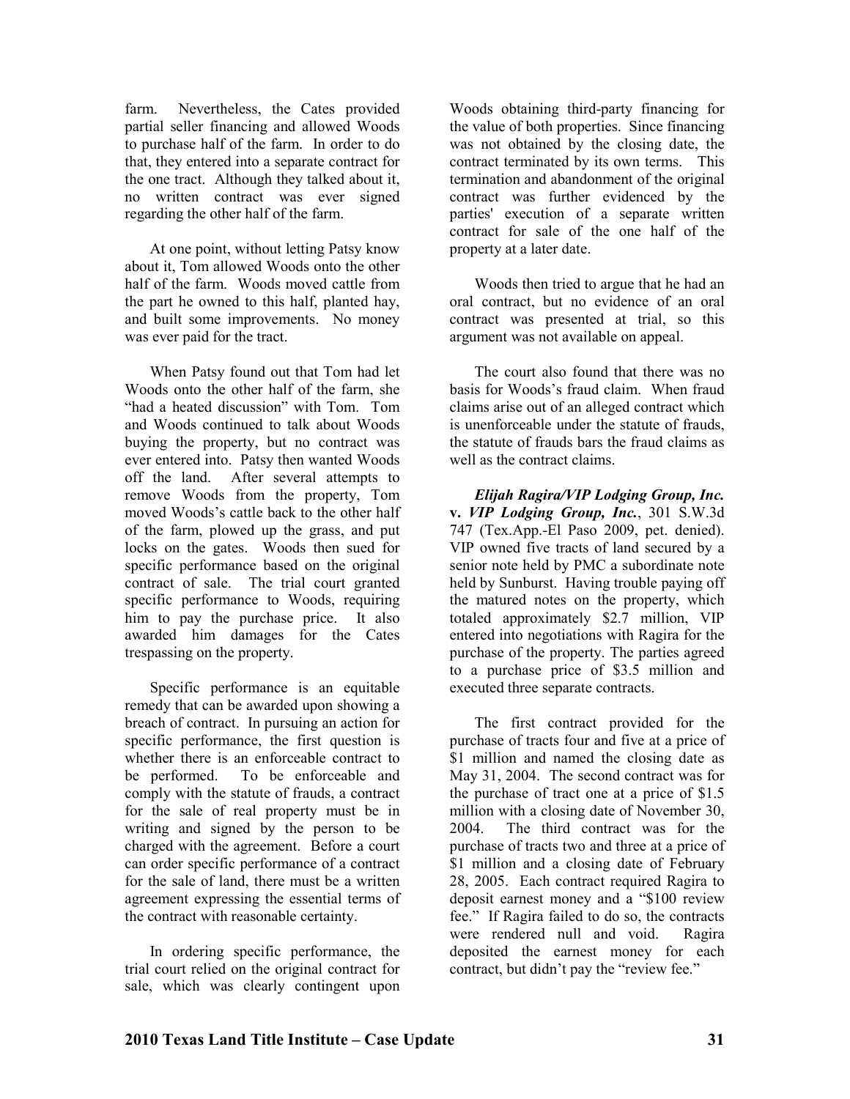farm. Nevertheless, the Cates provided partial seller financing and allowed Woods to purchase half of the farm. In order to do that, they entered into a separate contract for the one tract. Although they talked about it, no written contract was ever signed regarding the other half of the farm.

At one point, without letting Patsy know about it, Tom allowed Woods onto the other half of the farm. Woods moved cattle from the part he owned to this half, planted hay, and built some improvements. No money was ever paid for the tract.

When Patsy found out that Tom had let Woods onto the other half of the farm, she "had a heated discussion" with Tom. Tom and Woods continued to talk about Woods buying the property, but no contract was ever entered into. Patsy then wanted Woods off the land. After several attempts to remove Woods from the property, Tom moved Woods's cattle back to the other half of the farm, plowed up the grass, and put locks on the gates. Woods then sued for specific performance based on the original contract of sale. The trial court granted specific performance to Woods, requiring him to pay the purchase price. It also awarded him damages for the Cates trespassing on the property.

Specific performance is an equitable remedy that can be awarded upon showing a breach of contract. In pursuing an action for specific performance, the first question is whether there is an enforceable contract to be performed. To be enforceable and comply with the statute of frauds, a contract for the sale of real property must be in writing and signed by the person to be charged with the agreement. Before a court can order specific performance of a contract for the sale of land, there must be a written agreement expressing the essential terms of the contract with reasonable certainty.

In ordering specific performance, the trial court relied on the original contract for sale, which was clearly contingent upon

Woods obtaining third-party financing for the value of both properties. Since financing was not obtained by the closing date, the contract terminated by its own terms. This termination and abandonment of the original contract was further evidenced by the parties' execution of a separate written contract for sale of the one half of the property at a later date.

Woods then tried to argue that he had an oral contract, but no evidence of an oral contract was presented at trial, so this argument was not available on appeal.

The court also found that there was no basis for Woods's fraud claim. When fraud claims arise out of an alleged contract which is unenforceable under the statute of frauds, the statute of frauds bars the fraud claims as well as the contract claims.

*Elijah Ragira/VIP Lodging Group, Inc.*  **v.** *VIP Lodging Group, Inc.*, 301 S.W.3d 747 (Tex.App.-El Paso 2009, pet. denied). VIP owned five tracts of land secured by a senior note held by PMC a subordinate note held by Sunburst. Having trouble paying off the matured notes on the property, which totaled approximately \$2.7 million, VIP entered into negotiations with Ragira for the purchase of the property. The parties agreed to a purchase price of \$3.5 million and executed three separate contracts.

The first contract provided for the purchase of tracts four and five at a price of \$1 million and named the closing date as May 31, 2004. The second contract was for the purchase of tract one at a price of \$1.5 million with a closing date of November 30, 2004. The third contract was for the purchase of tracts two and three at a price of \$1 million and a closing date of February 28, 2005. Each contract required Ragira to deposit earnest money and a "\$100 review fee." If Ragira failed to do so, the contracts were rendered null and void. Ragira deposited the earnest money for each contract, but didn't pay the "review fee."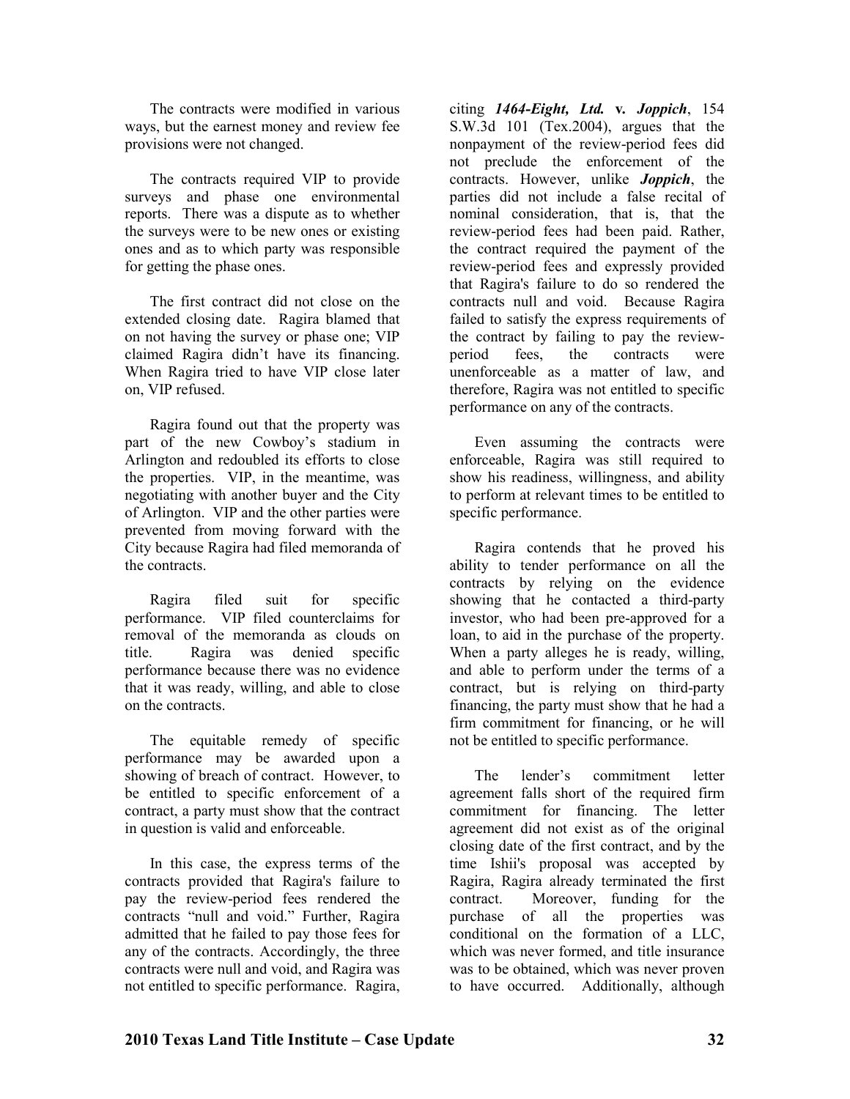The contracts were modified in various ways, but the earnest money and review fee provisions were not changed.

The contracts required VIP to provide surveys and phase one environmental reports. There was a dispute as to whether the surveys were to be new ones or existing ones and as to which party was responsible for getting the phase ones.

The first contract did not close on the extended closing date. Ragira blamed that on not having the survey or phase one; VIP claimed Ragira didn't have its financing. When Ragira tried to have VIP close later on, VIP refused.

Ragira found out that the property was part of the new Cowboy's stadium in Arlington and redoubled its efforts to close the properties. VIP, in the meantime, was negotiating with another buyer and the City of Arlington. VIP and the other parties were prevented from moving forward with the City because Ragira had filed memoranda of the contracts.

Ragira filed suit for specific performance. VIP filed counterclaims for removal of the memoranda as clouds on title. Ragira was denied specific performance because there was no evidence that it was ready, willing, and able to close on the contracts.

The equitable remedy of specific performance may be awarded upon a showing of breach of contract. However, to be entitled to specific enforcement of a contract, a party must show that the contract in question is valid and enforceable.

In this case, the express terms of the contracts provided that Ragira's failure to pay the review-period fees rendered the contracts "null and void." Further, Ragira admitted that he failed to pay those fees for any of the contracts. Accordingly, the three contracts were null and void, and Ragira was not entitled to specific performance. Ragira,

citing *1464-Eight, Ltd.* **v***. Joppich*, 154 S.W.3d 101 (Tex.2004), argues that the nonpayment of the review-period fees did not preclude the enforcement of the contracts. However, unlike *Joppich*, the parties did not include a false recital of nominal consideration, that is, that the review-period fees had been paid. Rather, the contract required the payment of the review-period fees and expressly provided that Ragira's failure to do so rendered the contracts null and void. Because Ragira failed to satisfy the express requirements of the contract by failing to pay the reviewperiod fees, the contracts were unenforceable as a matter of law, and therefore, Ragira was not entitled to specific performance on any of the contracts.

Even assuming the contracts were enforceable, Ragira was still required to show his readiness, willingness, and ability to perform at relevant times to be entitled to specific performance.

Ragira contends that he proved his ability to tender performance on all the contracts by relying on the evidence showing that he contacted a third-party investor, who had been pre-approved for a loan, to aid in the purchase of the property. When a party alleges he is ready, willing, and able to perform under the terms of a contract, but is relying on third-party financing, the party must show that he had a firm commitment for financing, or he will not be entitled to specific performance.

The lender's commitment letter agreement falls short of the required firm commitment for financing. The letter agreement did not exist as of the original closing date of the first contract, and by the time Ishii's proposal was accepted by Ragira, Ragira already terminated the first contract. Moreover, funding for the purchase of all the properties was conditional on the formation of a LLC, which was never formed, and title insurance was to be obtained, which was never proven to have occurred. Additionally, although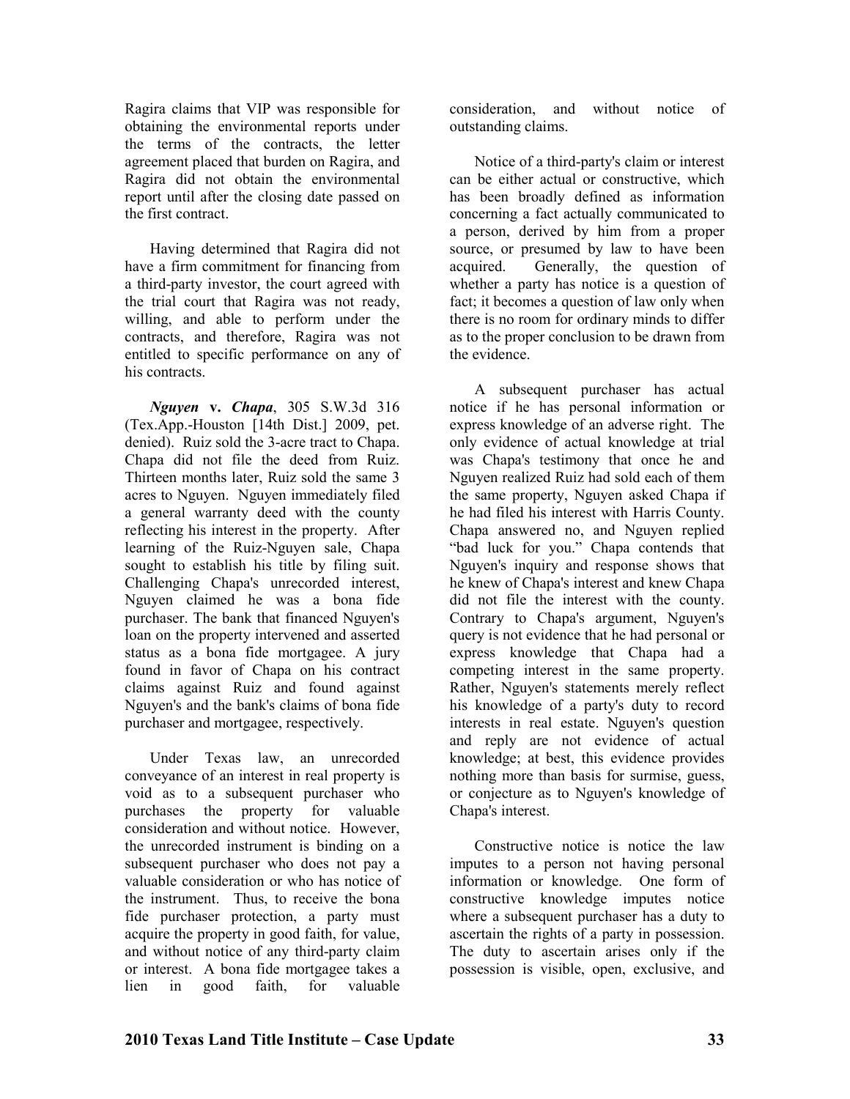Ragira claims that VIP was responsible for obtaining the environmental reports under the terms of the contracts, the letter agreement placed that burden on Ragira, and Ragira did not obtain the environmental report until after the closing date passed on the first contract.

Having determined that Ragira did not have a firm commitment for financing from a third-party investor, the court agreed with the trial court that Ragira was not ready, willing, and able to perform under the contracts, and therefore, Ragira was not entitled to specific performance on any of his contracts.

*guyen* **v.** *Chapa*, 305 S.W.3d 316 (Tex.App.-Houston [14th Dist.] 2009, pet. denied). Ruiz sold the 3-acre tract to Chapa. Chapa did not file the deed from Ruiz. Thirteen months later, Ruiz sold the same 3 acres to Nguyen. Nguyen immediately filed a general warranty deed with the county reflecting his interest in the property. After learning of the Ruiz-Nguyen sale, Chapa sought to establish his title by filing suit. Challenging Chapa's unrecorded interest, Nguyen claimed he was a bona fide purchaser. The bank that financed Nguyen's loan on the property intervened and asserted status as a bona fide mortgagee. A jury found in favor of Chapa on his contract claims against Ruiz and found against Nguyen's and the bank's claims of bona fide purchaser and mortgagee, respectively.

Under Texas law, an unrecorded conveyance of an interest in real property is void as to a subsequent purchaser who purchases the property for valuable consideration and without notice. However, the unrecorded instrument is binding on a subsequent purchaser who does not pay a valuable consideration or who has notice of the instrument. Thus, to receive the bona fide purchaser protection, a party must acquire the property in good faith, for value, and without notice of any third-party claim or interest. A bona fide mortgagee takes a lien in good faith, for valuable

consideration, and without notice of outstanding claims.

Notice of a third-party's claim or interest can be either actual or constructive, which has been broadly defined as information concerning a fact actually communicated to a person, derived by him from a proper source, or presumed by law to have been acquired. Generally, the question of whether a party has notice is a question of fact; it becomes a question of law only when there is no room for ordinary minds to differ as to the proper conclusion to be drawn from the evidence.

A subsequent purchaser has actual notice if he has personal information or express knowledge of an adverse right. The only evidence of actual knowledge at trial was Chapa's testimony that once he and Nguyen realized Ruiz had sold each of them the same property, Nguyen asked Chapa if he had filed his interest with Harris County. Chapa answered no, and Nguyen replied "bad luck for you." Chapa contends that Nguyen's inquiry and response shows that he knew of Chapa's interest and knew Chapa did not file the interest with the county. Contrary to Chapa's argument, Nguyen's query is not evidence that he had personal or express knowledge that Chapa had a competing interest in the same property. Rather, Nguyen's statements merely reflect his knowledge of a party's duty to record interests in real estate. Nguyen's question and reply are not evidence of actual knowledge; at best, this evidence provides nothing more than basis for surmise, guess, or conjecture as to Nguyen's knowledge of Chapa's interest.

Constructive notice is notice the law imputes to a person not having personal information or knowledge. One form of constructive knowledge imputes notice where a subsequent purchaser has a duty to ascertain the rights of a party in possession. The duty to ascertain arises only if the possession is visible, open, exclusive, and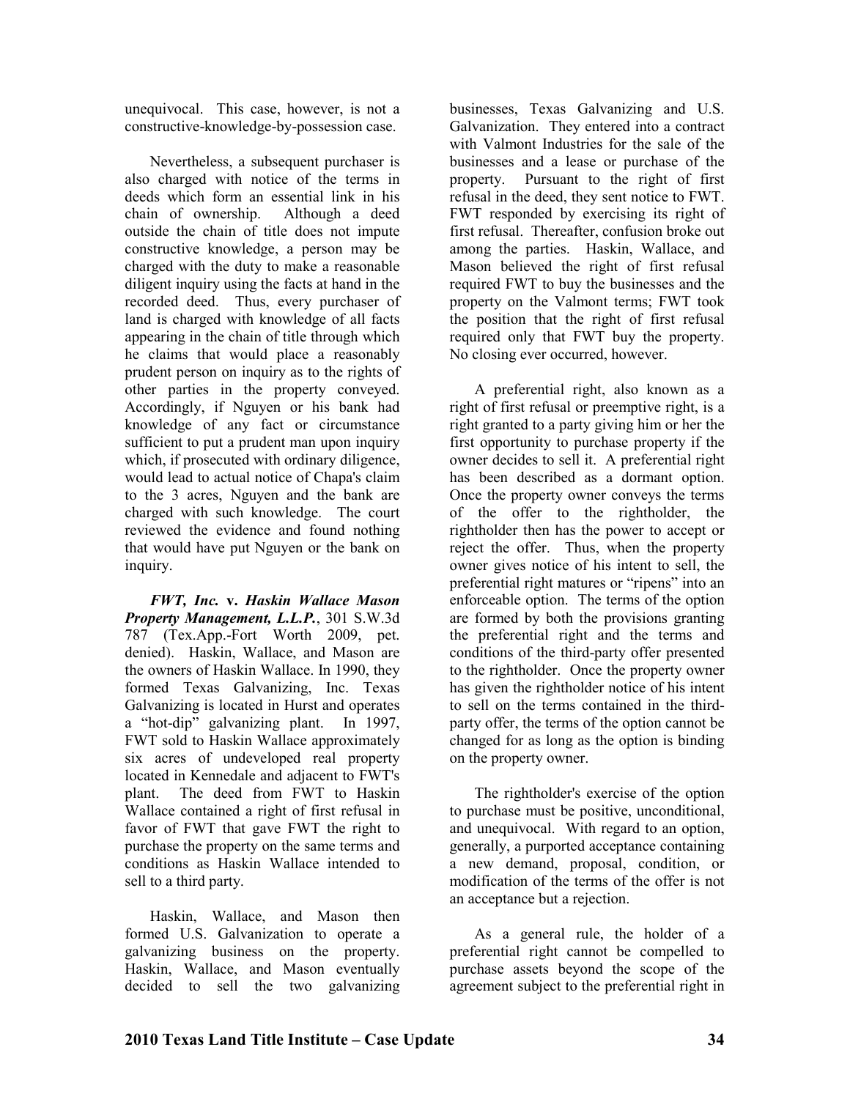unequivocal. This case, however, is not a constructive-knowledge-by-possession case.

Nevertheless, a subsequent purchaser is also charged with notice of the terms in deeds which form an essential link in his chain of ownership. Although a deed outside the chain of title does not impute constructive knowledge, a person may be charged with the duty to make a reasonable diligent inquiry using the facts at hand in the recorded deed. Thus, every purchaser of land is charged with knowledge of all facts appearing in the chain of title through which he claims that would place a reasonably prudent person on inquiry as to the rights of other parties in the property conveyed. Accordingly, if Nguyen or his bank had knowledge of any fact or circumstance sufficient to put a prudent man upon inquiry which, if prosecuted with ordinary diligence, would lead to actual notice of Chapa's claim to the 3 acres, Nguyen and the bank are charged with such knowledge. The court reviewed the evidence and found nothing that would have put Nguyen or the bank on inquiry.

*FWT, Inc.* **v.** *Haskin Wallace Mason Property Management, L.L.P.*, 301 S.W.3d 787 (Tex.App.-Fort Worth 2009, pet. denied). Haskin, Wallace, and Mason are the owners of Haskin Wallace. In 1990, they formed Texas Galvanizing, Inc. Texas Galvanizing is located in Hurst and operates a "hot-dip" galvanizing plant. In 1997, FWT sold to Haskin Wallace approximately six acres of undeveloped real property located in Kennedale and adjacent to FWT's plant. The deed from FWT to Haskin Wallace contained a right of first refusal in favor of FWT that gave FWT the right to purchase the property on the same terms and conditions as Haskin Wallace intended to sell to a third party.

Haskin, Wallace, and Mason then formed U.S. Galvanization to operate a galvanizing business on the property. Haskin, Wallace, and Mason eventually decided to sell the two galvanizing

businesses, Texas Galvanizing and U.S. Galvanization. They entered into a contract with Valmont Industries for the sale of the businesses and a lease or purchase of the property. Pursuant to the right of first refusal in the deed, they sent notice to FWT. FWT responded by exercising its right of first refusal. Thereafter, confusion broke out among the parties. Haskin, Wallace, and Mason believed the right of first refusal required FWT to buy the businesses and the property on the Valmont terms; FWT took the position that the right of first refusal required only that FWT buy the property. No closing ever occurred, however.

A preferential right, also known as a right of first refusal or preemptive right, is a right granted to a party giving him or her the first opportunity to purchase property if the owner decides to sell it. A preferential right has been described as a dormant option. Once the property owner conveys the terms of the offer to the rightholder, the rightholder then has the power to accept or reject the offer. Thus, when the property owner gives notice of his intent to sell, the preferential right matures or "ripens" into an enforceable option. The terms of the option are formed by both the provisions granting the preferential right and the terms and conditions of the third-party offer presented to the rightholder. Once the property owner has given the rightholder notice of his intent to sell on the terms contained in the thirdparty offer, the terms of the option cannot be changed for as long as the option is binding on the property owner.

The rightholder's exercise of the option to purchase must be positive, unconditional, and unequivocal. With regard to an option, generally, a purported acceptance containing a new demand, proposal, condition, or modification of the terms of the offer is not an acceptance but a rejection.

As a general rule, the holder of a preferential right cannot be compelled to purchase assets beyond the scope of the agreement subject to the preferential right in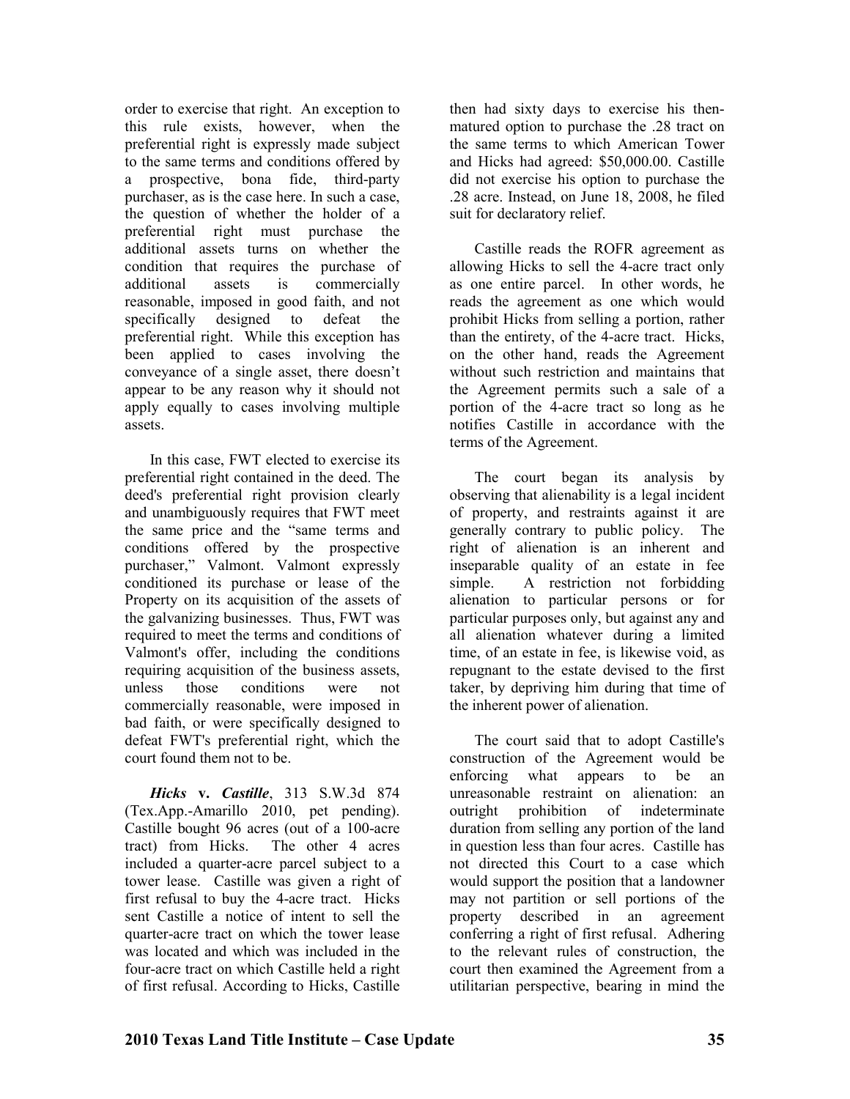order to exercise that right. An exception to this rule exists, however, when the preferential right is expressly made subject to the same terms and conditions offered by a prospective, bona fide, third-party purchaser, as is the case here. In such a case, the question of whether the holder of a preferential right must purchase the additional assets turns on whether the condition that requires the purchase of additional assets is commercially reasonable, imposed in good faith, and not specifically designed to defeat the preferential right. While this exception has been applied to cases involving the conveyance of a single asset, there doesn't appear to be any reason why it should not apply equally to cases involving multiple assets.

In this case, FWT elected to exercise its preferential right contained in the deed. The deed's preferential right provision clearly and unambiguously requires that FWT meet the same price and the "same terms and conditions offered by the prospective purchaser," Valmont. Valmont expressly conditioned its purchase or lease of the Property on its acquisition of the assets of the galvanizing businesses. Thus, FWT was required to meet the terms and conditions of Valmont's offer, including the conditions requiring acquisition of the business assets, unless those conditions were not commercially reasonable, were imposed in bad faith, or were specifically designed to defeat FWT's preferential right, which the court found them not to be.

*Hicks* **v.** *Castille*, 313 S.W.3d 874 (Tex.App.-Amarillo 2010, pet pending). Castille bought 96 acres (out of a 100-acre tract) from Hicks. The other 4 acres included a quarter-acre parcel subject to a tower lease. Castille was given a right of first refusal to buy the 4-acre tract. Hicks sent Castille a notice of intent to sell the quarter-acre tract on which the tower lease was located and which was included in the four-acre tract on which Castille held a right of first refusal. According to Hicks, Castille

then had sixty days to exercise his thenmatured option to purchase the .28 tract on the same terms to which American Tower and Hicks had agreed: \$50,000.00. Castille did not exercise his option to purchase the .28 acre. Instead, on June 18, 2008, he filed suit for declaratory relief.

Castille reads the ROFR agreement as allowing Hicks to sell the 4-acre tract only as one entire parcel. In other words, he reads the agreement as one which would prohibit Hicks from selling a portion, rather than the entirety, of the 4-acre tract. Hicks, on the other hand, reads the Agreement without such restriction and maintains that the Agreement permits such a sale of a portion of the 4-acre tract so long as he notifies Castille in accordance with the terms of the Agreement.

The court began its analysis by observing that alienability is a legal incident of property, and restraints against it are generally contrary to public policy. The right of alienation is an inherent and inseparable quality of an estate in fee simple. A restriction not forbidding alienation to particular persons or for particular purposes only, but against any and all alienation whatever during a limited time, of an estate in fee, is likewise void, as repugnant to the estate devised to the first taker, by depriving him during that time of the inherent power of alienation.

The court said that to adopt Castille's construction of the Agreement would be enforcing what appears to be an unreasonable restraint on alienation: an outright prohibition of indeterminate duration from selling any portion of the land in question less than four acres. Castille has not directed this Court to a case which would support the position that a landowner may not partition or sell portions of the property described in an agreement conferring a right of first refusal. Adhering to the relevant rules of construction, the court then examined the Agreement from a utilitarian perspective, bearing in mind the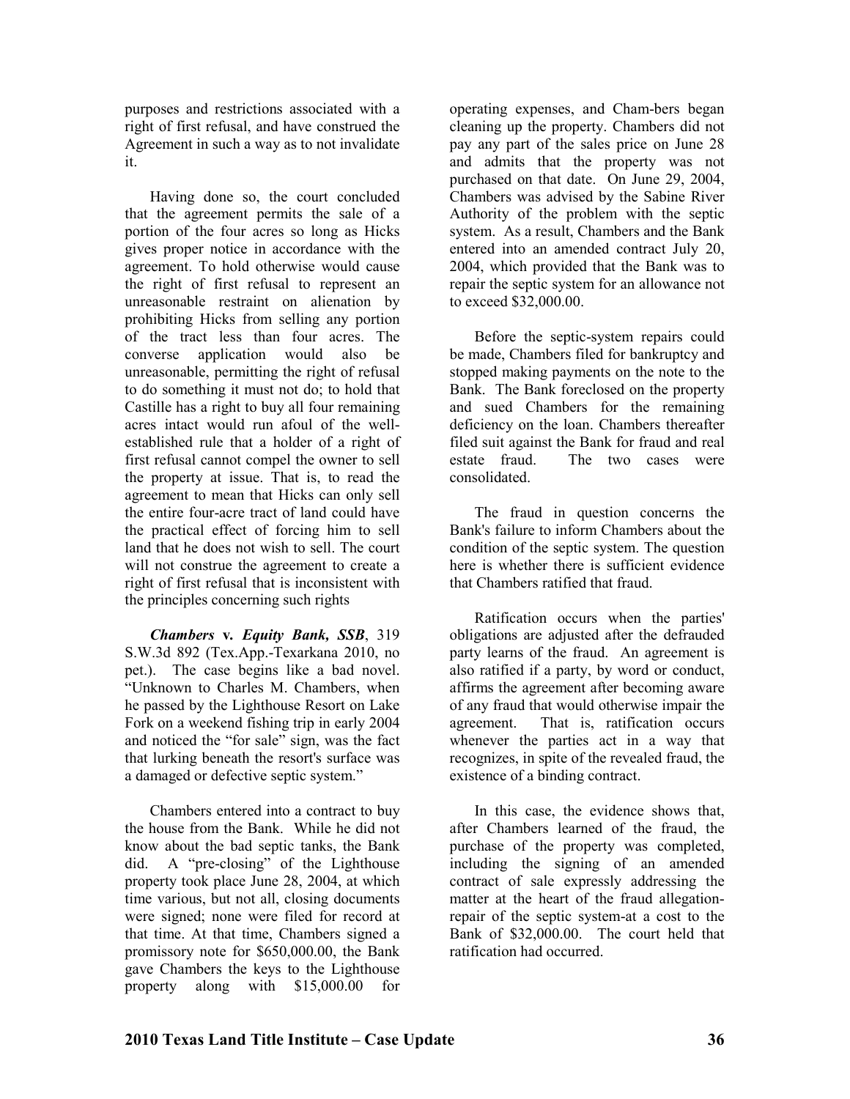purposes and restrictions associated with a right of first refusal, and have construed the Agreement in such a way as to not invalidate it.

Having done so, the court concluded that the agreement permits the sale of a portion of the four acres so long as Hicks gives proper notice in accordance with the agreement. To hold otherwise would cause the right of first refusal to represent an unreasonable restraint on alienation by prohibiting Hicks from selling any portion of the tract less than four acres. The converse application would also be unreasonable, permitting the right of refusal to do something it must not do; to hold that Castille has a right to buy all four remaining acres intact would run afoul of the wellestablished rule that a holder of a right of first refusal cannot compel the owner to sell the property at issue. That is, to read the agreement to mean that Hicks can only sell the entire four-acre tract of land could have the practical effect of forcing him to sell land that he does not wish to sell. The court will not construe the agreement to create a right of first refusal that is inconsistent with the principles concerning such rights

*Chambers* **v***. Equity Bank, SSB*, 319 S.W.3d 892 (Tex.App.-Texarkana 2010, no pet.). The case begins like a bad novel. "Unknown to Charles M. Chambers, when he passed by the Lighthouse Resort on Lake Fork on a weekend fishing trip in early 2004 and noticed the "for sale" sign, was the fact that lurking beneath the resort's surface was a damaged or defective septic system."

Chambers entered into a contract to buy the house from the Bank. While he did not know about the bad septic tanks, the Bank did. A "pre-closing" of the Lighthouse property took place June 28, 2004, at which time various, but not all, closing documents were signed; none were filed for record at that time. At that time, Chambers signed a promissory note for \$650,000.00, the Bank gave Chambers the keys to the Lighthouse property along with \$15,000.00 for

operating expenses, and Cham-bers began cleaning up the property. Chambers did not pay any part of the sales price on June 28 and admits that the property was not purchased on that date. On June 29, 2004, Chambers was advised by the Sabine River Authority of the problem with the septic system. As a result, Chambers and the Bank entered into an amended contract July 20, 2004, which provided that the Bank was to repair the septic system for an allowance not to exceed \$32,000.00.

Before the septic-system repairs could be made, Chambers filed for bankruptcy and stopped making payments on the note to the Bank. The Bank foreclosed on the property and sued Chambers for the remaining deficiency on the loan. Chambers thereafter filed suit against the Bank for fraud and real estate fraud. The two cases were consolidated.

The fraud in question concerns the Bank's failure to inform Chambers about the condition of the septic system. The question here is whether there is sufficient evidence that Chambers ratified that fraud.

Ratification occurs when the parties' obligations are adjusted after the defrauded party learns of the fraud. An agreement is also ratified if a party, by word or conduct, affirms the agreement after becoming aware of any fraud that would otherwise impair the agreement. That is, ratification occurs whenever the parties act in a way that recognizes, in spite of the revealed fraud, the existence of a binding contract.

In this case, the evidence shows that, after Chambers learned of the fraud, the purchase of the property was completed, including the signing of an amended contract of sale expressly addressing the matter at the heart of the fraud allegationrepair of the septic system-at a cost to the Bank of \$32,000.00. The court held that ratification had occurred.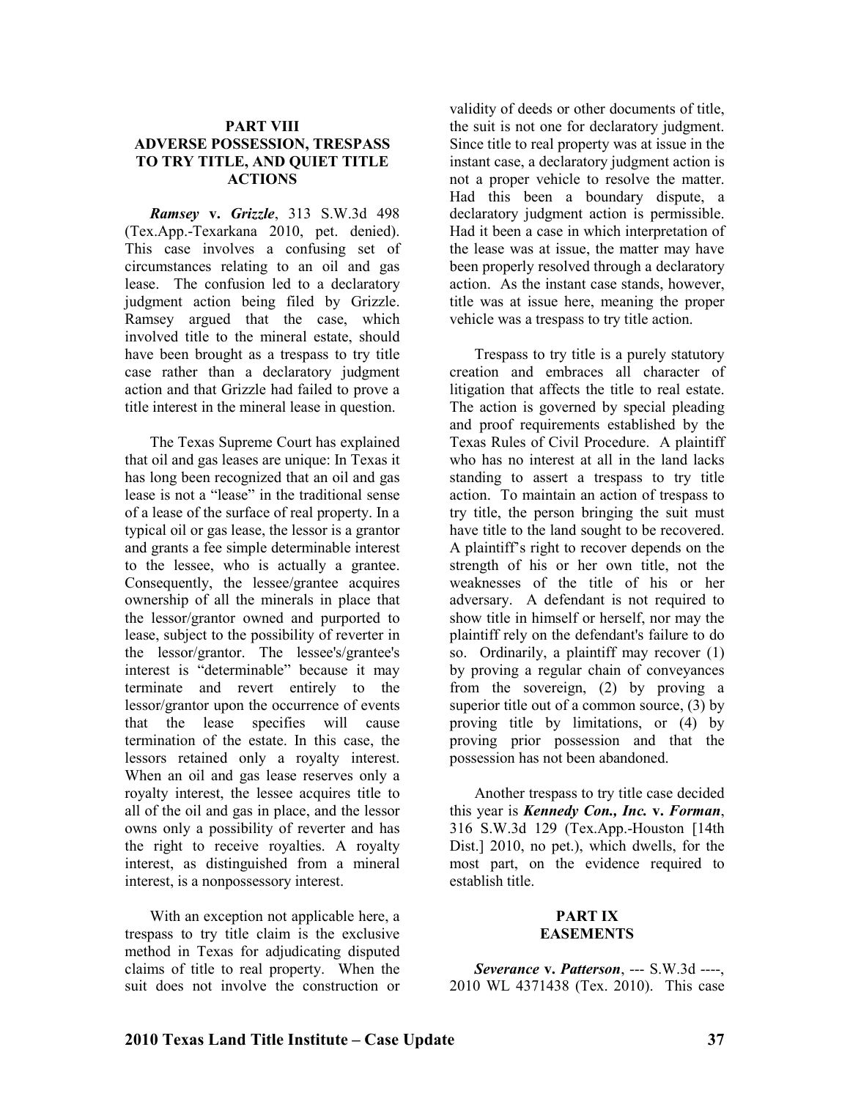#### **PART VIII ADVERSE POSSESSION, TRESPASS TO TRY TITLE, AND QUIET TITLE ACTIOS**

*Ramsey* **v.** *Grizzle*, 313 S.W.3d 498 (Tex.App.-Texarkana 2010, pet. denied). This case involves a confusing set of circumstances relating to an oil and gas lease. The confusion led to a declaratory judgment action being filed by Grizzle. Ramsey argued that the case, which involved title to the mineral estate, should have been brought as a trespass to try title case rather than a declaratory judgment action and that Grizzle had failed to prove a title interest in the mineral lease in question.

The Texas Supreme Court has explained that oil and gas leases are unique: In Texas it has long been recognized that an oil and gas lease is not a "lease" in the traditional sense of a lease of the surface of real property. In a typical oil or gas lease, the lessor is a grantor and grants a fee simple determinable interest to the lessee, who is actually a grantee. Consequently, the lessee/grantee acquires ownership of all the minerals in place that the lessor/grantor owned and purported to lease, subject to the possibility of reverter in the lessor/grantor. The lessee's/grantee's interest is "determinable" because it may terminate and revert entirely to the lessor/grantor upon the occurrence of events that the lease specifies will cause termination of the estate. In this case, the lessors retained only a royalty interest. When an oil and gas lease reserves only a royalty interest, the lessee acquires title to all of the oil and gas in place, and the lessor owns only a possibility of reverter and has the right to receive royalties. A royalty interest, as distinguished from a mineral interest, is a nonpossessory interest.

With an exception not applicable here, a trespass to try title claim is the exclusive method in Texas for adjudicating disputed claims of title to real property. When the suit does not involve the construction or

validity of deeds or other documents of title, the suit is not one for declaratory judgment. Since title to real property was at issue in the instant case, a declaratory judgment action is not a proper vehicle to resolve the matter. Had this been a boundary dispute, a declaratory judgment action is permissible. Had it been a case in which interpretation of the lease was at issue, the matter may have been properly resolved through a declaratory action. As the instant case stands, however, title was at issue here, meaning the proper vehicle was a trespass to try title action.

Trespass to try title is a purely statutory creation and embraces all character of litigation that affects the title to real estate. The action is governed by special pleading and proof requirements established by the Texas Rules of Civil Procedure. A plaintiff who has no interest at all in the land lacks standing to assert a trespass to try title action. To maintain an action of trespass to try title, the person bringing the suit must have title to the land sought to be recovered. A plaintiff's right to recover depends on the strength of his or her own title, not the weaknesses of the title of his or her adversary. A defendant is not required to show title in himself or herself, nor may the plaintiff rely on the defendant's failure to do so. Ordinarily, a plaintiff may recover (1) by proving a regular chain of conveyances from the sovereign, (2) by proving a superior title out of a common source, (3) by proving title by limitations, or (4) by proving prior possession and that the possession has not been abandoned.

Another trespass to try title case decided this year is *Kennedy Con., Inc.* **v.** *Forman*, 316 S.W.3d 129 (Tex.App.-Houston [14th Dist.] 2010, no pet.), which dwells, for the most part, on the evidence required to establish title.

#### **PART IX EASEMENTS**

*Severance* **v.** *Patterson*, --- S.W.3d ----, 2010 WL 4371438 (Tex. 2010). This case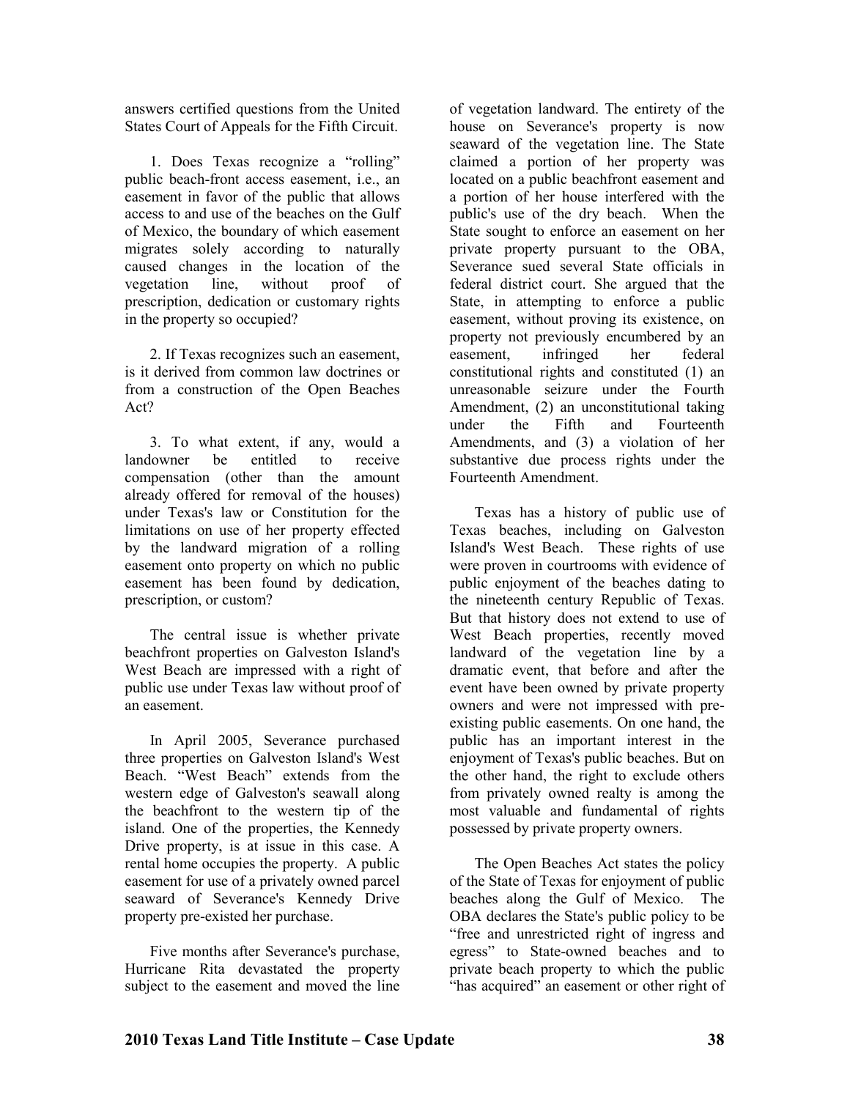answers certified questions from the United States Court of Appeals for the Fifth Circuit.

1. Does Texas recognize a "rolling" public beach-front access easement, i.e., an easement in favor of the public that allows access to and use of the beaches on the Gulf of Mexico, the boundary of which easement migrates solely according to naturally caused changes in the location of the vegetation line, without proof of prescription, dedication or customary rights in the property so occupied?

2. If Texas recognizes such an easement, is it derived from common law doctrines or from a construction of the Open Beaches Act?

3. To what extent, if any, would a landowner be entitled to receive compensation (other than the amount already offered for removal of the houses) under Texas's law or Constitution for the limitations on use of her property effected by the landward migration of a rolling easement onto property on which no public easement has been found by dedication, prescription, or custom?

The central issue is whether private beachfront properties on Galveston Island's West Beach are impressed with a right of public use under Texas law without proof of an easement.

In April 2005, Severance purchased three properties on Galveston Island's West Beach. "West Beach" extends from the western edge of Galveston's seawall along the beachfront to the western tip of the island. One of the properties, the Kennedy Drive property, is at issue in this case. A rental home occupies the property. A public easement for use of a privately owned parcel seaward of Severance's Kennedy Drive property pre-existed her purchase.

Five months after Severance's purchase, Hurricane Rita devastated the property subject to the easement and moved the line

of vegetation landward. The entirety of the house on Severance's property is now seaward of the vegetation line. The State claimed a portion of her property was located on a public beachfront easement and a portion of her house interfered with the public's use of the dry beach. When the State sought to enforce an easement on her private property pursuant to the OBA, Severance sued several State officials in federal district court. She argued that the State, in attempting to enforce a public easement, without proving its existence, on property not previously encumbered by an easement, infringed her federal constitutional rights and constituted (1) an unreasonable seizure under the Fourth Amendment, (2) an unconstitutional taking under the Fifth and Fourteenth Amendments, and (3) a violation of her substantive due process rights under the Fourteenth Amendment.

Texas has a history of public use of Texas beaches, including on Galveston Island's West Beach. These rights of use were proven in courtrooms with evidence of public enjoyment of the beaches dating to the nineteenth century Republic of Texas. But that history does not extend to use of West Beach properties, recently moved landward of the vegetation line by a dramatic event, that before and after the event have been owned by private property owners and were not impressed with preexisting public easements. On one hand, the public has an important interest in the enjoyment of Texas's public beaches. But on the other hand, the right to exclude others from privately owned realty is among the most valuable and fundamental of rights possessed by private property owners.

The Open Beaches Act states the policy of the State of Texas for enjoyment of public beaches along the Gulf of Mexico. The OBA declares the State's public policy to be "free and unrestricted right of ingress and egress" to State-owned beaches and to private beach property to which the public "has acquired" an easement or other right of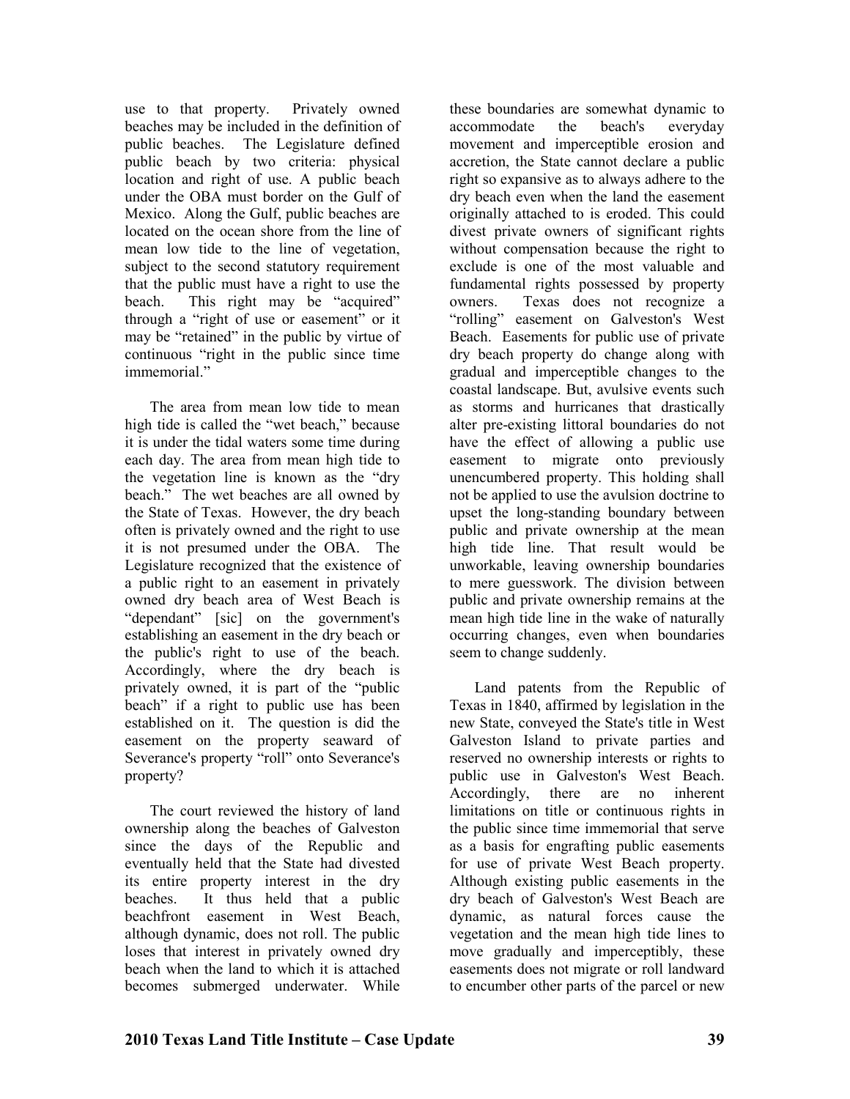use to that property. Privately owned beaches may be included in the definition of public beaches. The Legislature defined public beach by two criteria: physical location and right of use. A public beach under the OBA must border on the Gulf of Mexico. Along the Gulf, public beaches are located on the ocean shore from the line of mean low tide to the line of vegetation, subject to the second statutory requirement that the public must have a right to use the beach. This right may be "acquired" through a "right of use or easement" or it may be "retained" in the public by virtue of continuous "right in the public since time immemorial"

The area from mean low tide to mean high tide is called the "wet beach," because it is under the tidal waters some time during each day. The area from mean high tide to the vegetation line is known as the "dry beach." The wet beaches are all owned by the State of Texas. However, the dry beach often is privately owned and the right to use it is not presumed under the OBA. The Legislature recognized that the existence of a public right to an easement in privately owned dry beach area of West Beach is "dependant" [sic] on the government's establishing an easement in the dry beach or the public's right to use of the beach. Accordingly, where the dry beach is privately owned, it is part of the "public beach" if a right to public use has been established on it. The question is did the easement on the property seaward of Severance's property "roll" onto Severance's property?

The court reviewed the history of land ownership along the beaches of Galveston since the days of the Republic and eventually held that the State had divested its entire property interest in the dry beaches. It thus held that a public beachfront easement in West Beach, although dynamic, does not roll. The public loses that interest in privately owned dry beach when the land to which it is attached becomes submerged underwater. While

these boundaries are somewhat dynamic to accommodate the beach's everyday movement and imperceptible erosion and accretion, the State cannot declare a public right so expansive as to always adhere to the dry beach even when the land the easement originally attached to is eroded. This could divest private owners of significant rights without compensation because the right to exclude is one of the most valuable and fundamental rights possessed by property owners. Texas does not recognize a "rolling" easement on Galveston's West Beach. Easements for public use of private dry beach property do change along with gradual and imperceptible changes to the coastal landscape. But, avulsive events such as storms and hurricanes that drastically alter pre-existing littoral boundaries do not have the effect of allowing a public use easement to migrate onto previously unencumbered property. This holding shall not be applied to use the avulsion doctrine to upset the long-standing boundary between public and private ownership at the mean high tide line. That result would be unworkable, leaving ownership boundaries to mere guesswork. The division between public and private ownership remains at the mean high tide line in the wake of naturally occurring changes, even when boundaries seem to change suddenly.

Land patents from the Republic of Texas in 1840, affirmed by legislation in the new State, conveyed the State's title in West Galveston Island to private parties and reserved no ownership interests or rights to public use in Galveston's West Beach. Accordingly, there are no inherent limitations on title or continuous rights in the public since time immemorial that serve as a basis for engrafting public easements for use of private West Beach property. Although existing public easements in the dry beach of Galveston's West Beach are dynamic, as natural forces cause the vegetation and the mean high tide lines to move gradually and imperceptibly, these easements does not migrate or roll landward to encumber other parts of the parcel or new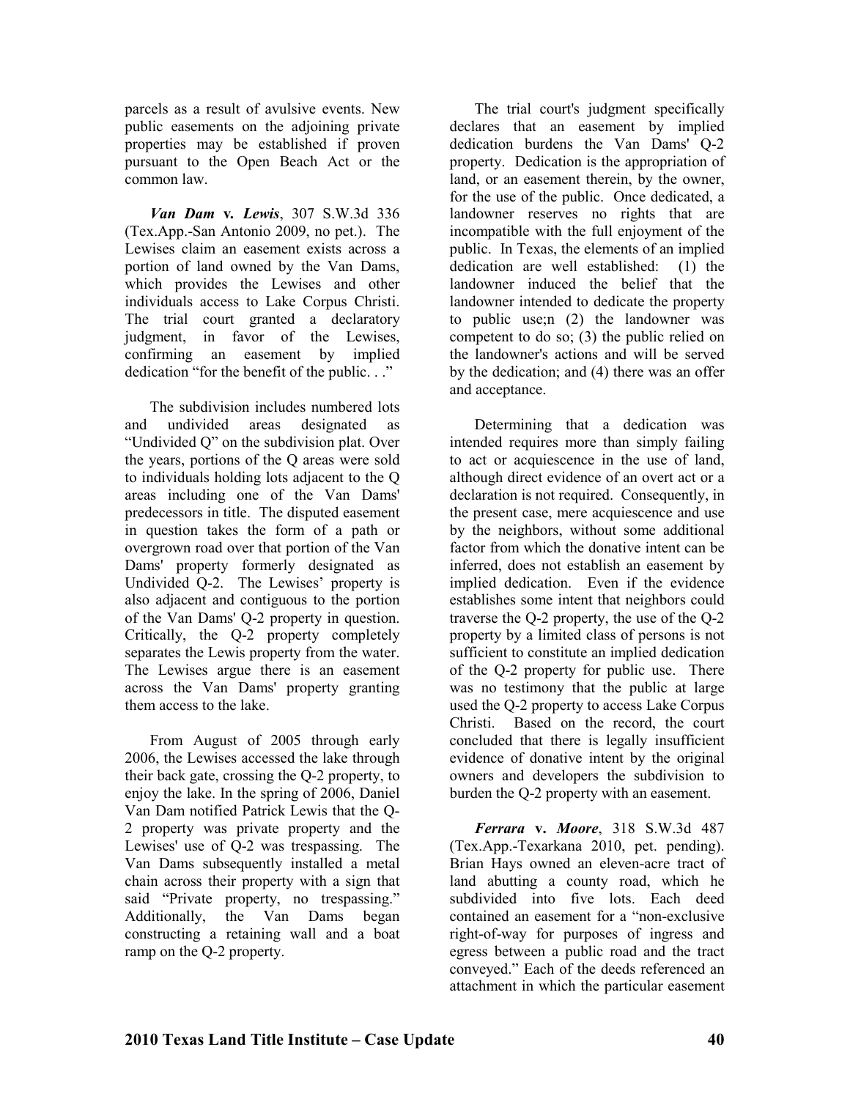parcels as a result of avulsive events. New public easements on the adjoining private properties may be established if proven pursuant to the Open Beach Act or the common law.

*Van Dam* **v***. Lewis*, 307 S.W.3d 336 (Tex.App.-San Antonio 2009, no pet.). The Lewises claim an easement exists across a portion of land owned by the Van Dams, which provides the Lewises and other individuals access to Lake Corpus Christi. The trial court granted a declaratory judgment, in favor of the Lewises, confirming an easement by implied dedication "for the benefit of the public. . ."

The subdivision includes numbered lots and undivided areas designated as "Undivided Q" on the subdivision plat. Over the years, portions of the Q areas were sold to individuals holding lots adjacent to the Q areas including one of the Van Dams' predecessors in title. The disputed easement in question takes the form of a path or overgrown road over that portion of the Van Dams' property formerly designated as Undivided Q-2. The Lewises' property is also adjacent and contiguous to the portion of the Van Dams' Q-2 property in question. Critically, the Q-2 property completely separates the Lewis property from the water. The Lewises argue there is an easement across the Van Dams' property granting them access to the lake.

From August of 2005 through early 2006, the Lewises accessed the lake through their back gate, crossing the Q-2 property, to enjoy the lake. In the spring of 2006, Daniel Van Dam notified Patrick Lewis that the Q-2 property was private property and the Lewises' use of Q-2 was trespassing. The Van Dams subsequently installed a metal chain across their property with a sign that said "Private property, no trespassing." Additionally, the Van Dams began constructing a retaining wall and a boat ramp on the Q-2 property.

The trial court's judgment specifically declares that an easement by implied dedication burdens the Van Dams' Q-2 property. Dedication is the appropriation of land, or an easement therein, by the owner, for the use of the public. Once dedicated, a landowner reserves no rights that are incompatible with the full enjoyment of the public. In Texas, the elements of an implied dedication are well established: (1) the landowner induced the belief that the landowner intended to dedicate the property to public use;n (2) the landowner was competent to do so; (3) the public relied on the landowner's actions and will be served by the dedication; and (4) there was an offer and acceptance.

Determining that a dedication was intended requires more than simply failing to act or acquiescence in the use of land, although direct evidence of an overt act or a declaration is not required. Consequently, in the present case, mere acquiescence and use by the neighbors, without some additional factor from which the donative intent can be inferred, does not establish an easement by implied dedication. Even if the evidence establishes some intent that neighbors could traverse the Q-2 property, the use of the Q-2 property by a limited class of persons is not sufficient to constitute an implied dedication of the Q-2 property for public use. There was no testimony that the public at large used the Q-2 property to access Lake Corpus Christi. Based on the record, the court concluded that there is legally insufficient evidence of donative intent by the original owners and developers the subdivision to burden the Q-2 property with an easement.

*Ferrara* **v.** *Moore*, 318 S.W.3d 487 (Tex.App.-Texarkana 2010, pet. pending). Brian Hays owned an eleven-acre tract of land abutting a county road, which he subdivided into five lots. Each deed contained an easement for a "non-exclusive right-of-way for purposes of ingress and egress between a public road and the tract conveyed." Each of the deeds referenced an attachment in which the particular easement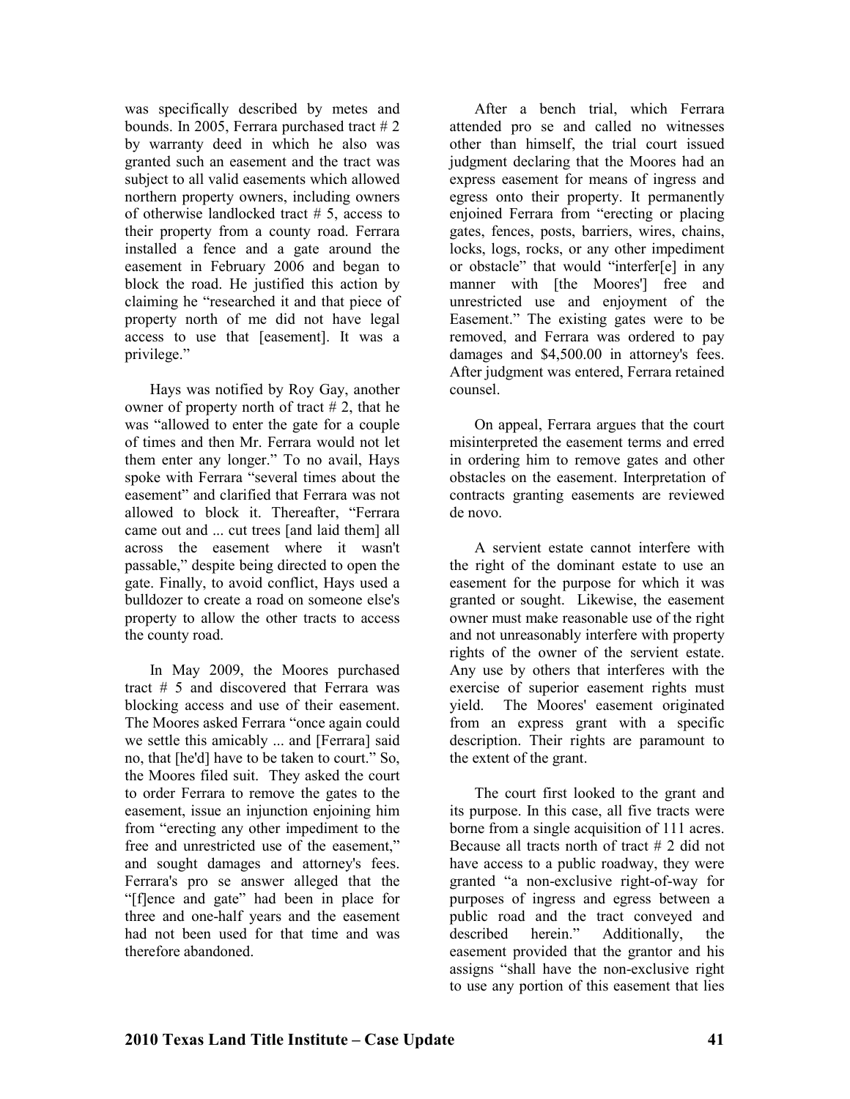was specifically described by metes and bounds. In 2005, Ferrara purchased tract # 2 by warranty deed in which he also was granted such an easement and the tract was subject to all valid easements which allowed northern property owners, including owners of otherwise landlocked tract # 5, access to their property from a county road. Ferrara installed a fence and a gate around the easement in February 2006 and began to block the road. He justified this action by claiming he "researched it and that piece of property north of me did not have legal access to use that [easement]. It was a privilege."

Hays was notified by Roy Gay, another owner of property north of tract  $# 2$ , that he was "allowed to enter the gate for a couple of times and then Mr. Ferrara would not let them enter any longer." To no avail, Hays spoke with Ferrara "several times about the easement" and clarified that Ferrara was not allowed to block it. Thereafter, "Ferrara came out and ... cut trees [and laid them] all across the easement where it wasn't passable," despite being directed to open the gate. Finally, to avoid conflict, Hays used a bulldozer to create a road on someone else's property to allow the other tracts to access the county road.

In May 2009, the Moores purchased tract # 5 and discovered that Ferrara was blocking access and use of their easement. The Moores asked Ferrara "once again could we settle this amicably ... and [Ferrara] said no, that [he'd] have to be taken to court." So, the Moores filed suit. They asked the court to order Ferrara to remove the gates to the easement, issue an injunction enjoining him from "erecting any other impediment to the free and unrestricted use of the easement," and sought damages and attorney's fees. Ferrara's pro se answer alleged that the "[f]ence and gate" had been in place for three and one-half years and the easement had not been used for that time and was therefore abandoned.

After a bench trial, which Ferrara attended pro se and called no witnesses other than himself, the trial court issued judgment declaring that the Moores had an express easement for means of ingress and egress onto their property. It permanently enjoined Ferrara from "erecting or placing gates, fences, posts, barriers, wires, chains, locks, logs, rocks, or any other impediment or obstacle" that would "interfer[e] in any manner with [the Moores'] free and unrestricted use and enjoyment of the Easement." The existing gates were to be removed, and Ferrara was ordered to pay damages and \$4,500.00 in attorney's fees. After judgment was entered, Ferrara retained counsel.

On appeal, Ferrara argues that the court misinterpreted the easement terms and erred in ordering him to remove gates and other obstacles on the easement. Interpretation of contracts granting easements are reviewed de novo.

A servient estate cannot interfere with the right of the dominant estate to use an easement for the purpose for which it was granted or sought. Likewise, the easement owner must make reasonable use of the right and not unreasonably interfere with property rights of the owner of the servient estate. Any use by others that interferes with the exercise of superior easement rights must yield. The Moores' easement originated from an express grant with a specific description. Their rights are paramount to the extent of the grant.

The court first looked to the grant and its purpose. In this case, all five tracts were borne from a single acquisition of 111 acres. Because all tracts north of tract # 2 did not have access to a public roadway, they were granted "a non-exclusive right-of-way for purposes of ingress and egress between a public road and the tract conveyed and<br>described herein." Additionally, the described herein." Additionally, the easement provided that the grantor and his assigns "shall have the non-exclusive right to use any portion of this easement that lies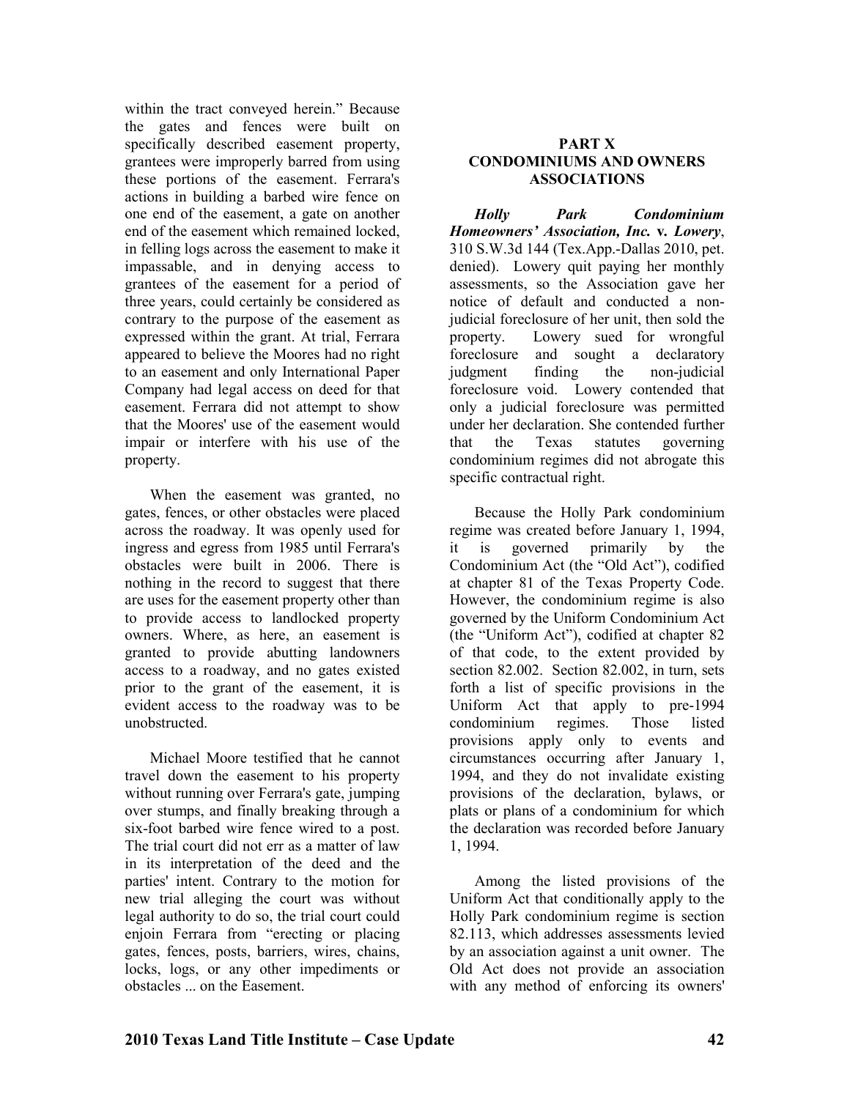within the tract conveyed herein." Because the gates and fences were built on specifically described easement property, grantees were improperly barred from using these portions of the easement. Ferrara's actions in building a barbed wire fence on one end of the easement, a gate on another end of the easement which remained locked, in felling logs across the easement to make it impassable, and in denying access to grantees of the easement for a period of three years, could certainly be considered as contrary to the purpose of the easement as expressed within the grant. At trial, Ferrara appeared to believe the Moores had no right to an easement and only International Paper Company had legal access on deed for that easement. Ferrara did not attempt to show that the Moores' use of the easement would impair or interfere with his use of the property.

When the easement was granted, no gates, fences, or other obstacles were placed across the roadway. It was openly used for ingress and egress from 1985 until Ferrara's obstacles were built in 2006. There is nothing in the record to suggest that there are uses for the easement property other than to provide access to landlocked property owners. Where, as here, an easement is granted to provide abutting landowners access to a roadway, and no gates existed prior to the grant of the easement, it is evident access to the roadway was to be unobstructed.

Michael Moore testified that he cannot travel down the easement to his property without running over Ferrara's gate, jumping over stumps, and finally breaking through a six-foot barbed wire fence wired to a post. The trial court did not err as a matter of law in its interpretation of the deed and the parties' intent. Contrary to the motion for new trial alleging the court was without legal authority to do so, the trial court could enjoin Ferrara from "erecting or placing gates, fences, posts, barriers, wires, chains, locks, logs, or any other impediments or obstacles ... on the Easement.

#### **PART X CODOMIIUMS AD OWERS ASSOCIATIOS**

*Holly Park Condominium Homeowners' Association, Inc.* **v***. Lowery*, 310 S.W.3d 144 (Tex.App.-Dallas 2010, pet. denied). Lowery quit paying her monthly assessments, so the Association gave her notice of default and conducted a nonjudicial foreclosure of her unit, then sold the property. Lowery sued for wrongful foreclosure and sought a declaratory judgment finding the non-judicial foreclosure void. Lowery contended that only a judicial foreclosure was permitted under her declaration. She contended further that the Texas statutes governing condominium regimes did not abrogate this specific contractual right.

Because the Holly Park condominium regime was created before January 1, 1994, it is governed primarily by the Condominium Act (the "Old Act"), codified at chapter 81 of the Texas Property Code. However, the condominium regime is also governed by the Uniform Condominium Act (the "Uniform Act"), codified at chapter 82 of that code, to the extent provided by section 82.002. Section 82.002, in turn, sets forth a list of specific provisions in the Uniform Act that apply to pre-1994 condominium regimes. Those listed provisions apply only to events and circumstances occurring after January 1, 1994, and they do not invalidate existing provisions of the declaration, bylaws, or plats or plans of a condominium for which the declaration was recorded before January 1, 1994.

Among the listed provisions of the Uniform Act that conditionally apply to the Holly Park condominium regime is section 82.113, which addresses assessments levied by an association against a unit owner. The Old Act does not provide an association with any method of enforcing its owners'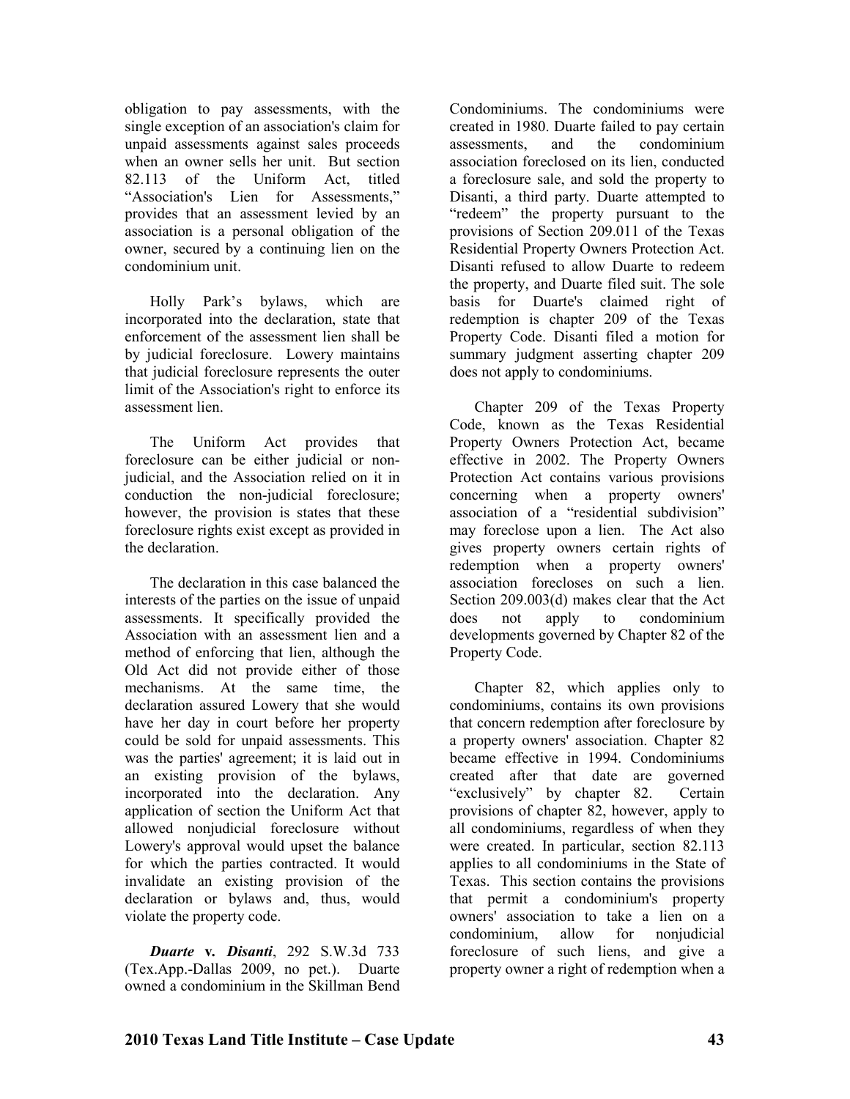obligation to pay assessments, with the single exception of an association's claim for unpaid assessments against sales proceeds when an owner sells her unit. But section 82.113 of the Uniform Act, titled "Association's Lien for Assessments," provides that an assessment levied by an association is a personal obligation of the owner, secured by a continuing lien on the condominium unit.

Holly Park's bylaws, which are incorporated into the declaration, state that enforcement of the assessment lien shall be by judicial foreclosure. Lowery maintains that judicial foreclosure represents the outer limit of the Association's right to enforce its assessment lien.

The Uniform Act provides that foreclosure can be either judicial or nonjudicial, and the Association relied on it in conduction the non-judicial foreclosure; however, the provision is states that these foreclosure rights exist except as provided in the declaration.

The declaration in this case balanced the interests of the parties on the issue of unpaid assessments. It specifically provided the Association with an assessment lien and a method of enforcing that lien, although the Old Act did not provide either of those mechanisms. At the same time, the declaration assured Lowery that she would have her day in court before her property could be sold for unpaid assessments. This was the parties' agreement; it is laid out in an existing provision of the bylaws, incorporated into the declaration. Any application of section the Uniform Act that allowed nonjudicial foreclosure without Lowery's approval would upset the balance for which the parties contracted. It would invalidate an existing provision of the declaration or bylaws and, thus, would violate the property code.

*Duarte* **v***. Disanti*, 292 S.W.3d 733 (Tex.App.-Dallas 2009, no pet.). Duarte owned a condominium in the Skillman Bend

Condominiums. The condominiums were created in 1980. Duarte failed to pay certain assessments, and the condominium association foreclosed on its lien, conducted a foreclosure sale, and sold the property to Disanti, a third party. Duarte attempted to "redeem" the property pursuant to the provisions of Section 209.011 of the Texas Residential Property Owners Protection Act. Disanti refused to allow Duarte to redeem the property, and Duarte filed suit. The sole basis for Duarte's claimed right of redemption is chapter 209 of the Texas Property Code. Disanti filed a motion for summary judgment asserting chapter 209 does not apply to condominiums.

Chapter 209 of the Texas Property Code, known as the Texas Residential Property Owners Protection Act, became effective in 2002. The Property Owners Protection Act contains various provisions concerning when a property owners' association of a "residential subdivision" may foreclose upon a lien. The Act also gives property owners certain rights of redemption when a property owners' association forecloses on such a lien. Section 209.003(d) makes clear that the Act does not apply to condominium developments governed by Chapter 82 of the Property Code.

Chapter 82, which applies only to condominiums, contains its own provisions that concern redemption after foreclosure by a property owners' association. Chapter 82 became effective in 1994. Condominiums created after that date are governed "exclusively" by chapter 82. Certain provisions of chapter 82, however, apply to all condominiums, regardless of when they were created. In particular, section 82.113 applies to all condominiums in the State of Texas. This section contains the provisions that permit a condominium's property owners' association to take a lien on a condominium, allow for nonjudicial foreclosure of such liens, and give a property owner a right of redemption when a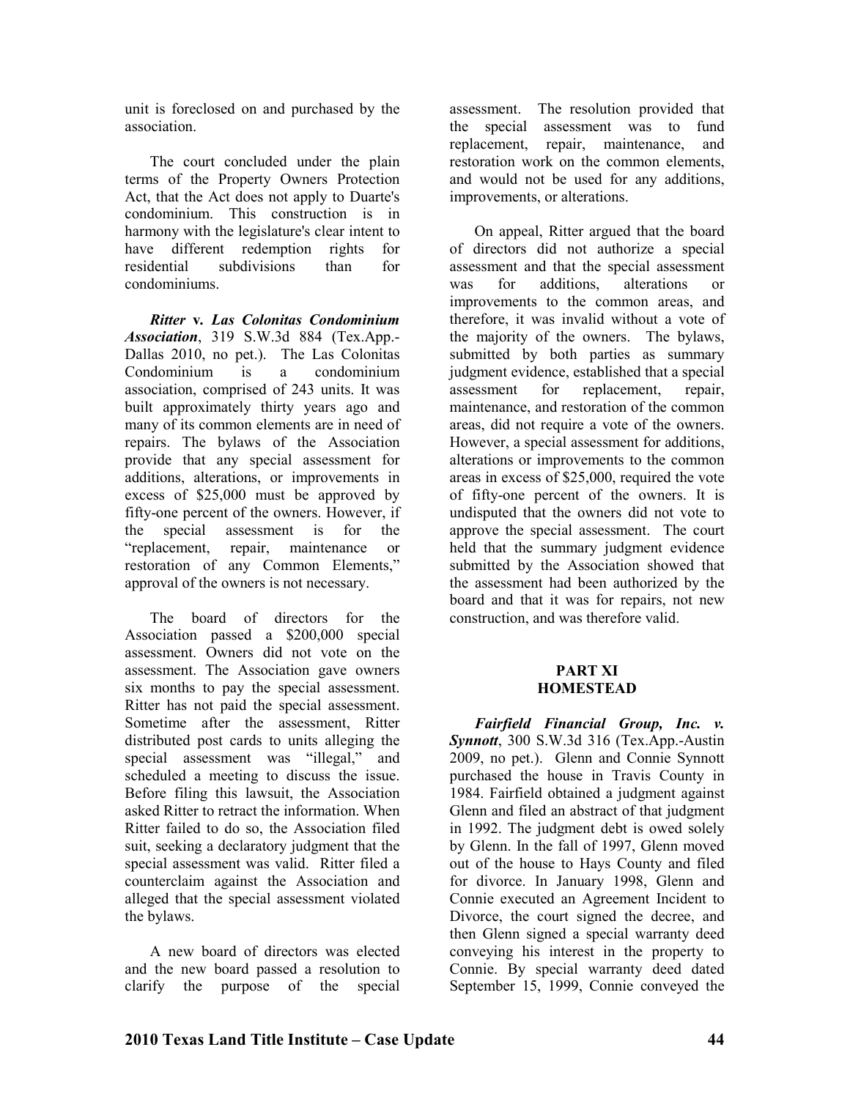unit is foreclosed on and purchased by the association.

The court concluded under the plain terms of the Property Owners Protection Act, that the Act does not apply to Duarte's condominium. This construction is in harmony with the legislature's clear intent to have different redemption rights for residential subdivisions than for condominiums.

*Ritter* **v***. Las Colonitas Condominium Association*, 319 S.W.3d 884 (Tex.App.- Dallas 2010, no pet.). The Las Colonitas Condominium is a condominium association, comprised of 243 units. It was built approximately thirty years ago and many of its common elements are in need of repairs. The bylaws of the Association provide that any special assessment for additions, alterations, or improvements in excess of \$25,000 must be approved by fifty-one percent of the owners. However, if the special assessment is for the "replacement, repair, maintenance or restoration of any Common Elements," approval of the owners is not necessary.

The board of directors for the Association passed a \$200,000 special assessment. Owners did not vote on the assessment. The Association gave owners six months to pay the special assessment. Ritter has not paid the special assessment. Sometime after the assessment, Ritter distributed post cards to units alleging the special assessment was "illegal," and scheduled a meeting to discuss the issue. Before filing this lawsuit, the Association asked Ritter to retract the information. When Ritter failed to do so, the Association filed suit, seeking a declaratory judgment that the special assessment was valid. Ritter filed a counterclaim against the Association and alleged that the special assessment violated the bylaws.

A new board of directors was elected and the new board passed a resolution to clarify the purpose of the special assessment. The resolution provided that the special assessment was to fund replacement, repair, maintenance, and restoration work on the common elements, and would not be used for any additions, improvements, or alterations.

On appeal, Ritter argued that the board of directors did not authorize a special assessment and that the special assessment was for additions, alterations or improvements to the common areas, and therefore, it was invalid without a vote of the majority of the owners. The bylaws, submitted by both parties as summary judgment evidence, established that a special assessment for replacement, repair, maintenance, and restoration of the common areas, did not require a vote of the owners. However, a special assessment for additions, alterations or improvements to the common areas in excess of \$25,000, required the vote of fifty-one percent of the owners. It is undisputed that the owners did not vote to approve the special assessment. The court held that the summary judgment evidence submitted by the Association showed that the assessment had been authorized by the board and that it was for repairs, not new construction, and was therefore valid.

#### **PART XI HOMESTEAD**

*Fairfield Financial Group, Inc. v. Synnott*, 300 S.W.3d 316 (Tex.App.-Austin 2009, no pet.). Glenn and Connie Synnott purchased the house in Travis County in 1984. Fairfield obtained a judgment against Glenn and filed an abstract of that judgment in 1992. The judgment debt is owed solely by Glenn. In the fall of 1997, Glenn moved out of the house to Hays County and filed for divorce. In January 1998, Glenn and Connie executed an Agreement Incident to Divorce, the court signed the decree, and then Glenn signed a special warranty deed conveying his interest in the property to Connie. By special warranty deed dated September 15, 1999, Connie conveyed the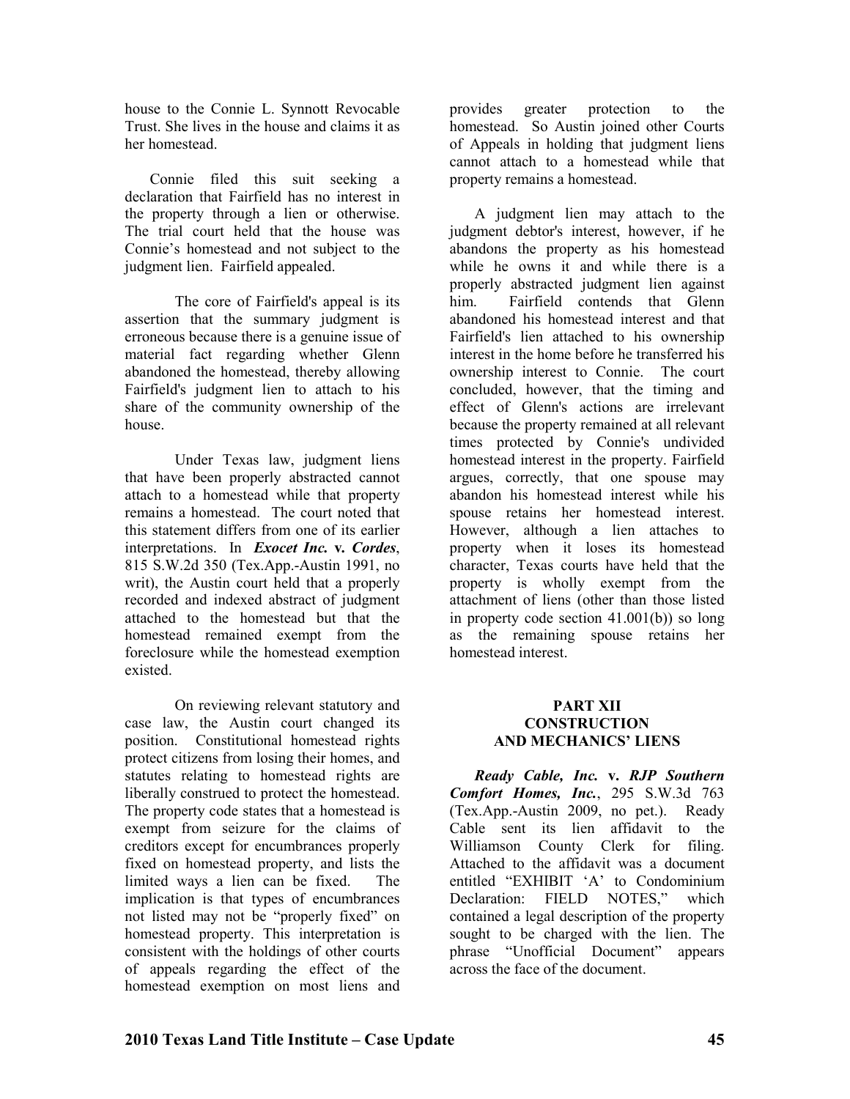house to the Connie L. Synnott Revocable Trust. She lives in the house and claims it as her homestead.

Connie filed this suit seeking a declaration that Fairfield has no interest in the property through a lien or otherwise. The trial court held that the house was Connie's homestead and not subject to the judgment lien. Fairfield appealed.

The core of Fairfield's appeal is its assertion that the summary judgment is erroneous because there is a genuine issue of material fact regarding whether Glenn abandoned the homestead, thereby allowing Fairfield's judgment lien to attach to his share of the community ownership of the house.

 Under Texas law, judgment liens that have been properly abstracted cannot attach to a homestead while that property remains a homestead. The court noted that this statement differs from one of its earlier interpretations. In *Exocet Inc.* **v***. Cordes*, 815 S.W.2d 350 (Tex.App.-Austin 1991, no writ), the Austin court held that a properly recorded and indexed abstract of judgment attached to the homestead but that the homestead remained exempt from the foreclosure while the homestead exemption existed.

On reviewing relevant statutory and case law, the Austin court changed its position. Constitutional homestead rights protect citizens from losing their homes, and statutes relating to homestead rights are liberally construed to protect the homestead. The property code states that a homestead is exempt from seizure for the claims of creditors except for encumbrances properly fixed on homestead property, and lists the limited ways a lien can be fixed. The implication is that types of encumbrances not listed may not be "properly fixed" on homestead property. This interpretation is consistent with the holdings of other courts of appeals regarding the effect of the homestead exemption on most liens and

provides greater protection to the homestead. So Austin joined other Courts of Appeals in holding that judgment liens cannot attach to a homestead while that property remains a homestead.

A judgment lien may attach to the judgment debtor's interest, however, if he abandons the property as his homestead while he owns it and while there is a properly abstracted judgment lien against him. Fairfield contends that Glenn abandoned his homestead interest and that Fairfield's lien attached to his ownership interest in the home before he transferred his ownership interest to Connie. The court concluded, however, that the timing and effect of Glenn's actions are irrelevant because the property remained at all relevant times protected by Connie's undivided homestead interest in the property. Fairfield argues, correctly, that one spouse may abandon his homestead interest while his spouse retains her homestead interest. However, although a lien attaches to property when it loses its homestead character, Texas courts have held that the property is wholly exempt from the attachment of liens (other than those listed in property code section 41.001(b)) so long as the remaining spouse retains her homestead interest.

#### **PART XII CONSTRUCTION AND MECHANICS' LIENS**

*Ready Cable, Inc.* **v.** *RJP Southern Comfort Homes, Inc.*, 295 S.W.3d 763 (Tex.App.-Austin 2009, no pet.). Ready Cable sent its lien affidavit to the Williamson County Clerk for filing. Attached to the affidavit was a document entitled "EXHIBIT 'A' to Condominium Declaration: FIELD NOTES," which contained a legal description of the property sought to be charged with the lien. The phrase "Unofficial Document" appears across the face of the document.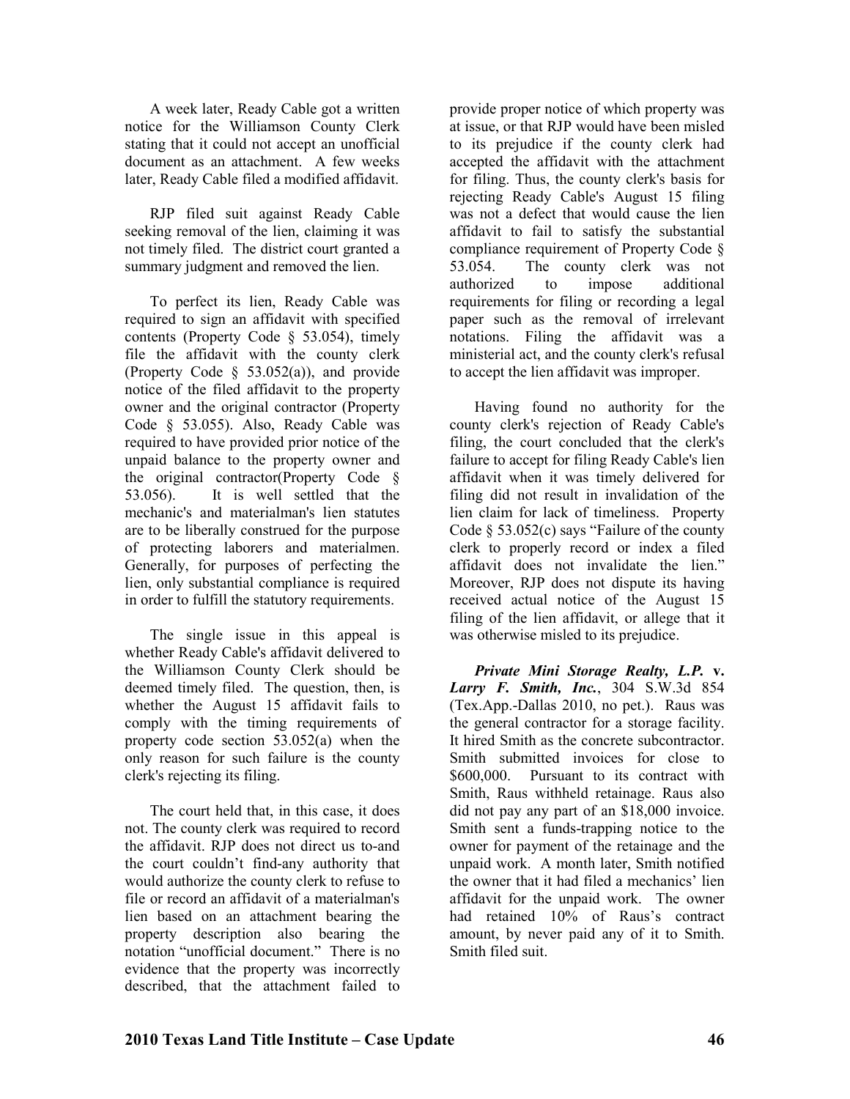A week later, Ready Cable got a written notice for the Williamson County Clerk stating that it could not accept an unofficial document as an attachment. A few weeks later, Ready Cable filed a modified affidavit.

RJP filed suit against Ready Cable seeking removal of the lien, claiming it was not timely filed. The district court granted a summary judgment and removed the lien.

To perfect its lien, Ready Cable was required to sign an affidavit with specified contents (Property Code § 53.054), timely file the affidavit with the county clerk (Property Code § 53.052(a)), and provide notice of the filed affidavit to the property owner and the original contractor (Property Code § 53.055). Also, Ready Cable was required to have provided prior notice of the unpaid balance to the property owner and the original contractor(Property Code § 53.056). It is well settled that the mechanic's and materialman's lien statutes are to be liberally construed for the purpose of protecting laborers and materialmen. Generally, for purposes of perfecting the lien, only substantial compliance is required in order to fulfill the statutory requirements.

The single issue in this appeal is whether Ready Cable's affidavit delivered to the Williamson County Clerk should be deemed timely filed. The question, then, is whether the August 15 affidavit fails to comply with the timing requirements of property code section  $53.052(a)$  when the only reason for such failure is the county clerk's rejecting its filing.

The court held that, in this case, it does not. The county clerk was required to record the affidavit. RJP does not direct us to-and the court couldn't find-any authority that would authorize the county clerk to refuse to file or record an affidavit of a materialman's lien based on an attachment bearing the property description also bearing the notation "unofficial document." There is no evidence that the property was incorrectly described, that the attachment failed to

provide proper notice of which property was at issue, or that RJP would have been misled to its prejudice if the county clerk had accepted the affidavit with the attachment for filing. Thus, the county clerk's basis for rejecting Ready Cable's August 15 filing was not a defect that would cause the lien affidavit to fail to satisfy the substantial compliance requirement of Property Code § 53.054. The county clerk was not authorized to impose additional requirements for filing or recording a legal paper such as the removal of irrelevant notations. Filing the affidavit was a ministerial act, and the county clerk's refusal to accept the lien affidavit was improper.

Having found no authority for the county clerk's rejection of Ready Cable's filing, the court concluded that the clerk's failure to accept for filing Ready Cable's lien affidavit when it was timely delivered for filing did not result in invalidation of the lien claim for lack of timeliness. Property Code  $\S$  53.052(c) says "Failure of the county clerk to properly record or index a filed affidavit does not invalidate the lien." Moreover, RJP does not dispute its having received actual notice of the August 15 filing of the lien affidavit, or allege that it was otherwise misled to its prejudice.

*Private Mini Storage Realty, L.P.* **v.**  *Larry F. Smith, Inc.*, 304 S.W.3d 854 (Tex.App.-Dallas 2010, no pet.). Raus was the general contractor for a storage facility. It hired Smith as the concrete subcontractor. Smith submitted invoices for close to \$600,000. Pursuant to its contract with Smith, Raus withheld retainage. Raus also did not pay any part of an \$18,000 invoice. Smith sent a funds-trapping notice to the owner for payment of the retainage and the unpaid work. A month later, Smith notified the owner that it had filed a mechanics' lien affidavit for the unpaid work. The owner had retained 10% of Raus's contract amount, by never paid any of it to Smith. Smith filed suit.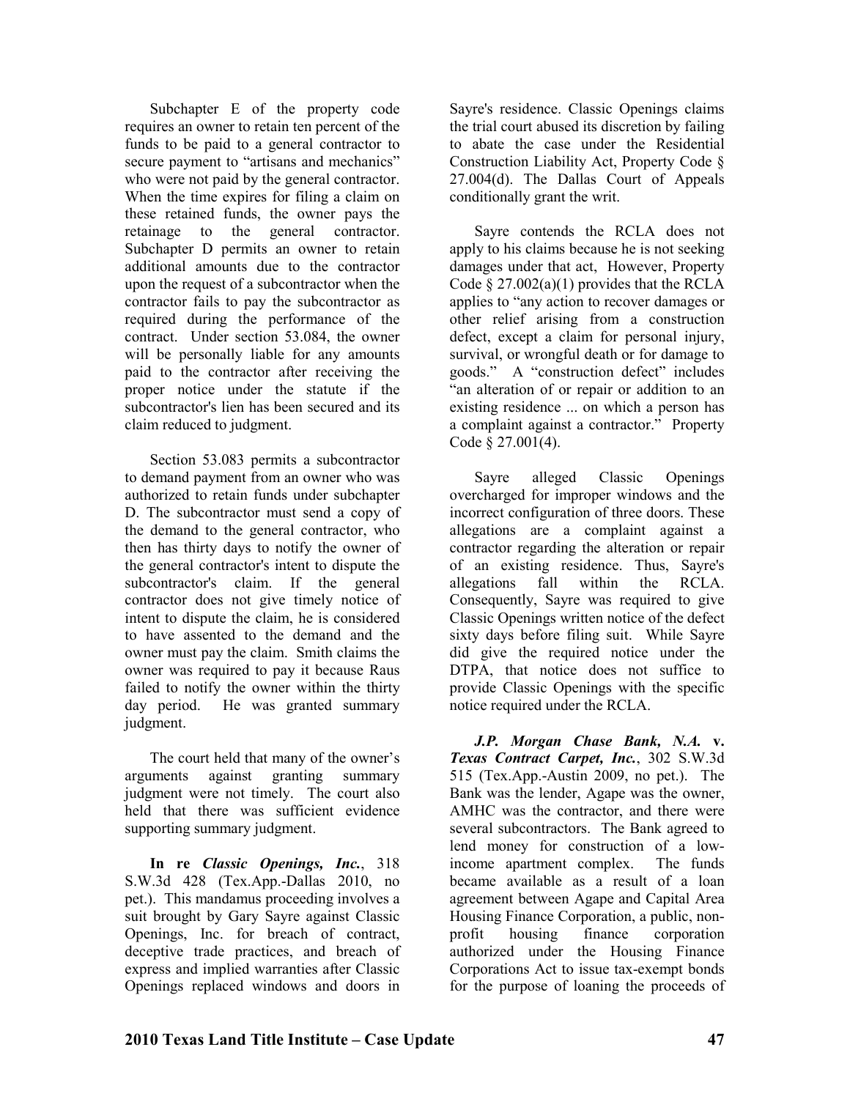Subchapter E of the property code requires an owner to retain ten percent of the funds to be paid to a general contractor to secure payment to "artisans and mechanics" who were not paid by the general contractor. When the time expires for filing a claim on these retained funds, the owner pays the retainage to the general contractor. Subchapter D permits an owner to retain additional amounts due to the contractor upon the request of a subcontractor when the contractor fails to pay the subcontractor as required during the performance of the contract. Under section 53.084, the owner will be personally liable for any amounts paid to the contractor after receiving the proper notice under the statute if the subcontractor's lien has been secured and its claim reduced to judgment.

Section 53.083 permits a subcontractor to demand payment from an owner who was authorized to retain funds under subchapter D. The subcontractor must send a copy of the demand to the general contractor, who then has thirty days to notify the owner of the general contractor's intent to dispute the subcontractor's claim. If the general contractor does not give timely notice of intent to dispute the claim, he is considered to have assented to the demand and the owner must pay the claim. Smith claims the owner was required to pay it because Raus failed to notify the owner within the thirty day period. He was granted summary judgment.

The court held that many of the owner's arguments against granting summary judgment were not timely. The court also held that there was sufficient evidence supporting summary judgment.

**In re** *Classic Openings, Inc.*, 318 S.W.3d 428 (Tex.App.-Dallas 2010, no pet.). This mandamus proceeding involves a suit brought by Gary Sayre against Classic Openings, Inc. for breach of contract, deceptive trade practices, and breach of express and implied warranties after Classic Openings replaced windows and doors in

Sayre's residence. Classic Openings claims the trial court abused its discretion by failing to abate the case under the Residential Construction Liability Act, Property Code § 27.004(d). The Dallas Court of Appeals conditionally grant the writ.

Sayre contends the RCLA does not apply to his claims because he is not seeking damages under that act, However, Property Code  $\S 27.002(a)(1)$  provides that the RCLA applies to "any action to recover damages or other relief arising from a construction defect, except a claim for personal injury, survival, or wrongful death or for damage to goods." A "construction defect" includes "an alteration of or repair or addition to an existing residence ... on which a person has a complaint against a contractor." Property Code § 27.001(4).

Sayre alleged Classic Openings overcharged for improper windows and the incorrect configuration of three doors. These allegations are a complaint against a contractor regarding the alteration or repair of an existing residence. Thus, Sayre's allegations fall within the RCLA. Consequently, Sayre was required to give Classic Openings written notice of the defect sixty days before filing suit. While Sayre did give the required notice under the DTPA, that notice does not suffice to provide Classic Openings with the specific notice required under the RCLA.

*J.P. Morgan Chase Bank, N.A. v. Texas Contract Carpet, Inc.*, 302 S.W.3d 515 (Tex.App.-Austin 2009, no pet.). The Bank was the lender, Agape was the owner, AMHC was the contractor, and there were several subcontractors. The Bank agreed to lend money for construction of a lowincome apartment complex. The funds became available as a result of a loan agreement between Agape and Capital Area Housing Finance Corporation, a public, nonprofit housing finance corporation authorized under the Housing Finance Corporations Act to issue tax-exempt bonds for the purpose of loaning the proceeds of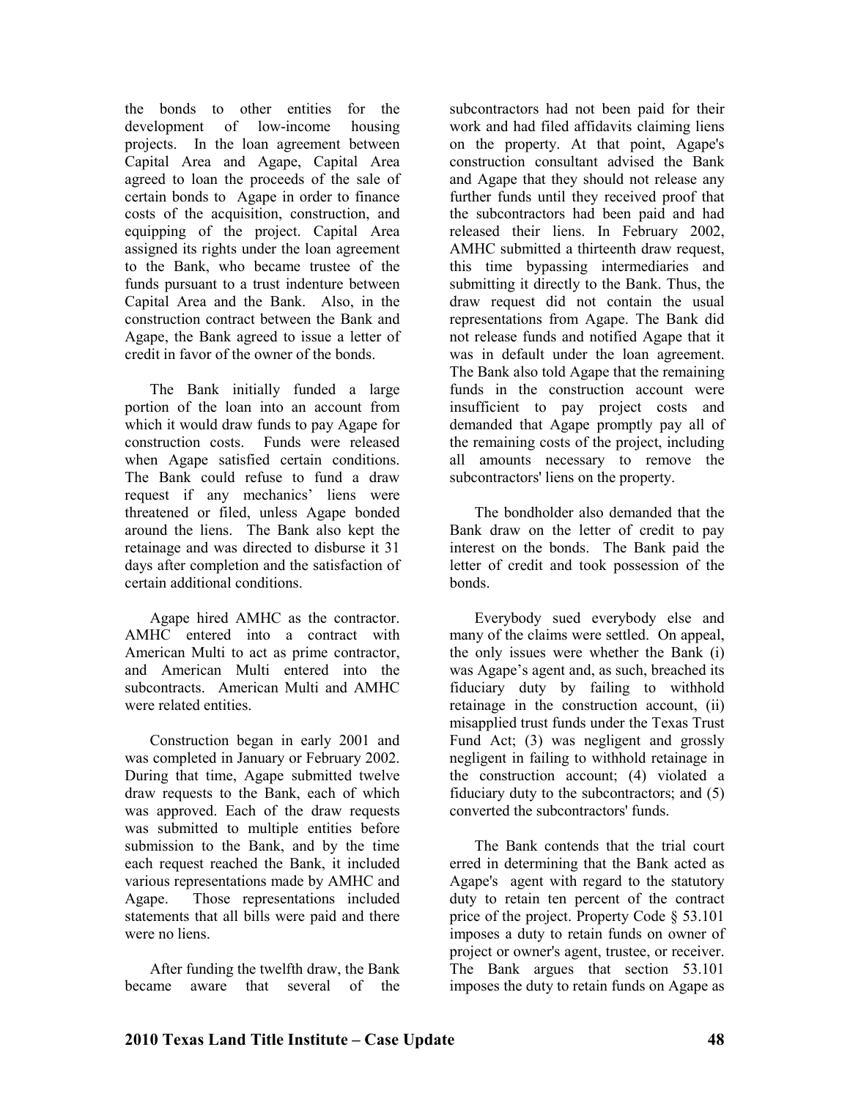the bonds to other entities for the development of low-income housing projects. In the loan agreement between Capital Area and Agape, Capital Area agreed to loan the proceeds of the sale of certain bonds to Agape in order to finance costs of the acquisition, construction, and equipping of the project. Capital Area assigned its rights under the loan agreement to the Bank, who became trustee of the funds pursuant to a trust indenture between Capital Area and the Bank. Also, in the construction contract between the Bank and Agape, the Bank agreed to issue a letter of credit in favor of the owner of the bonds.

The Bank initially funded a large portion of the loan into an account from which it would draw funds to pay Agape for construction costs. Funds were released when Agape satisfied certain conditions. The Bank could refuse to fund a draw request if any mechanics' liens were threatened or filed, unless Agape bonded around the liens. The Bank also kept the retainage and was directed to disburse it 31 days after completion and the satisfaction of certain additional conditions.

Agape hired AMHC as the contractor. AMHC entered into a contract with American Multi to act as prime contractor, and American Multi entered into the subcontracts. American Multi and AMHC were related entities.

Construction began in early 2001 and was completed in January or February 2002. During that time, Agape submitted twelve draw requests to the Bank, each of which was approved. Each of the draw requests was submitted to multiple entities before submission to the Bank, and by the time each request reached the Bank, it included various representations made by AMHC and Agape. Those representations included statements that all bills were paid and there were no liens.

After funding the twelfth draw, the Bank became aware that several of the

subcontractors had not been paid for their work and had filed affidavits claiming liens on the property. At that point, Agape's construction consultant advised the Bank and Agape that they should not release any further funds until they received proof that the subcontractors had been paid and had released their liens. In February 2002, AMHC submitted a thirteenth draw request, this time bypassing intermediaries and submitting it directly to the Bank. Thus, the draw request did not contain the usual representations from Agape. The Bank did not release funds and notified Agape that it was in default under the loan agreement. The Bank also told Agape that the remaining funds in the construction account were insufficient to pay project costs and demanded that Agape promptly pay all of the remaining costs of the project, including all amounts necessary to remove the subcontractors' liens on the property.

The bondholder also demanded that the Bank draw on the letter of credit to pay interest on the bonds. The Bank paid the letter of credit and took possession of the bonds.

Everybody sued everybody else and many of the claims were settled. On appeal, the only issues were whether the Bank (i) was Agape's agent and, as such, breached its fiduciary duty by failing to withhold retainage in the construction account, (ii) misapplied trust funds under the Texas Trust Fund Act; (3) was negligent and grossly negligent in failing to withhold retainage in the construction account; (4) violated a fiduciary duty to the subcontractors; and (5) converted the subcontractors' funds.

The Bank contends that the trial court erred in determining that the Bank acted as Agape's agent with regard to the statutory duty to retain ten percent of the contract price of the project. Property Code § 53.101 imposes a duty to retain funds on owner of project or owner's agent, trustee, or receiver. The Bank argues that section 53.101 imposes the duty to retain funds on Agape as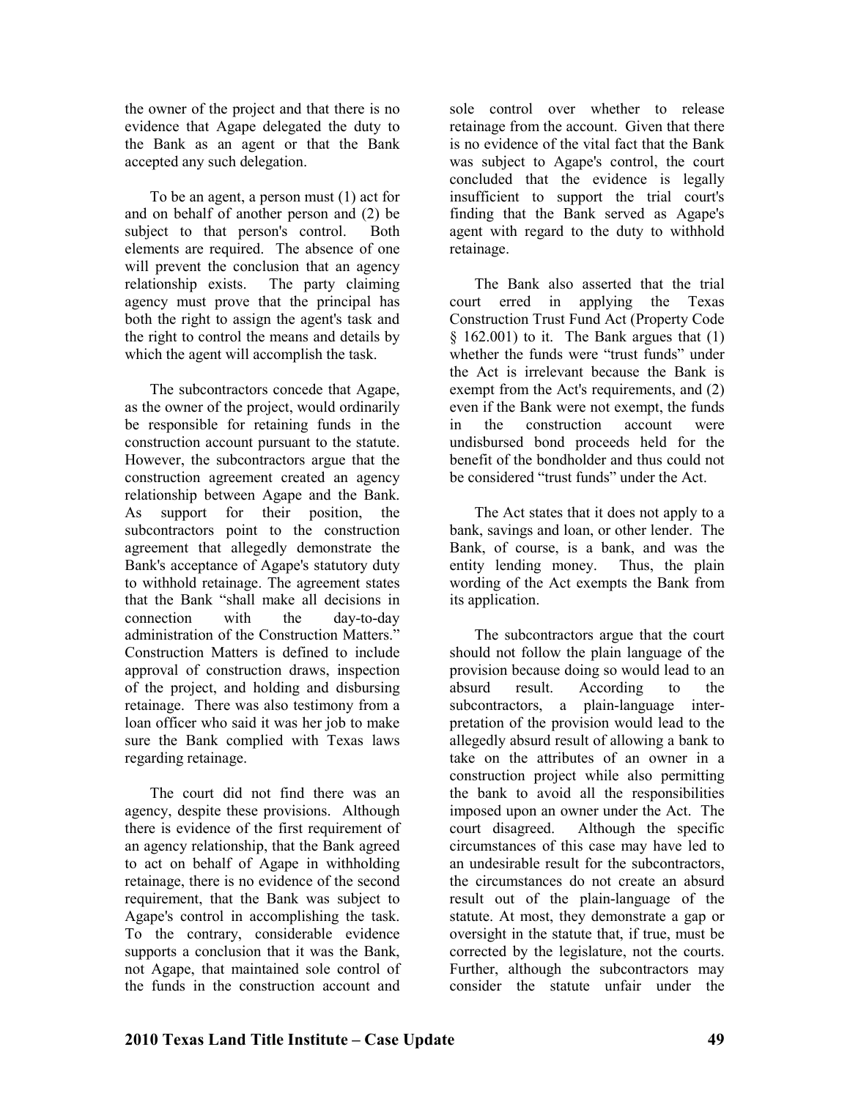the owner of the project and that there is no evidence that Agape delegated the duty to the Bank as an agent or that the Bank accepted any such delegation.

To be an agent, a person must (1) act for and on behalf of another person and (2) be subject to that person's control. Both elements are required. The absence of one will prevent the conclusion that an agency relationship exists. The party claiming agency must prove that the principal has both the right to assign the agent's task and the right to control the means and details by which the agent will accomplish the task.

The subcontractors concede that Agape, as the owner of the project, would ordinarily be responsible for retaining funds in the construction account pursuant to the statute. However, the subcontractors argue that the construction agreement created an agency relationship between Agape and the Bank. As support for their position, the subcontractors point to the construction agreement that allegedly demonstrate the Bank's acceptance of Agape's statutory duty to withhold retainage. The agreement states that the Bank "shall make all decisions in connection with the day-to-day administration of the Construction Matters." Construction Matters is defined to include approval of construction draws, inspection of the project, and holding and disbursing retainage. There was also testimony from a loan officer who said it was her job to make sure the Bank complied with Texas laws regarding retainage.

The court did not find there was an agency, despite these provisions. Although there is evidence of the first requirement of an agency relationship, that the Bank agreed to act on behalf of Agape in withholding retainage, there is no evidence of the second requirement, that the Bank was subject to Agape's control in accomplishing the task. To the contrary, considerable evidence supports a conclusion that it was the Bank, not Agape, that maintained sole control of the funds in the construction account and

sole control over whether to release retainage from the account. Given that there is no evidence of the vital fact that the Bank was subject to Agape's control, the court concluded that the evidence is legally insufficient to support the trial court's finding that the Bank served as Agape's agent with regard to the duty to withhold retainage.

The Bank also asserted that the trial court erred in applying the Texas Construction Trust Fund Act (Property Code  $§$  162.001) to it. The Bank argues that (1) whether the funds were "trust funds" under the Act is irrelevant because the Bank is exempt from the Act's requirements, and (2) even if the Bank were not exempt, the funds in the construction account were undisbursed bond proceeds held for the benefit of the bondholder and thus could not be considered "trust funds" under the Act.

The Act states that it does not apply to a bank, savings and loan, or other lender. The Bank, of course, is a bank, and was the entity lending money. Thus, the plain wording of the Act exempts the Bank from its application.

The subcontractors argue that the court should not follow the plain language of the provision because doing so would lead to an absurd result. According to the subcontractors, a plain-language interpretation of the provision would lead to the allegedly absurd result of allowing a bank to take on the attributes of an owner in a construction project while also permitting the bank to avoid all the responsibilities imposed upon an owner under the Act. The court disagreed. Although the specific circumstances of this case may have led to an undesirable result for the subcontractors, the circumstances do not create an absurd result out of the plain-language of the statute. At most, they demonstrate a gap or oversight in the statute that, if true, must be corrected by the legislature, not the courts. Further, although the subcontractors may consider the statute unfair under the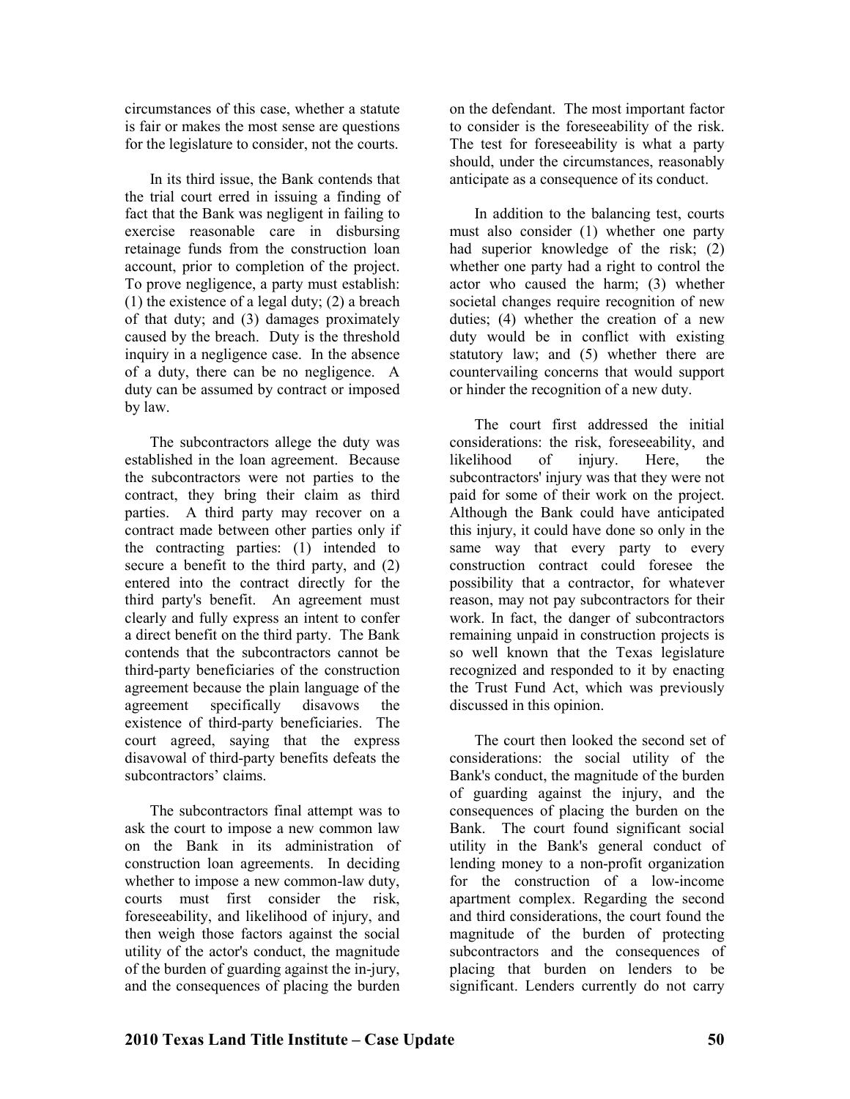circumstances of this case, whether a statute is fair or makes the most sense are questions for the legislature to consider, not the courts.

In its third issue, the Bank contends that the trial court erred in issuing a finding of fact that the Bank was negligent in failing to exercise reasonable care in disbursing retainage funds from the construction loan account, prior to completion of the project. To prove negligence, a party must establish: (1) the existence of a legal duty; (2) a breach of that duty; and (3) damages proximately caused by the breach. Duty is the threshold inquiry in a negligence case. In the absence of a duty, there can be no negligence. A duty can be assumed by contract or imposed by law.

The subcontractors allege the duty was established in the loan agreement. Because the subcontractors were not parties to the contract, they bring their claim as third parties. A third party may recover on a contract made between other parties only if the contracting parties: (1) intended to secure a benefit to the third party, and (2) entered into the contract directly for the third party's benefit. An agreement must clearly and fully express an intent to confer a direct benefit on the third party. The Bank contends that the subcontractors cannot be third-party beneficiaries of the construction agreement because the plain language of the agreement specifically disavows the existence of third-party beneficiaries. The court agreed, saying that the express disavowal of third-party benefits defeats the subcontractors' claims.

The subcontractors final attempt was to ask the court to impose a new common law on the Bank in its administration of construction loan agreements. In deciding whether to impose a new common-law duty, courts must first consider the risk, foreseeability, and likelihood of injury, and then weigh those factors against the social utility of the actor's conduct, the magnitude of the burden of guarding against the in-jury, and the consequences of placing the burden

on the defendant. The most important factor to consider is the foreseeability of the risk. The test for foreseeability is what a party should, under the circumstances, reasonably anticipate as a consequence of its conduct.

In addition to the balancing test, courts must also consider (1) whether one party had superior knowledge of the risk; (2) whether one party had a right to control the actor who caused the harm; (3) whether societal changes require recognition of new duties; (4) whether the creation of a new duty would be in conflict with existing statutory law; and (5) whether there are countervailing concerns that would support or hinder the recognition of a new duty.

The court first addressed the initial considerations: the risk, foreseeability, and likelihood of injury. Here, the subcontractors' injury was that they were not paid for some of their work on the project. Although the Bank could have anticipated this injury, it could have done so only in the same way that every party to every construction contract could foresee the possibility that a contractor, for whatever reason, may not pay subcontractors for their work. In fact, the danger of subcontractors remaining unpaid in construction projects is so well known that the Texas legislature recognized and responded to it by enacting the Trust Fund Act, which was previously discussed in this opinion.

The court then looked the second set of considerations: the social utility of the Bank's conduct, the magnitude of the burden of guarding against the injury, and the consequences of placing the burden on the Bank. The court found significant social utility in the Bank's general conduct of lending money to a non-profit organization for the construction of a low-income apartment complex. Regarding the second and third considerations, the court found the magnitude of the burden of protecting subcontractors and the consequences of placing that burden on lenders to be significant. Lenders currently do not carry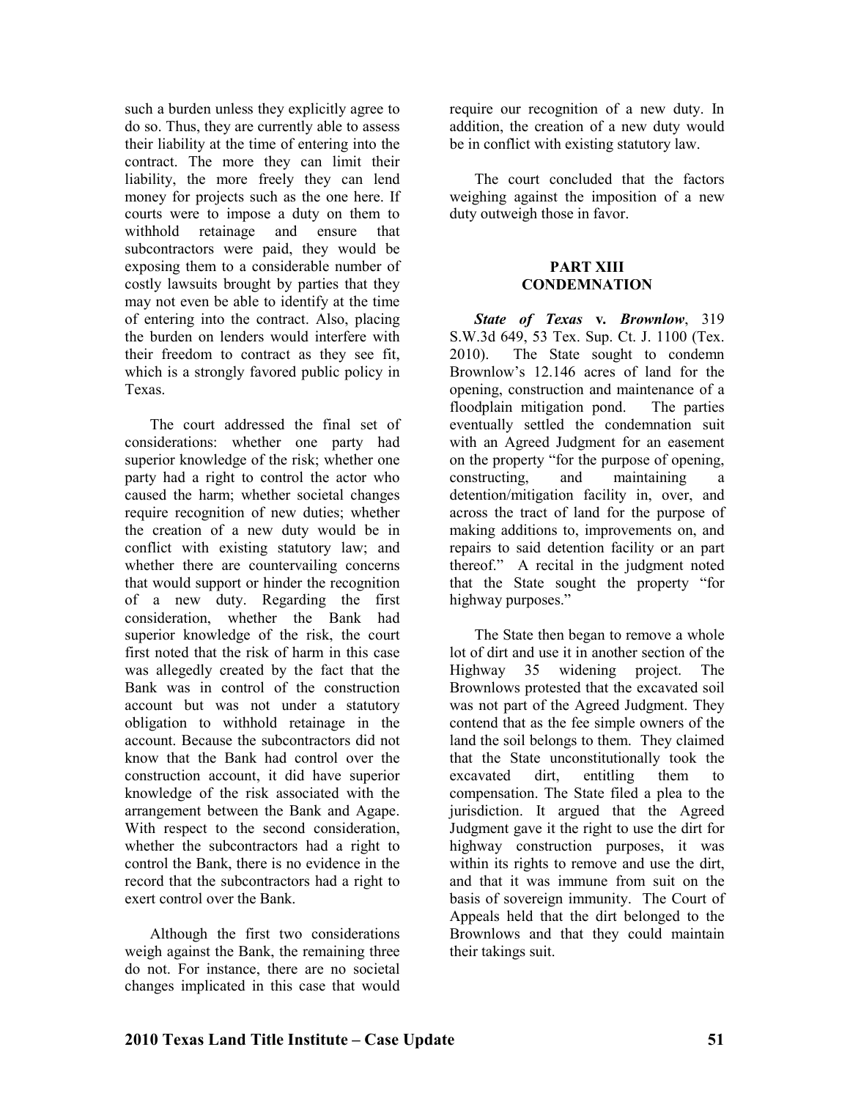such a burden unless they explicitly agree to do so. Thus, they are currently able to assess their liability at the time of entering into the contract. The more they can limit their liability, the more freely they can lend money for projects such as the one here. If courts were to impose a duty on them to withhold retainage and ensure that subcontractors were paid, they would be exposing them to a considerable number of costly lawsuits brought by parties that they may not even be able to identify at the time of entering into the contract. Also, placing the burden on lenders would interfere with their freedom to contract as they see fit, which is a strongly favored public policy in Texas.

The court addressed the final set of considerations: whether one party had superior knowledge of the risk; whether one party had a right to control the actor who caused the harm; whether societal changes require recognition of new duties; whether the creation of a new duty would be in conflict with existing statutory law; and whether there are countervailing concerns that would support or hinder the recognition of a new duty. Regarding the first consideration, whether the Bank had superior knowledge of the risk, the court first noted that the risk of harm in this case was allegedly created by the fact that the Bank was in control of the construction account but was not under a statutory obligation to withhold retainage in the account. Because the subcontractors did not know that the Bank had control over the construction account, it did have superior knowledge of the risk associated with the arrangement between the Bank and Agape. With respect to the second consideration. whether the subcontractors had a right to control the Bank, there is no evidence in the record that the subcontractors had a right to exert control over the Bank.

Although the first two considerations weigh against the Bank, the remaining three do not. For instance, there are no societal changes implicated in this case that would

require our recognition of a new duty. In addition, the creation of a new duty would be in conflict with existing statutory law.

The court concluded that the factors weighing against the imposition of a new duty outweigh those in favor.

#### **PART XIII CONDEMNATION**

*State of Texas* **v***. Brownlow*, 319 S.W.3d 649, 53 Tex. Sup. Ct. J. 1100 (Tex. 2010). The State sought to condemn Brownlow's 12.146 acres of land for the opening, construction and maintenance of a floodplain mitigation pond. The parties eventually settled the condemnation suit with an Agreed Judgment for an easement on the property "for the purpose of opening, constructing, and maintaining a detention/mitigation facility in, over, and across the tract of land for the purpose of making additions to, improvements on, and repairs to said detention facility or an part thereof." A recital in the judgment noted that the State sought the property "for highway purposes."

The State then began to remove a whole lot of dirt and use it in another section of the Highway 35 widening project. The Brownlows protested that the excavated soil was not part of the Agreed Judgment. They contend that as the fee simple owners of the land the soil belongs to them. They claimed that the State unconstitutionally took the excavated dirt, entitling them to compensation. The State filed a plea to the jurisdiction. It argued that the Agreed Judgment gave it the right to use the dirt for highway construction purposes, it was within its rights to remove and use the dirt, and that it was immune from suit on the basis of sovereign immunity. The Court of Appeals held that the dirt belonged to the Brownlows and that they could maintain their takings suit.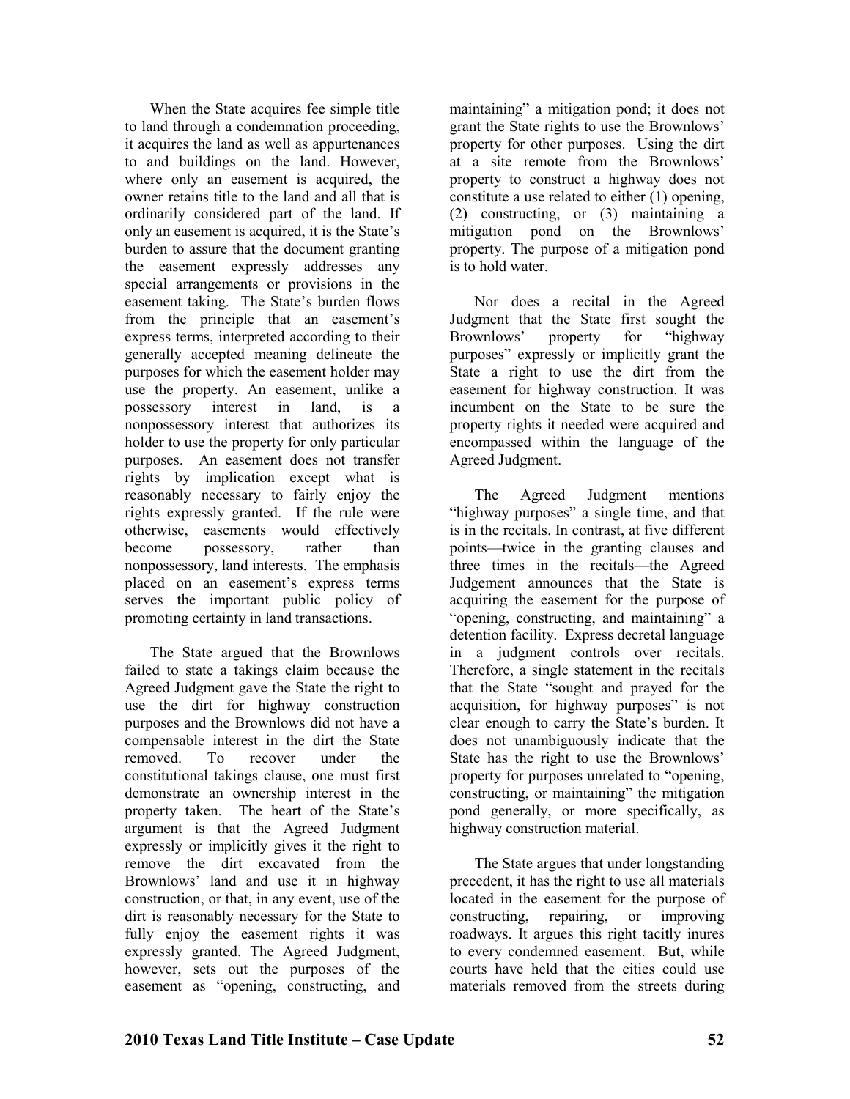When the State acquires fee simple title to land through a condemnation proceeding, it acquires the land as well as appurtenances to and buildings on the land. However, where only an easement is acquired, the owner retains title to the land and all that is ordinarily considered part of the land. If only an easement is acquired, it is the State's burden to assure that the document granting the easement expressly addresses any special arrangements or provisions in the easement taking. The State's burden flows from the principle that an easement's express terms, interpreted according to their generally accepted meaning delineate the purposes for which the easement holder may use the property. An easement, unlike a possessory interest in land, is a nonpossessory interest that authorizes its holder to use the property for only particular purposes. An easement does not transfer rights by implication except what is reasonably necessary to fairly enjoy the rights expressly granted. If the rule were otherwise, easements would effectively become possessory, rather than nonpossessory, land interests. The emphasis placed on an easement's express terms serves the important public policy of promoting certainty in land transactions.

The State argued that the Brownlows failed to state a takings claim because the Agreed Judgment gave the State the right to use the dirt for highway construction purposes and the Brownlows did not have a compensable interest in the dirt the State removed. To recover under the constitutional takings clause, one must first demonstrate an ownership interest in the property taken. The heart of the State's argument is that the Agreed Judgment expressly or implicitly gives it the right to remove the dirt excavated from the Brownlows' land and use it in highway construction, or that, in any event, use of the dirt is reasonably necessary for the State to fully enjoy the easement rights it was expressly granted. The Agreed Judgment, however, sets out the purposes of the easement as "opening, constructing, and

maintaining" a mitigation pond; it does not grant the State rights to use the Brownlows' property for other purposes. Using the dirt at a site remote from the Brownlows' property to construct a highway does not constitute a use related to either (1) opening, (2) constructing, or (3) maintaining a mitigation pond on the Brownlows' property. The purpose of a mitigation pond is to hold water.

Nor does a recital in the Agreed Judgment that the State first sought the<br>Brownlows' property for "highway" Brownlows' property for purposes" expressly or implicitly grant the State a right to use the dirt from the easement for highway construction. It was incumbent on the State to be sure the property rights it needed were acquired and encompassed within the language of the Agreed Judgment.

The Agreed Judgment mentions "highway purposes" a single time, and that is in the recitals. In contrast, at five different points—twice in the granting clauses and three times in the recitals—the Agreed Judgement announces that the State is acquiring the easement for the purpose of "opening, constructing, and maintaining" a detention facility. Express decretal language in a judgment controls over recitals. Therefore, a single statement in the recitals that the State "sought and prayed for the acquisition, for highway purposes" is not clear enough to carry the State's burden. It does not unambiguously indicate that the State has the right to use the Brownlows' property for purposes unrelated to "opening, constructing, or maintaining" the mitigation pond generally, or more specifically, as highway construction material.

The State argues that under longstanding precedent, it has the right to use all materials located in the easement for the purpose of constructing, repairing, or improving roadways. It argues this right tacitly inures to every condemned easement. But, while courts have held that the cities could use materials removed from the streets during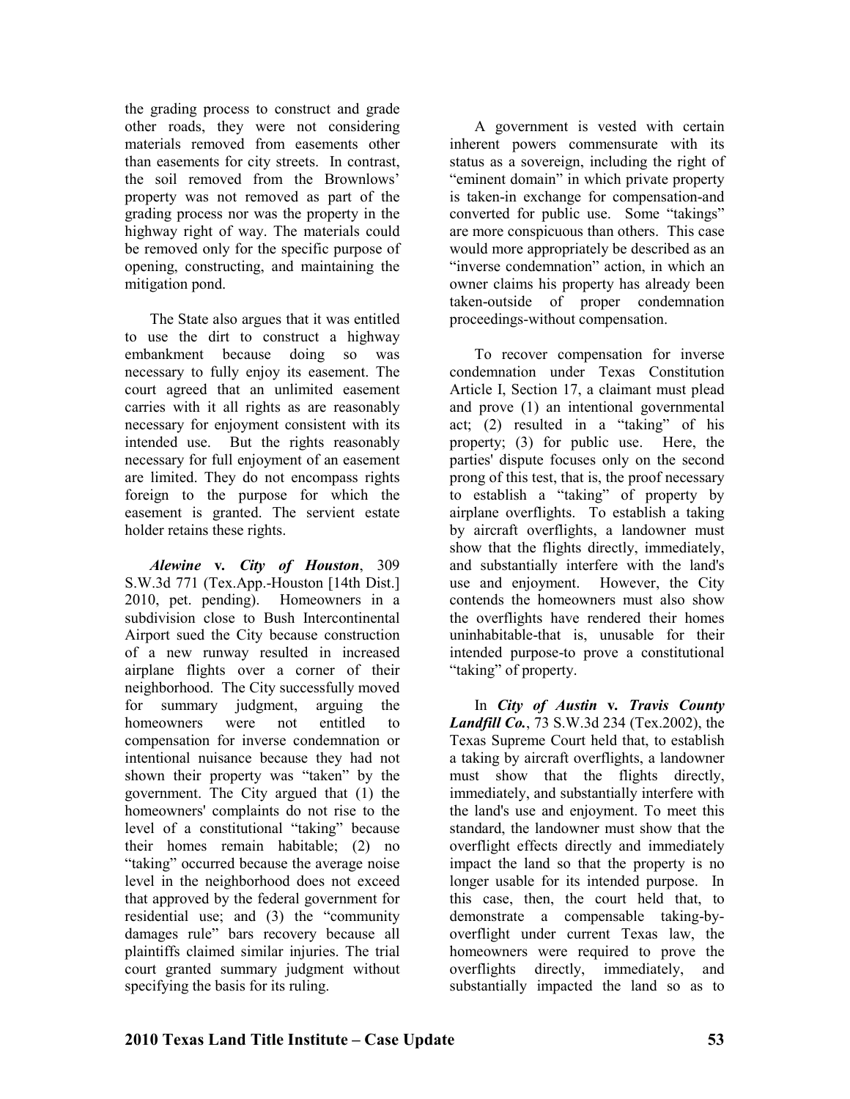the grading process to construct and grade other roads, they were not considering materials removed from easements other than easements for city streets. In contrast, the soil removed from the Brownlows' property was not removed as part of the grading process nor was the property in the highway right of way. The materials could be removed only for the specific purpose of opening, constructing, and maintaining the mitigation pond.

The State also argues that it was entitled to use the dirt to construct a highway embankment because doing so was necessary to fully enjoy its easement. The court agreed that an unlimited easement carries with it all rights as are reasonably necessary for enjoyment consistent with its intended use. But the rights reasonably necessary for full enjoyment of an easement are limited. They do not encompass rights foreign to the purpose for which the easement is granted. The servient estate holder retains these rights.

*Alewine* **v***. City of Houston*, 309 S.W.3d 771 (Tex.App.-Houston [14th Dist.] 2010, pet. pending). Homeowners in a subdivision close to Bush Intercontinental Airport sued the City because construction of a new runway resulted in increased airplane flights over a corner of their neighborhood. The City successfully moved for summary judgment, arguing the homeowners were not entitled to compensation for inverse condemnation or intentional nuisance because they had not shown their property was "taken" by the government. The City argued that (1) the homeowners' complaints do not rise to the level of a constitutional "taking" because their homes remain habitable; (2) no "taking" occurred because the average noise level in the neighborhood does not exceed that approved by the federal government for residential use; and (3) the "community damages rule" bars recovery because all plaintiffs claimed similar injuries. The trial court granted summary judgment without specifying the basis for its ruling.

A government is vested with certain inherent powers commensurate with its status as a sovereign, including the right of "eminent domain" in which private property is taken-in exchange for compensation-and converted for public use. Some "takings" are more conspicuous than others. This case would more appropriately be described as an "inverse condemnation" action, in which an owner claims his property has already been taken-outside of proper condemnation proceedings-without compensation.

To recover compensation for inverse condemnation under Texas Constitution Article I, Section 17, a claimant must plead and prove (1) an intentional governmental act; (2) resulted in a "taking" of his property; (3) for public use. Here, the parties' dispute focuses only on the second prong of this test, that is, the proof necessary to establish a "taking" of property by airplane overflights. To establish a taking by aircraft overflights, a landowner must show that the flights directly, immediately, and substantially interfere with the land's use and enjoyment. However, the City contends the homeowners must also show the overflights have rendered their homes uninhabitable-that is, unusable for their intended purpose-to prove a constitutional "taking" of property.

In *City of Austin* **v***. Travis County Landfill Co.*, 73 S.W.3d 234 (Tex.2002), the Texas Supreme Court held that, to establish a taking by aircraft overflights, a landowner must show that the flights directly, immediately, and substantially interfere with the land's use and enjoyment. To meet this standard, the landowner must show that the overflight effects directly and immediately impact the land so that the property is no longer usable for its intended purpose. In this case, then, the court held that, to demonstrate a compensable taking-byoverflight under current Texas law, the homeowners were required to prove the overflights directly, immediately, and substantially impacted the land so as to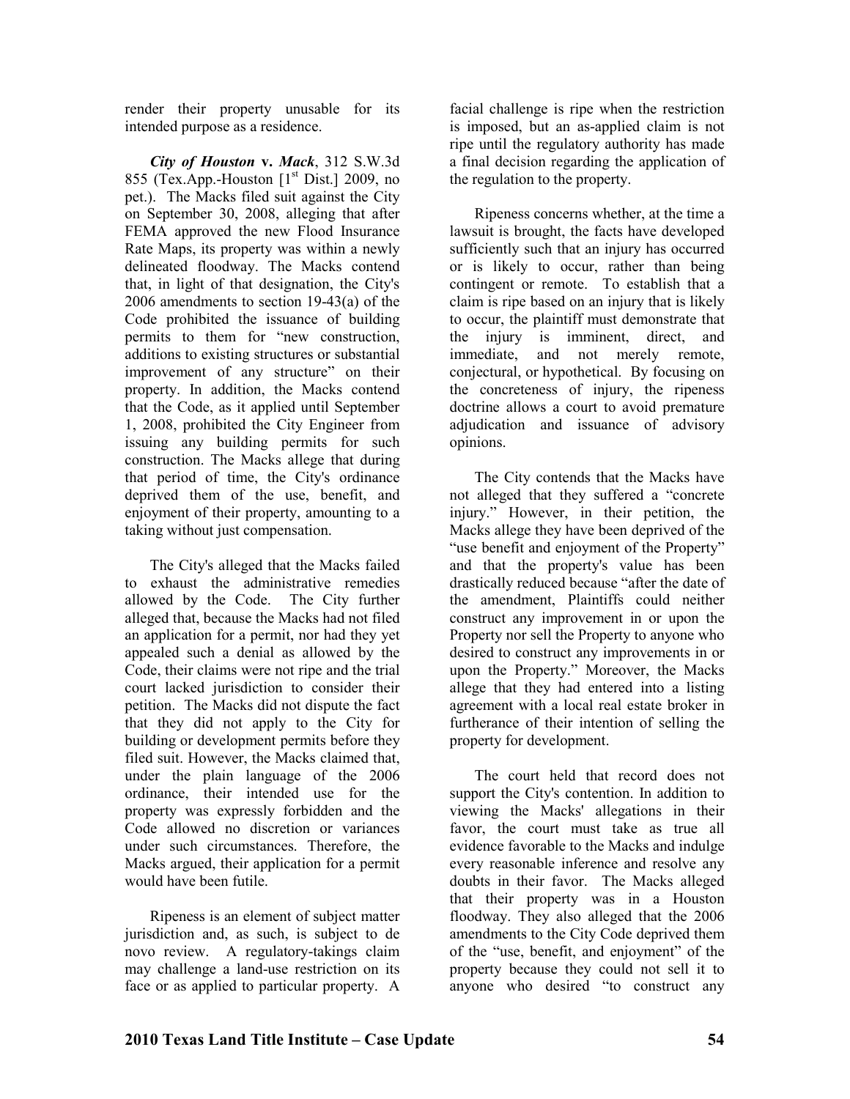render their property unusable for its intended purpose as a residence.

*City of Houston* **v.** *Mack*, 312 S.W.3d 855 (Tex.App.-Houston  $[1<sup>st</sup> Dist.]$  2009, no pet.). The Macks filed suit against the City on September 30, 2008, alleging that after FEMA approved the new Flood Insurance Rate Maps, its property was within a newly delineated floodway. The Macks contend that, in light of that designation, the City's 2006 amendments to section 19-43(a) of the Code prohibited the issuance of building permits to them for "new construction, additions to existing structures or substantial improvement of any structure" on their property. In addition, the Macks contend that the Code, as it applied until September 1, 2008, prohibited the City Engineer from issuing any building permits for such construction. The Macks allege that during that period of time, the City's ordinance deprived them of the use, benefit, and enjoyment of their property, amounting to a taking without just compensation.

The City's alleged that the Macks failed to exhaust the administrative remedies allowed by the Code. The City further alleged that, because the Macks had not filed an application for a permit, nor had they yet appealed such a denial as allowed by the Code, their claims were not ripe and the trial court lacked jurisdiction to consider their petition. The Macks did not dispute the fact that they did not apply to the City for building or development permits before they filed suit. However, the Macks claimed that, under the plain language of the 2006 ordinance, their intended use for the property was expressly forbidden and the Code allowed no discretion or variances under such circumstances. Therefore, the Macks argued, their application for a permit would have been futile.

Ripeness is an element of subject matter jurisdiction and, as such, is subject to de novo review. A regulatory-takings claim may challenge a land-use restriction on its face or as applied to particular property. A

facial challenge is ripe when the restriction is imposed, but an as-applied claim is not ripe until the regulatory authority has made a final decision regarding the application of the regulation to the property.

Ripeness concerns whether, at the time a lawsuit is brought, the facts have developed sufficiently such that an injury has occurred or is likely to occur, rather than being contingent or remote. To establish that a claim is ripe based on an injury that is likely to occur, the plaintiff must demonstrate that the injury is imminent, direct, and immediate, and not merely remote, conjectural, or hypothetical. By focusing on the concreteness of injury, the ripeness doctrine allows a court to avoid premature adjudication and issuance of advisory opinions.

The City contends that the Macks have not alleged that they suffered a "concrete injury." However, in their petition, the Macks allege they have been deprived of the "use benefit and enjoyment of the Property" and that the property's value has been drastically reduced because "after the date of the amendment, Plaintiffs could neither construct any improvement in or upon the Property nor sell the Property to anyone who desired to construct any improvements in or upon the Property." Moreover, the Macks allege that they had entered into a listing agreement with a local real estate broker in furtherance of their intention of selling the property for development.

The court held that record does not support the City's contention. In addition to viewing the Macks' allegations in their favor, the court must take as true all evidence favorable to the Macks and indulge every reasonable inference and resolve any doubts in their favor. The Macks alleged that their property was in a Houston floodway. They also alleged that the 2006 amendments to the City Code deprived them of the "use, benefit, and enjoyment" of the property because they could not sell it to anyone who desired "to construct any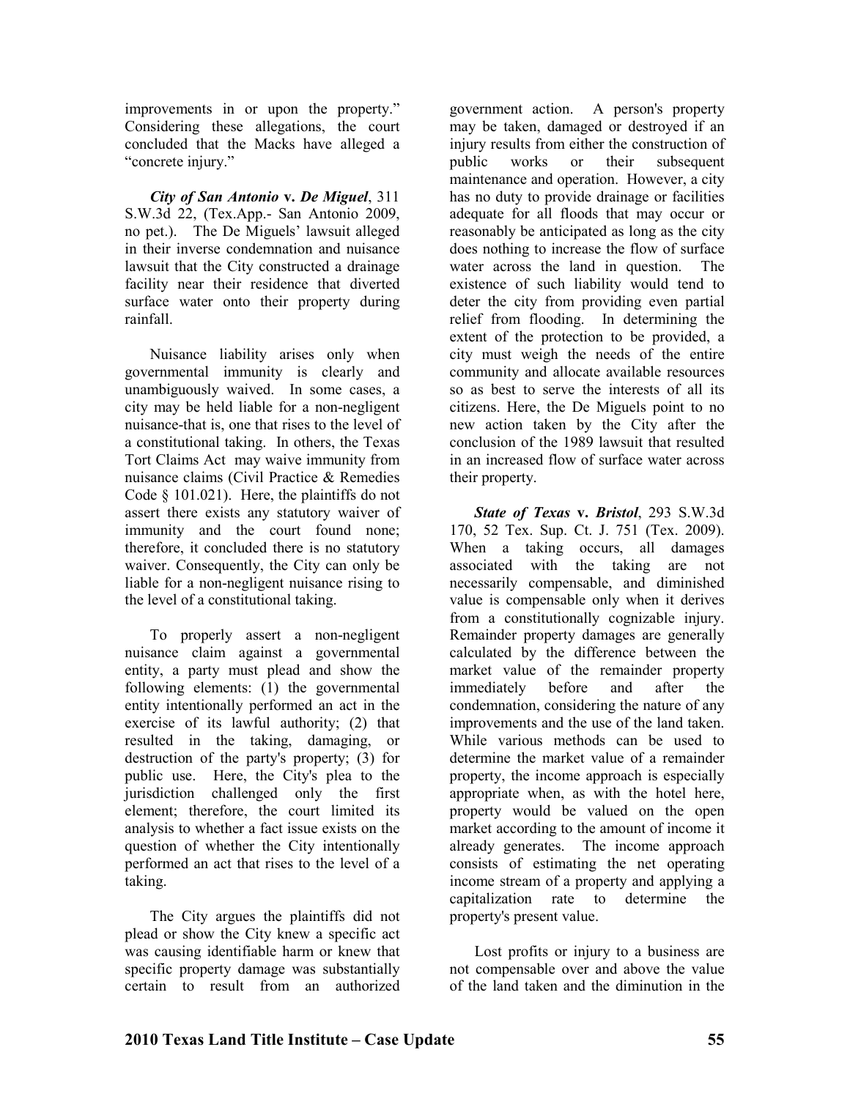improvements in or upon the property." Considering these allegations, the court concluded that the Macks have alleged a "concrete injury."

*City of San Antonio* **v.** *De Miguel*, 311 S.W.3d 22, (Tex.App.- San Antonio 2009, no pet.). The De Miguels' lawsuit alleged in their inverse condemnation and nuisance lawsuit that the City constructed a drainage facility near their residence that diverted surface water onto their property during rainfall.

Nuisance liability arises only when governmental immunity is clearly and unambiguously waived. In some cases, a city may be held liable for a non-negligent nuisance-that is, one that rises to the level of a constitutional taking. In others, the Texas Tort Claims Act may waive immunity from nuisance claims (Civil Practice & Remedies Code § 101.021). Here, the plaintiffs do not assert there exists any statutory waiver of immunity and the court found none; therefore, it concluded there is no statutory waiver. Consequently, the City can only be liable for a non-negligent nuisance rising to the level of a constitutional taking.

To properly assert a non-negligent nuisance claim against a governmental entity, a party must plead and show the following elements: (1) the governmental entity intentionally performed an act in the exercise of its lawful authority; (2) that resulted in the taking, damaging, or destruction of the party's property; (3) for public use. Here, the City's plea to the jurisdiction challenged only the first element; therefore, the court limited its analysis to whether a fact issue exists on the question of whether the City intentionally performed an act that rises to the level of a taking.

The City argues the plaintiffs did not plead or show the City knew a specific act was causing identifiable harm or knew that specific property damage was substantially certain to result from an authorized

government action. A person's property may be taken, damaged or destroyed if an injury results from either the construction of public works or their subsequent maintenance and operation. However, a city has no duty to provide drainage or facilities adequate for all floods that may occur or reasonably be anticipated as long as the city does nothing to increase the flow of surface water across the land in question. The existence of such liability would tend to deter the city from providing even partial relief from flooding. In determining the extent of the protection to be provided, a city must weigh the needs of the entire community and allocate available resources so as best to serve the interests of all its citizens. Here, the De Miguels point to no new action taken by the City after the conclusion of the 1989 lawsuit that resulted in an increased flow of surface water across their property.

*State of Texas* **v.** *Bristol*, 293 S.W.3d 170, 52 Tex. Sup. Ct. J. 751 (Tex. 2009). When a taking occurs, all damages associated with the taking are not necessarily compensable, and diminished value is compensable only when it derives from a constitutionally cognizable injury. Remainder property damages are generally calculated by the difference between the market value of the remainder property immediately before and after the condemnation, considering the nature of any improvements and the use of the land taken. While various methods can be used to determine the market value of a remainder property, the income approach is especially appropriate when, as with the hotel here, property would be valued on the open market according to the amount of income it already generates. The income approach consists of estimating the net operating income stream of a property and applying a capitalization rate to determine the property's present value.

Lost profits or injury to a business are not compensable over and above the value of the land taken and the diminution in the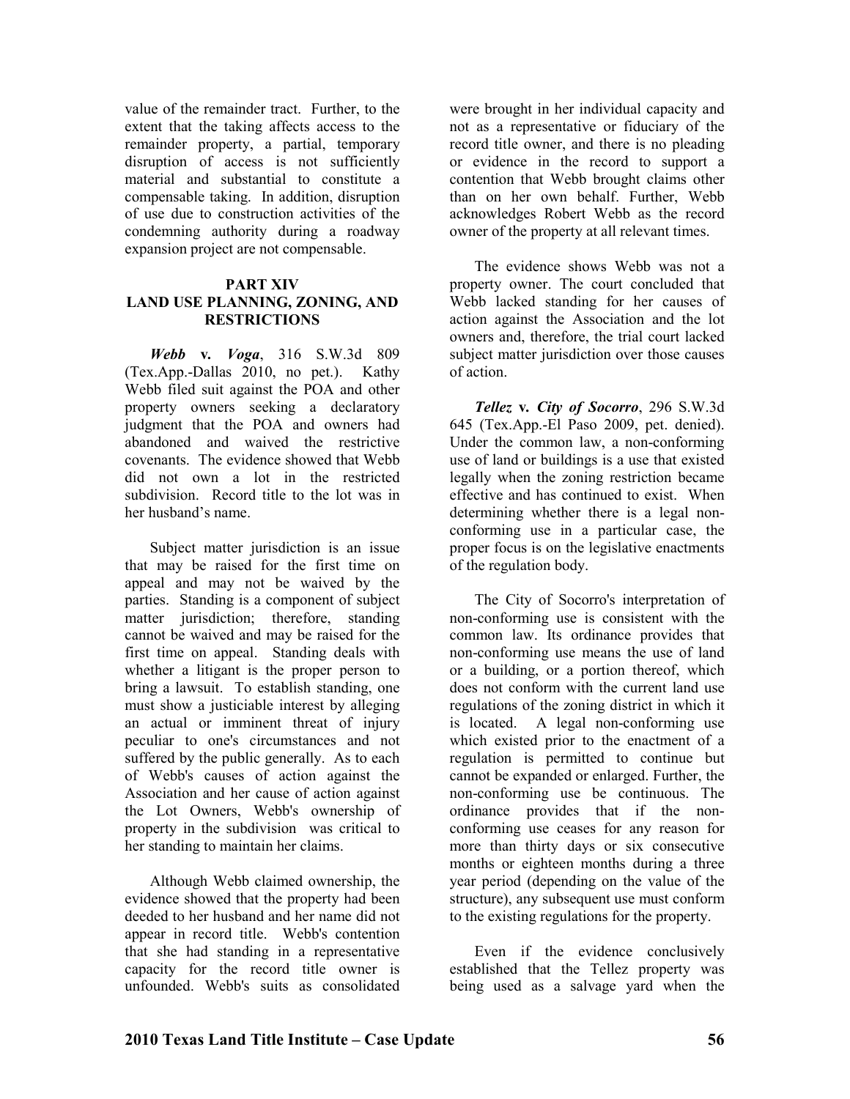value of the remainder tract. Further, to the extent that the taking affects access to the remainder property, a partial, temporary disruption of access is not sufficiently material and substantial to constitute a compensable taking. In addition, disruption of use due to construction activities of the condemning authority during a roadway expansion project are not compensable.

#### **PART XIV LAND USE PLANNING, ZONING, AND RESTRICTIOS**

*Webb* **v***. Voga*, 316 S.W.3d 809 (Tex.App.-Dallas 2010, no pet.). Kathy Webb filed suit against the POA and other property owners seeking a declaratory judgment that the POA and owners had abandoned and waived the restrictive covenants. The evidence showed that Webb did not own a lot in the restricted subdivision. Record title to the lot was in her husband's name.

Subject matter jurisdiction is an issue that may be raised for the first time on appeal and may not be waived by the parties. Standing is a component of subject matter jurisdiction; therefore, standing cannot be waived and may be raised for the first time on appeal. Standing deals with whether a litigant is the proper person to bring a lawsuit. To establish standing, one must show a justiciable interest by alleging an actual or imminent threat of injury peculiar to one's circumstances and not suffered by the public generally. As to each of Webb's causes of action against the Association and her cause of action against the Lot Owners, Webb's ownership of property in the subdivision was critical to her standing to maintain her claims.

Although Webb claimed ownership, the evidence showed that the property had been deeded to her husband and her name did not appear in record title. Webb's contention that she had standing in a representative capacity for the record title owner is unfounded. Webb's suits as consolidated

were brought in her individual capacity and not as a representative or fiduciary of the record title owner, and there is no pleading or evidence in the record to support a contention that Webb brought claims other than on her own behalf. Further, Webb acknowledges Robert Webb as the record owner of the property at all relevant times.

The evidence shows Webb was not a property owner. The court concluded that Webb lacked standing for her causes of action against the Association and the lot owners and, therefore, the trial court lacked subject matter jurisdiction over those causes of action.

*Tellez* **v***. City of Socorro*, 296 S.W.3d 645 (Tex.App.-El Paso 2009, pet. denied). Under the common law, a non-conforming use of land or buildings is a use that existed legally when the zoning restriction became effective and has continued to exist. When determining whether there is a legal nonconforming use in a particular case, the proper focus is on the legislative enactments of the regulation body.

The City of Socorro's interpretation of non-conforming use is consistent with the common law. Its ordinance provides that non-conforming use means the use of land or a building, or a portion thereof, which does not conform with the current land use regulations of the zoning district in which it is located. A legal non-conforming use which existed prior to the enactment of a regulation is permitted to continue but cannot be expanded or enlarged. Further, the non-conforming use be continuous. The ordinance provides that if the nonconforming use ceases for any reason for more than thirty days or six consecutive months or eighteen months during a three year period (depending on the value of the structure), any subsequent use must conform to the existing regulations for the property.

Even if the evidence conclusively established that the Tellez property was being used as a salvage yard when the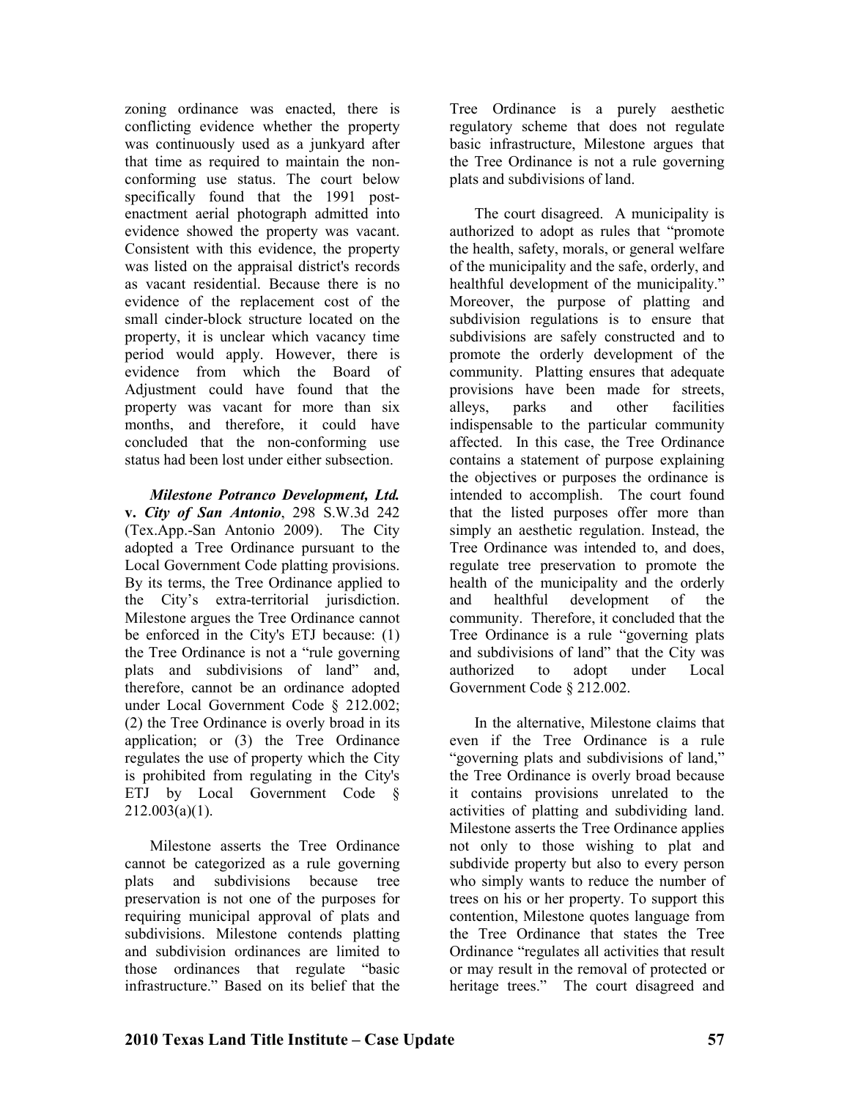zoning ordinance was enacted, there is conflicting evidence whether the property was continuously used as a junkyard after that time as required to maintain the nonconforming use status. The court below specifically found that the 1991 postenactment aerial photograph admitted into evidence showed the property was vacant. Consistent with this evidence, the property was listed on the appraisal district's records as vacant residential. Because there is no evidence of the replacement cost of the small cinder-block structure located on the property, it is unclear which vacancy time period would apply. However, there is evidence from which the Board of Adjustment could have found that the property was vacant for more than six months, and therefore, it could have concluded that the non-conforming use status had been lost under either subsection.

*Milestone Potranco Development, Ltd.*  **v.** *City of San Antonio*, 298 S.W.3d 242 (Tex.App.-San Antonio 2009). The City adopted a Tree Ordinance pursuant to the Local Government Code platting provisions. By its terms, the Tree Ordinance applied to the City's extra-territorial jurisdiction. Milestone argues the Tree Ordinance cannot be enforced in the City's ETJ because: (1) the Tree Ordinance is not a "rule governing plats and subdivisions of land" and, therefore, cannot be an ordinance adopted under Local Government Code § 212.002; (2) the Tree Ordinance is overly broad in its application; or (3) the Tree Ordinance regulates the use of property which the City is prohibited from regulating in the City's ETJ by Local Government Code §  $212.003(a)(1)$ .

Milestone asserts the Tree Ordinance cannot be categorized as a rule governing plats and subdivisions because tree preservation is not one of the purposes for requiring municipal approval of plats and subdivisions. Milestone contends platting and subdivision ordinances are limited to those ordinances that regulate "basic infrastructure." Based on its belief that the

Tree Ordinance is a purely aesthetic regulatory scheme that does not regulate basic infrastructure, Milestone argues that the Tree Ordinance is not a rule governing plats and subdivisions of land.

The court disagreed. A municipality is authorized to adopt as rules that "promote the health, safety, morals, or general welfare of the municipality and the safe, orderly, and healthful development of the municipality." Moreover, the purpose of platting and subdivision regulations is to ensure that subdivisions are safely constructed and to promote the orderly development of the community. Platting ensures that adequate provisions have been made for streets, alleys, parks and other facilities indispensable to the particular community affected. In this case, the Tree Ordinance contains a statement of purpose explaining the objectives or purposes the ordinance is intended to accomplish. The court found that the listed purposes offer more than simply an aesthetic regulation. Instead, the Tree Ordinance was intended to, and does, regulate tree preservation to promote the health of the municipality and the orderly and healthful development of the community. Therefore, it concluded that the Tree Ordinance is a rule "governing plats and subdivisions of land" that the City was authorized to adopt under Local Government Code § 212.002.

In the alternative, Milestone claims that even if the Tree Ordinance is a rule "governing plats and subdivisions of land," the Tree Ordinance is overly broad because it contains provisions unrelated to the activities of platting and subdividing land. Milestone asserts the Tree Ordinance applies not only to those wishing to plat and subdivide property but also to every person who simply wants to reduce the number of trees on his or her property. To support this contention, Milestone quotes language from the Tree Ordinance that states the Tree Ordinance "regulates all activities that result or may result in the removal of protected or heritage trees." The court disagreed and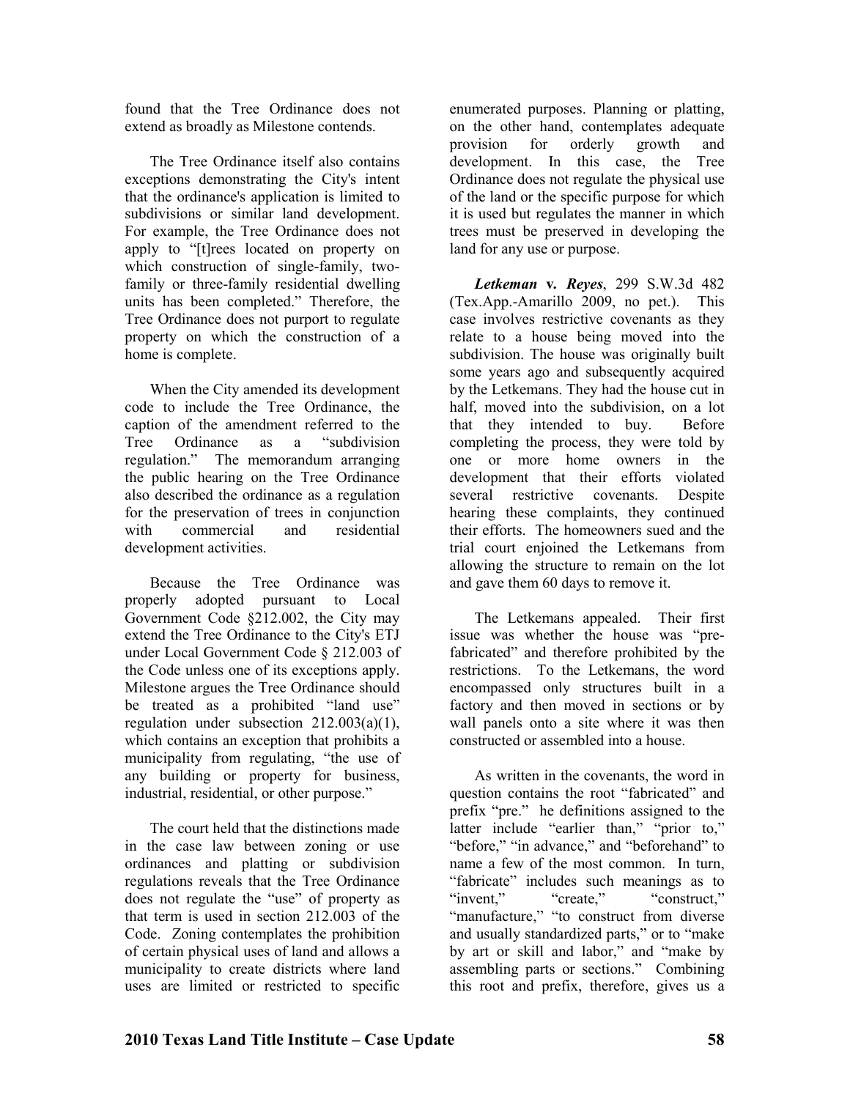found that the Tree Ordinance does not extend as broadly as Milestone contends.

The Tree Ordinance itself also contains exceptions demonstrating the City's intent that the ordinance's application is limited to subdivisions or similar land development. For example, the Tree Ordinance does not apply to "[t]rees located on property on which construction of single-family, twofamily or three-family residential dwelling units has been completed." Therefore, the Tree Ordinance does not purport to regulate property on which the construction of a home is complete.

When the City amended its development code to include the Tree Ordinance, the caption of the amendment referred to the<br>Tree Ordinance as a "subdivision Tree Ordinance as a "subdivision regulation." The memorandum arranging the public hearing on the Tree Ordinance also described the ordinance as a regulation for the preservation of trees in conjunction with commercial and residential development activities.

Because the Tree Ordinance was properly adopted pursuant to Local Government Code §212.002, the City may extend the Tree Ordinance to the City's ETJ under Local Government Code § 212.003 of the Code unless one of its exceptions apply. Milestone argues the Tree Ordinance should be treated as a prohibited "land use" regulation under subsection  $212.003(a)(1)$ , which contains an exception that prohibits a municipality from regulating, "the use of any building or property for business, industrial, residential, or other purpose."

The court held that the distinctions made in the case law between zoning or use ordinances and platting or subdivision regulations reveals that the Tree Ordinance does not regulate the "use" of property as that term is used in section 212.003 of the Code. Zoning contemplates the prohibition of certain physical uses of land and allows a municipality to create districts where land uses are limited or restricted to specific

enumerated purposes. Planning or platting, on the other hand, contemplates adequate provision for orderly growth and development. In this case, the Tree Ordinance does not regulate the physical use of the land or the specific purpose for which it is used but regulates the manner in which trees must be preserved in developing the land for any use or purpose.

*Letkeman* **v***. Reyes*, 299 S.W.3d 482 (Tex.App.-Amarillo 2009, no pet.). This case involves restrictive covenants as they relate to a house being moved into the subdivision. The house was originally built some years ago and subsequently acquired by the Letkemans. They had the house cut in half, moved into the subdivision, on a lot that they intended to buy. Before completing the process, they were told by one or more home owners in the development that their efforts violated several restrictive covenants. Despite hearing these complaints, they continued their efforts. The homeowners sued and the trial court enjoined the Letkemans from allowing the structure to remain on the lot and gave them 60 days to remove it.

The Letkemans appealed. Their first issue was whether the house was "prefabricated" and therefore prohibited by the restrictions. To the Letkemans, the word encompassed only structures built in a factory and then moved in sections or by wall panels onto a site where it was then constructed or assembled into a house.

As written in the covenants, the word in question contains the root "fabricated" and prefix "pre." he definitions assigned to the latter include "earlier than," "prior to," "before," "in advance," and "beforehand" to name a few of the most common. In turn, "fabricate" includes such meanings as to "invent." "create." "construct." "manufacture," "to construct from diverse and usually standardized parts," or to "make by art or skill and labor," and "make by assembling parts or sections." Combining this root and prefix, therefore, gives us a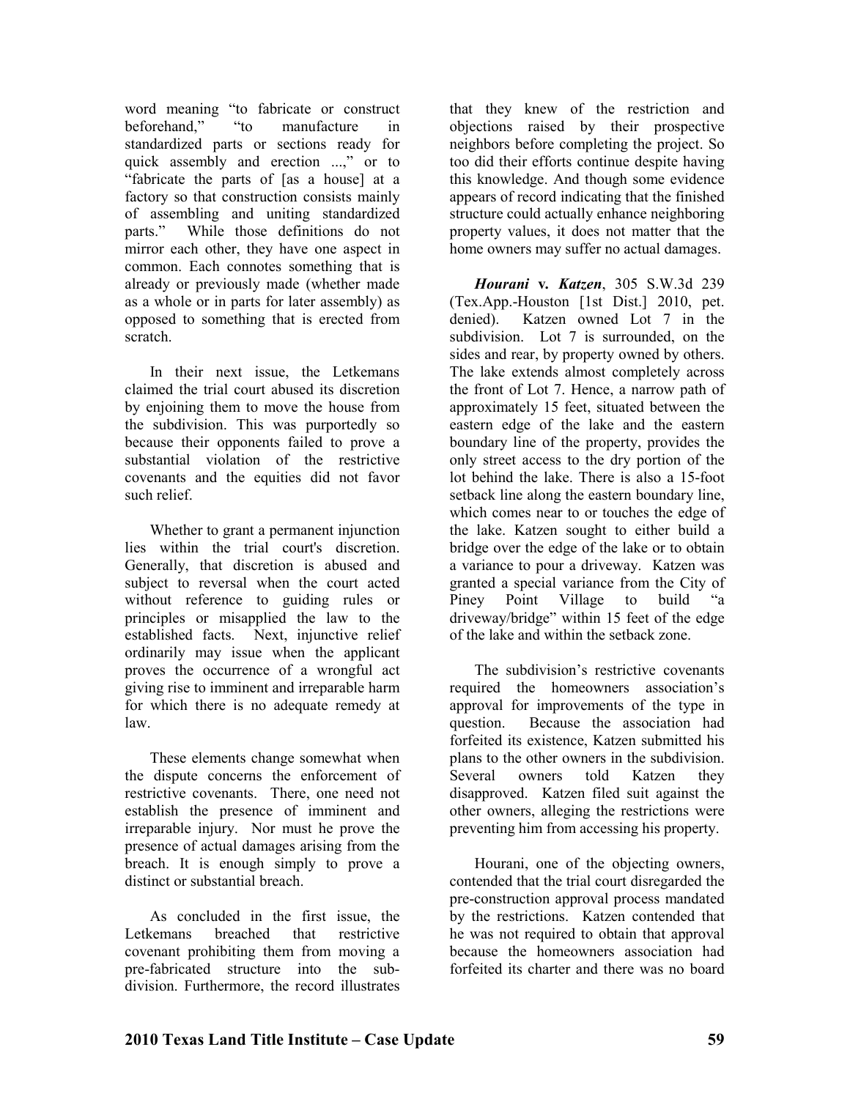word meaning "to fabricate or construct beforehand," "to manufacture in standardized parts or sections ready for quick assembly and erection ...," or to "fabricate the parts of [as a house] at a factory so that construction consists mainly of assembling and uniting standardized parts." While those definitions do not mirror each other, they have one aspect in common. Each connotes something that is already or previously made (whether made as a whole or in parts for later assembly) as opposed to something that is erected from scratch.

In their next issue, the Letkemans claimed the trial court abused its discretion by enjoining them to move the house from the subdivision. This was purportedly so because their opponents failed to prove a substantial violation of the restrictive covenants and the equities did not favor such relief.

Whether to grant a permanent injunction lies within the trial court's discretion. Generally, that discretion is abused and subject to reversal when the court acted without reference to guiding rules or principles or misapplied the law to the established facts. Next, injunctive relief ordinarily may issue when the applicant proves the occurrence of a wrongful act giving rise to imminent and irreparable harm for which there is no adequate remedy at law.

These elements change somewhat when the dispute concerns the enforcement of restrictive covenants. There, one need not establish the presence of imminent and irreparable injury. Nor must he prove the presence of actual damages arising from the breach. It is enough simply to prove a distinct or substantial breach.

As concluded in the first issue, the Letkemans breached that restrictive covenant prohibiting them from moving a pre-fabricated structure into the subdivision. Furthermore, the record illustrates

that they knew of the restriction and objections raised by their prospective neighbors before completing the project. So too did their efforts continue despite having this knowledge. And though some evidence appears of record indicating that the finished structure could actually enhance neighboring property values, it does not matter that the home owners may suffer no actual damages.

*Hourani* **v***. Katzen*, 305 S.W.3d 239 (Tex.App.-Houston [1st Dist.] 2010, pet. denied). Katzen owned Lot 7 in the subdivision. Lot 7 is surrounded, on the sides and rear, by property owned by others. The lake extends almost completely across the front of Lot 7. Hence, a narrow path of approximately 15 feet, situated between the eastern edge of the lake and the eastern boundary line of the property, provides the only street access to the dry portion of the lot behind the lake. There is also a 15-foot setback line along the eastern boundary line, which comes near to or touches the edge of the lake. Katzen sought to either build a bridge over the edge of the lake or to obtain a variance to pour a driveway. Katzen was granted a special variance from the City of Piney Point Village to build "a driveway/bridge" within 15 feet of the edge of the lake and within the setback zone.

The subdivision's restrictive covenants required the homeowners association's approval for improvements of the type in question. Because the association had forfeited its existence, Katzen submitted his plans to the other owners in the subdivision. Several owners told Katzen they disapproved. Katzen filed suit against the other owners, alleging the restrictions were preventing him from accessing his property.

Hourani, one of the objecting owners, contended that the trial court disregarded the pre-construction approval process mandated by the restrictions. Katzen contended that he was not required to obtain that approval because the homeowners association had forfeited its charter and there was no board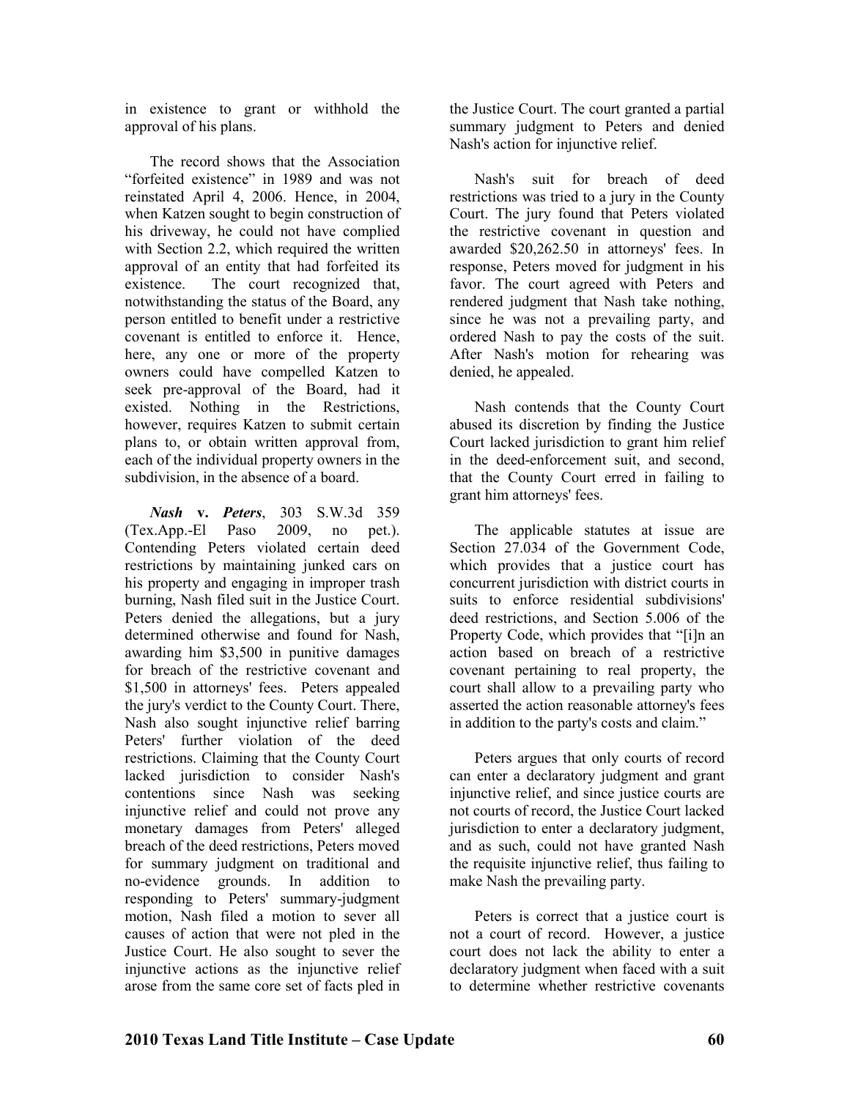in existence to grant or withhold the approval of his plans.

The record shows that the Association "forfeited existence" in 1989 and was not reinstated April 4, 2006. Hence, in 2004, when Katzen sought to begin construction of his driveway, he could not have complied with Section 2.2, which required the written approval of an entity that had forfeited its existence. The court recognized that, notwithstanding the status of the Board, any person entitled to benefit under a restrictive covenant is entitled to enforce it. Hence, here, any one or more of the property owners could have compelled Katzen to seek pre-approval of the Board, had it existed. Nothing in the Restrictions, however, requires Katzen to submit certain plans to, or obtain written approval from, each of the individual property owners in the subdivision, in the absence of a board.

*ash* **v.** *Peters*, 303 S.W.3d 359 (Tex.App.-El Paso 2009, no pet.). Contending Peters violated certain deed restrictions by maintaining junked cars on his property and engaging in improper trash burning, Nash filed suit in the Justice Court. Peters denied the allegations, but a jury determined otherwise and found for Nash, awarding him \$3,500 in punitive damages for breach of the restrictive covenant and \$1,500 in attorneys' fees. Peters appealed the jury's verdict to the County Court. There, Nash also sought injunctive relief barring Peters' further violation of the deed restrictions. Claiming that the County Court lacked jurisdiction to consider Nash's contentions since Nash was seeking injunctive relief and could not prove any monetary damages from Peters' alleged breach of the deed restrictions, Peters moved for summary judgment on traditional and no-evidence grounds. In addition to responding to Peters' summary-judgment motion, Nash filed a motion to sever all causes of action that were not pled in the Justice Court. He also sought to sever the injunctive actions as the injunctive relief arose from the same core set of facts pled in

the Justice Court. The court granted a partial summary judgment to Peters and denied Nash's action for injunctive relief.

Nash's suit for breach of deed restrictions was tried to a jury in the County Court. The jury found that Peters violated the restrictive covenant in question and awarded \$20,262.50 in attorneys' fees. In response, Peters moved for judgment in his favor. The court agreed with Peters and rendered judgment that Nash take nothing, since he was not a prevailing party, and ordered Nash to pay the costs of the suit. After Nash's motion for rehearing was denied, he appealed.

Nash contends that the County Court abused its discretion by finding the Justice Court lacked jurisdiction to grant him relief in the deed-enforcement suit, and second, that the County Court erred in failing to grant him attorneys' fees.

The applicable statutes at issue are Section 27.034 of the Government Code, which provides that a justice court has concurrent jurisdiction with district courts in suits to enforce residential subdivisions' deed restrictions, and Section 5.006 of the Property Code, which provides that "[i]n an action based on breach of a restrictive covenant pertaining to real property, the court shall allow to a prevailing party who asserted the action reasonable attorney's fees in addition to the party's costs and claim."

Peters argues that only courts of record can enter a declaratory judgment and grant injunctive relief, and since justice courts are not courts of record, the Justice Court lacked jurisdiction to enter a declaratory judgment. and as such, could not have granted Nash the requisite injunctive relief, thus failing to make Nash the prevailing party.

Peters is correct that a justice court is not a court of record. However, a justice court does not lack the ability to enter a declaratory judgment when faced with a suit to determine whether restrictive covenants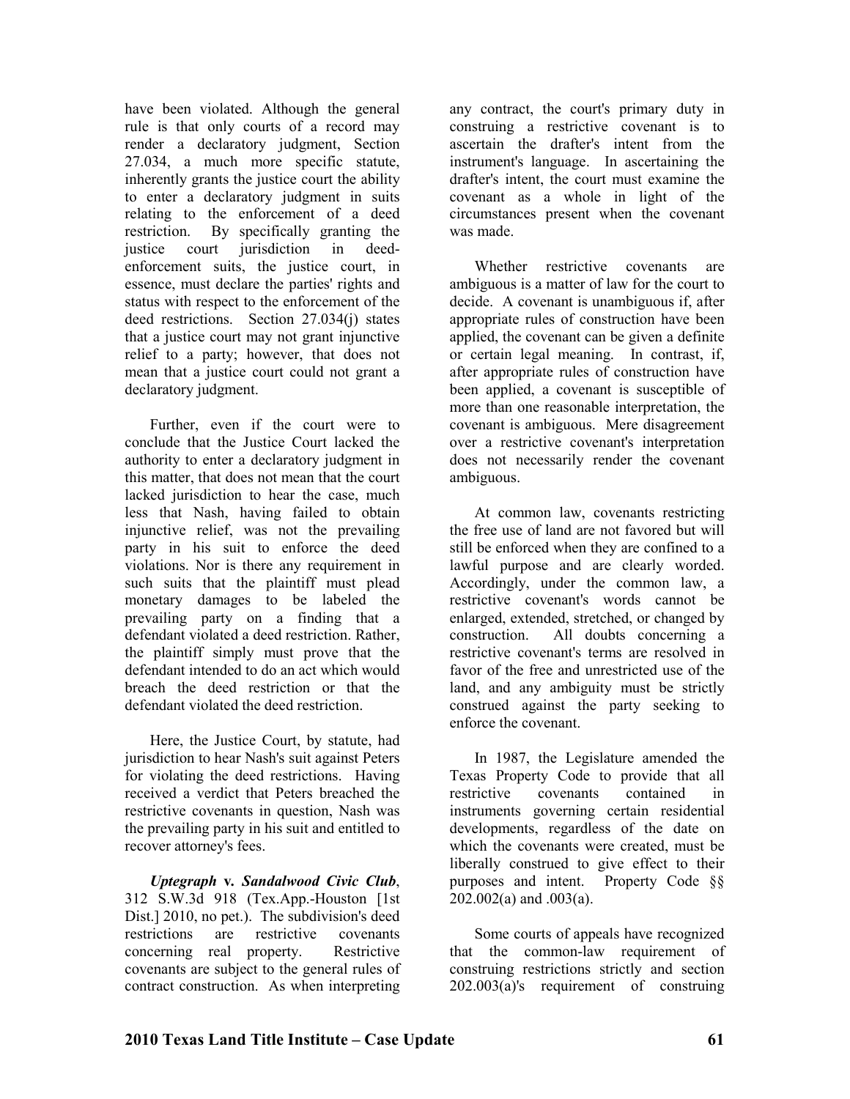have been violated. Although the general rule is that only courts of a record may render a declaratory judgment, Section 27.034, a much more specific statute, inherently grants the justice court the ability to enter a declaratory judgment in suits relating to the enforcement of a deed restriction. By specifically granting the justice court jurisdiction in deedenforcement suits, the justice court, in essence, must declare the parties' rights and status with respect to the enforcement of the deed restrictions. Section 27.034(j) states that a justice court may not grant injunctive relief to a party; however, that does not mean that a justice court could not grant a declaratory judgment.

Further, even if the court were to conclude that the Justice Court lacked the authority to enter a declaratory judgment in this matter, that does not mean that the court lacked jurisdiction to hear the case, much less that Nash, having failed to obtain injunctive relief, was not the prevailing party in his suit to enforce the deed violations. Nor is there any requirement in such suits that the plaintiff must plead monetary damages to be labeled the prevailing party on a finding that a defendant violated a deed restriction. Rather, the plaintiff simply must prove that the defendant intended to do an act which would breach the deed restriction or that the defendant violated the deed restriction.

Here, the Justice Court, by statute, had jurisdiction to hear Nash's suit against Peters for violating the deed restrictions. Having received a verdict that Peters breached the restrictive covenants in question, Nash was the prevailing party in his suit and entitled to recover attorney's fees.

*Uptegraph* **v***. Sandalwood Civic Club*, 312 S.W.3d 918 (Tex.App.-Houston [1st Dist.] 2010, no pet.). The subdivision's deed restrictions are restrictive covenants concerning real property. Restrictive covenants are subject to the general rules of contract construction. As when interpreting

any contract, the court's primary duty in construing a restrictive covenant is to ascertain the drafter's intent from the instrument's language. In ascertaining the drafter's intent, the court must examine the covenant as a whole in light of the circumstances present when the covenant was made.

Whether restrictive covenants are ambiguous is a matter of law for the court to decide. A covenant is unambiguous if, after appropriate rules of construction have been applied, the covenant can be given a definite or certain legal meaning. In contrast, if, after appropriate rules of construction have been applied, a covenant is susceptible of more than one reasonable interpretation, the covenant is ambiguous. Mere disagreement over a restrictive covenant's interpretation does not necessarily render the covenant ambiguous.

At common law, covenants restricting the free use of land are not favored but will still be enforced when they are confined to a lawful purpose and are clearly worded. Accordingly, under the common law, a restrictive covenant's words cannot be enlarged, extended, stretched, or changed by construction. All doubts concerning a restrictive covenant's terms are resolved in favor of the free and unrestricted use of the land, and any ambiguity must be strictly construed against the party seeking to enforce the covenant.

In 1987, the Legislature amended the Texas Property Code to provide that all restrictive covenants contained in instruments governing certain residential developments, regardless of the date on which the covenants were created, must be liberally construed to give effect to their purposes and intent. Property Code §§ 202.002(a) and .003(a).

Some courts of appeals have recognized that the common-law requirement of construing restrictions strictly and section 202.003(a)'s requirement of construing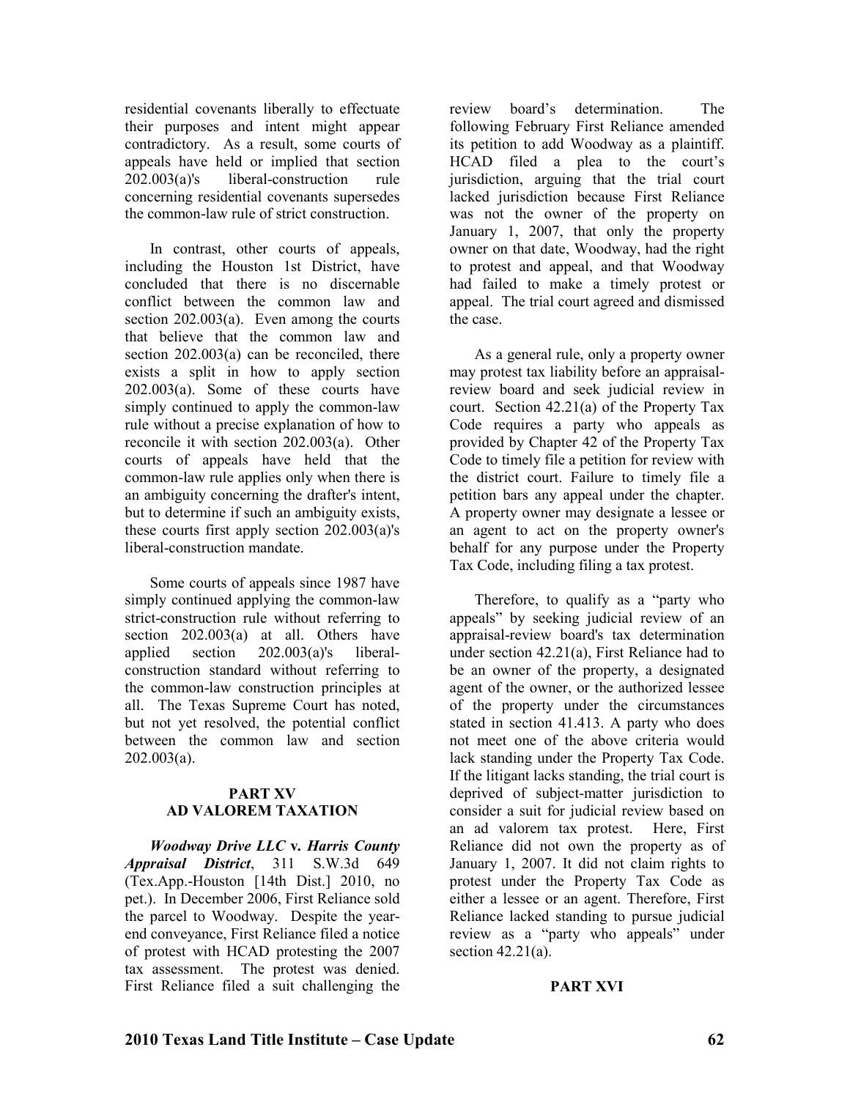residential covenants liberally to effectuate their purposes and intent might appear contradictory. As a result, some courts of appeals have held or implied that section 202.003(a)'s liberal-construction rule concerning residential covenants supersedes the common-law rule of strict construction.

In contrast, other courts of appeals, including the Houston 1st District, have concluded that there is no discernable conflict between the common law and section 202.003(a). Even among the courts that believe that the common law and section 202.003(a) can be reconciled, there exists a split in how to apply section 202.003(a). Some of these courts have simply continued to apply the common-law rule without a precise explanation of how to reconcile it with section 202.003(a). Other courts of appeals have held that the common-law rule applies only when there is an ambiguity concerning the drafter's intent, but to determine if such an ambiguity exists, these courts first apply section 202.003(a)'s liberal-construction mandate.

Some courts of appeals since 1987 have simply continued applying the common-law strict-construction rule without referring to section 202.003(a) at all. Others have applied section 202.003(a)'s liberalconstruction standard without referring to the common-law construction principles at all. The Texas Supreme Court has noted, but not yet resolved, the potential conflict between the common law and section  $202.003(a)$ .

#### **PART XV AD VALOREM TAXATION**

*Woodway Drive LLC* **v***. Harris County Appraisal District*, 311 S.W.3d 649 (Tex.App.-Houston [14th Dist.] 2010, no pet.). In December 2006, First Reliance sold the parcel to Woodway. Despite the yearend conveyance, First Reliance filed a notice of protest with HCAD protesting the 2007 tax assessment. The protest was denied. First Reliance filed a suit challenging the

review board's determination. The following February First Reliance amended its petition to add Woodway as a plaintiff. HCAD filed a plea to the court's jurisdiction, arguing that the trial court lacked jurisdiction because First Reliance was not the owner of the property on January 1, 2007, that only the property owner on that date, Woodway, had the right to protest and appeal, and that Woodway had failed to make a timely protest or appeal. The trial court agreed and dismissed the case.

As a general rule, only a property owner may protest tax liability before an appraisalreview board and seek judicial review in court. Section 42.21(a) of the Property Tax Code requires a party who appeals as provided by Chapter 42 of the Property Tax Code to timely file a petition for review with the district court. Failure to timely file a petition bars any appeal under the chapter. A property owner may designate a lessee or an agent to act on the property owner's behalf for any purpose under the Property Tax Code, including filing a tax protest.

Therefore, to qualify as a "party who appeals" by seeking judicial review of an appraisal-review board's tax determination under section 42.21(a), First Reliance had to be an owner of the property, a designated agent of the owner, or the authorized lessee of the property under the circumstances stated in section 41.413. A party who does not meet one of the above criteria would lack standing under the Property Tax Code. If the litigant lacks standing, the trial court is deprived of subject-matter jurisdiction to consider a suit for judicial review based on an ad valorem tax protest. Here, First Reliance did not own the property as of January 1, 2007. It did not claim rights to protest under the Property Tax Code as either a lessee or an agent. Therefore, First Reliance lacked standing to pursue judicial review as a "party who appeals" under section 42.21(a).

#### **PART XVI**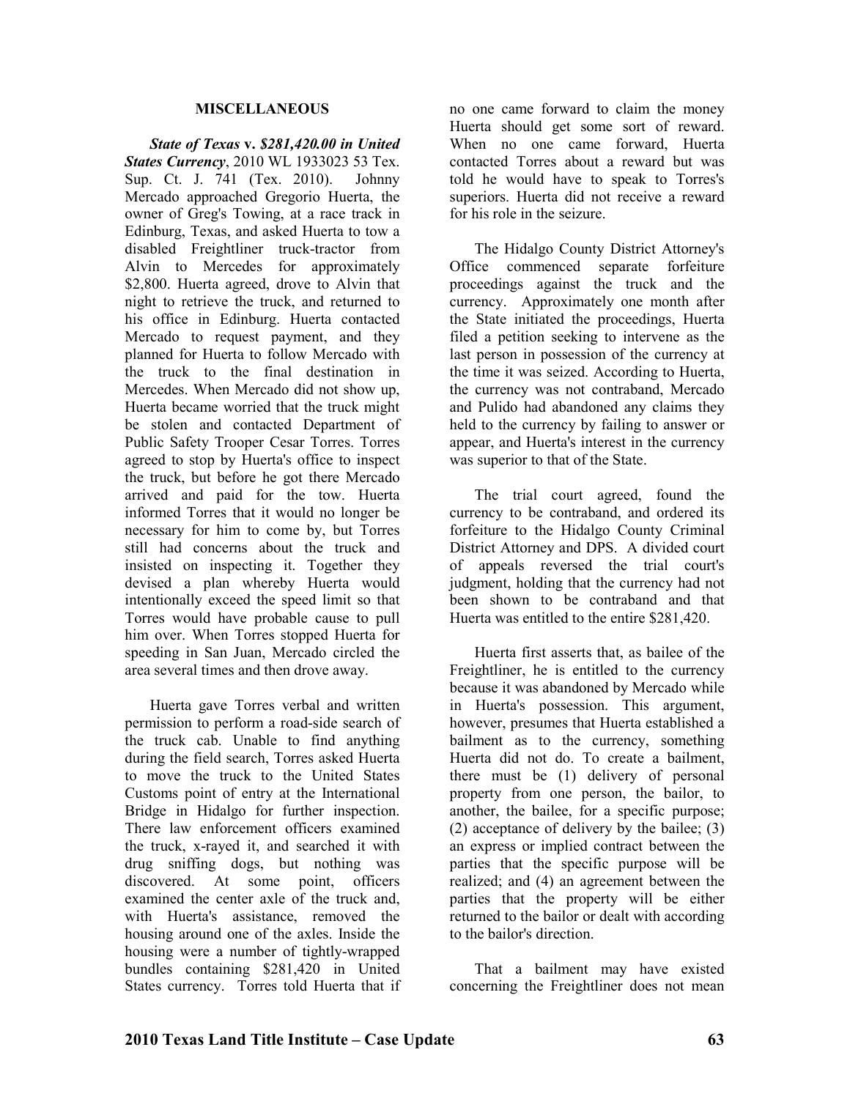#### **MISCELLAEOUS**

*State of Texas* **v.** *\$281,420.00 in United States Currency*, 2010 WL 1933023 53 Tex. Sup. Ct. J. 741 (Tex. 2010). Johnny Mercado approached Gregorio Huerta, the owner of Greg's Towing, at a race track in Edinburg, Texas, and asked Huerta to tow a disabled Freightliner truck-tractor from Alvin to Mercedes for approximately \$2,800. Huerta agreed, drove to Alvin that night to retrieve the truck, and returned to his office in Edinburg. Huerta contacted Mercado to request payment, and they planned for Huerta to follow Mercado with the truck to the final destination in Mercedes. When Mercado did not show up, Huerta became worried that the truck might be stolen and contacted Department of Public Safety Trooper Cesar Torres. Torres agreed to stop by Huerta's office to inspect the truck, but before he got there Mercado arrived and paid for the tow. Huerta informed Torres that it would no longer be necessary for him to come by, but Torres still had concerns about the truck and insisted on inspecting it. Together they devised a plan whereby Huerta would intentionally exceed the speed limit so that Torres would have probable cause to pull him over. When Torres stopped Huerta for speeding in San Juan, Mercado circled the area several times and then drove away.

Huerta gave Torres verbal and written permission to perform a road-side search of the truck cab. Unable to find anything during the field search, Torres asked Huerta to move the truck to the United States Customs point of entry at the International Bridge in Hidalgo for further inspection. There law enforcement officers examined the truck, x-rayed it, and searched it with drug sniffing dogs, but nothing was discovered. At some point, officers examined the center axle of the truck and, with Huerta's assistance, removed the housing around one of the axles. Inside the housing were a number of tightly-wrapped bundles containing \$281,420 in United States currency. Torres told Huerta that if no one came forward to claim the money Huerta should get some sort of reward. When no one came forward, Huerta contacted Torres about a reward but was told he would have to speak to Torres's superiors. Huerta did not receive a reward for his role in the seizure.

The Hidalgo County District Attorney's Office commenced separate forfeiture proceedings against the truck and the currency. Approximately one month after the State initiated the proceedings, Huerta filed a petition seeking to intervene as the last person in possession of the currency at the time it was seized. According to Huerta, the currency was not contraband, Mercado and Pulido had abandoned any claims they held to the currency by failing to answer or appear, and Huerta's interest in the currency was superior to that of the State.

The trial court agreed, found the currency to be contraband, and ordered its forfeiture to the Hidalgo County Criminal District Attorney and DPS. A divided court of appeals reversed the trial court's judgment, holding that the currency had not been shown to be contraband and that Huerta was entitled to the entire \$281,420.

Huerta first asserts that, as bailee of the Freightliner, he is entitled to the currency because it was abandoned by Mercado while in Huerta's possession. This argument, however, presumes that Huerta established a bailment as to the currency, something Huerta did not do. To create a bailment, there must be (1) delivery of personal property from one person, the bailor, to another, the bailee, for a specific purpose; (2) acceptance of delivery by the bailee; (3) an express or implied contract between the parties that the specific purpose will be realized; and (4) an agreement between the parties that the property will be either returned to the bailor or dealt with according to the bailor's direction.

That a bailment may have existed concerning the Freightliner does not mean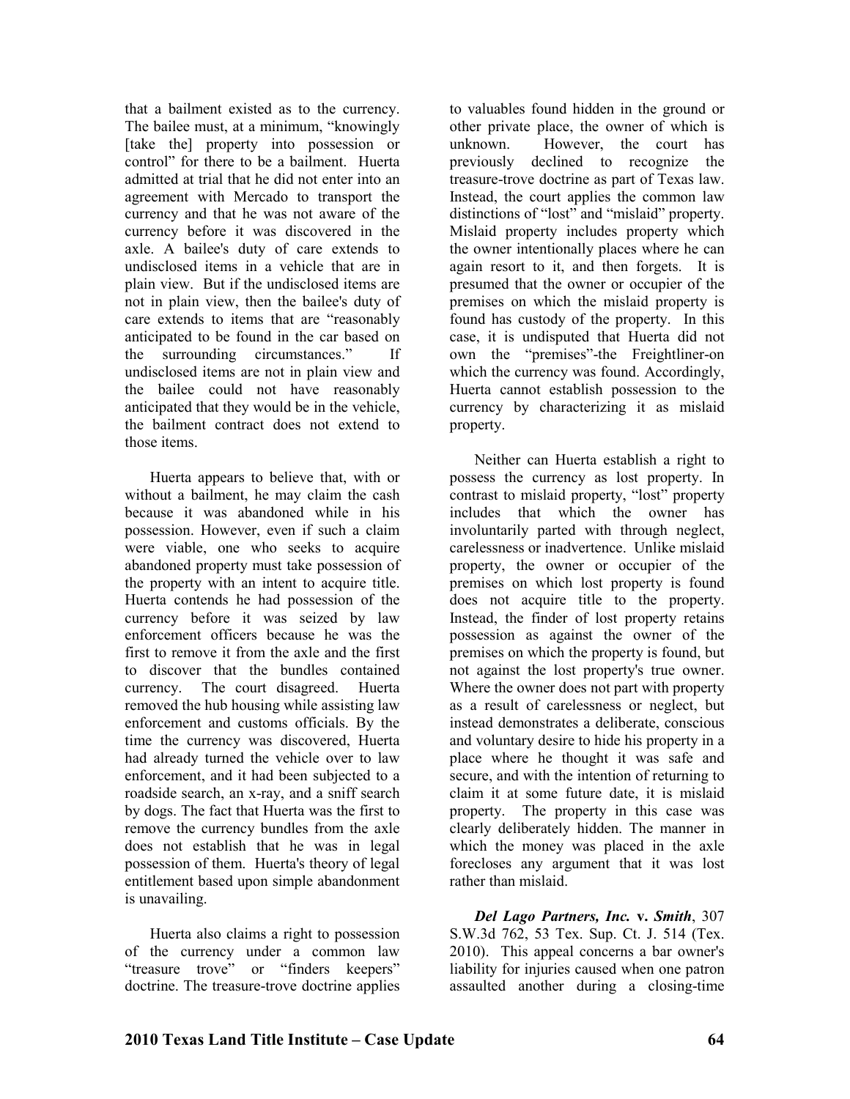that a bailment existed as to the currency. The bailee must, at a minimum, "knowingly [take the] property into possession or control" for there to be a bailment. Huerta admitted at trial that he did not enter into an agreement with Mercado to transport the currency and that he was not aware of the currency before it was discovered in the axle. A bailee's duty of care extends to undisclosed items in a vehicle that are in plain view. But if the undisclosed items are not in plain view, then the bailee's duty of care extends to items that are "reasonably anticipated to be found in the car based on the surrounding circumstances." If undisclosed items are not in plain view and the bailee could not have reasonably anticipated that they would be in the vehicle, the bailment contract does not extend to those items.

Huerta appears to believe that, with or without a bailment, he may claim the cash because it was abandoned while in his possession. However, even if such a claim were viable, one who seeks to acquire abandoned property must take possession of the property with an intent to acquire title. Huerta contends he had possession of the currency before it was seized by law enforcement officers because he was the first to remove it from the axle and the first to discover that the bundles contained currency. The court disagreed. Huerta removed the hub housing while assisting law enforcement and customs officials. By the time the currency was discovered, Huerta had already turned the vehicle over to law enforcement, and it had been subjected to a roadside search, an x-ray, and a sniff search by dogs. The fact that Huerta was the first to remove the currency bundles from the axle does not establish that he was in legal possession of them. Huerta's theory of legal entitlement based upon simple abandonment is unavailing.

Huerta also claims a right to possession of the currency under a common law "treasure trove" or "finders keepers" doctrine. The treasure-trove doctrine applies

to valuables found hidden in the ground or other private place, the owner of which is unknown. However, the court has previously declined to recognize the treasure-trove doctrine as part of Texas law. Instead, the court applies the common law distinctions of "lost" and "mislaid" property. Mislaid property includes property which the owner intentionally places where he can again resort to it, and then forgets. It is presumed that the owner or occupier of the premises on which the mislaid property is found has custody of the property. In this case, it is undisputed that Huerta did not own the "premises"-the Freightliner-on which the currency was found. Accordingly, Huerta cannot establish possession to the currency by characterizing it as mislaid property.

Neither can Huerta establish a right to possess the currency as lost property. In contrast to mislaid property, "lost" property includes that which the owner has involuntarily parted with through neglect, carelessness or inadvertence. Unlike mislaid property, the owner or occupier of the premises on which lost property is found does not acquire title to the property. Instead, the finder of lost property retains possession as against the owner of the premises on which the property is found, but not against the lost property's true owner. Where the owner does not part with property as a result of carelessness or neglect, but instead demonstrates a deliberate, conscious and voluntary desire to hide his property in a place where he thought it was safe and secure, and with the intention of returning to claim it at some future date, it is mislaid property. The property in this case was clearly deliberately hidden. The manner in which the money was placed in the axle forecloses any argument that it was lost rather than mislaid.

*Del Lago Partners, Inc.* **v.** *Smith*, 307 S.W.3d 762, 53 Tex. Sup. Ct. J. 514 (Tex. 2010). This appeal concerns a bar owner's liability for injuries caused when one patron assaulted another during a closing-time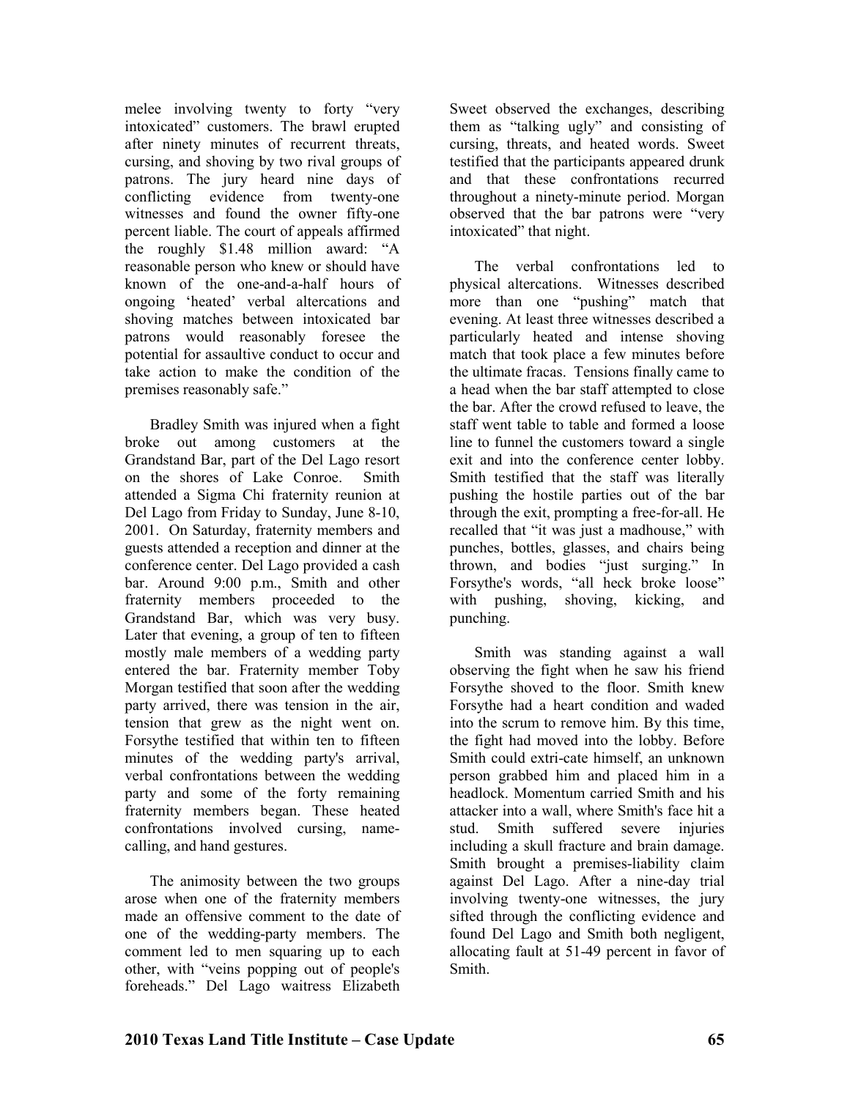melee involving twenty to forty "very intoxicated" customers. The brawl erupted after ninety minutes of recurrent threats, cursing, and shoving by two rival groups of patrons. The jury heard nine days of conflicting evidence from twenty-one witnesses and found the owner fifty-one percent liable. The court of appeals affirmed the roughly \$1.48 million award: "A reasonable person who knew or should have known of the one-and-a-half hours of ongoing 'heated' verbal altercations and shoving matches between intoxicated bar patrons would reasonably foresee the potential for assaultive conduct to occur and take action to make the condition of the premises reasonably safe."

Bradley Smith was injured when a fight broke out among customers at the Grandstand Bar, part of the Del Lago resort on the shores of Lake Conroe. Smith attended a Sigma Chi fraternity reunion at Del Lago from Friday to Sunday, June 8-10, 2001. On Saturday, fraternity members and guests attended a reception and dinner at the conference center. Del Lago provided a cash bar. Around 9:00 p.m., Smith and other fraternity members proceeded to the Grandstand Bar, which was very busy. Later that evening, a group of ten to fifteen mostly male members of a wedding party entered the bar. Fraternity member Toby Morgan testified that soon after the wedding party arrived, there was tension in the air, tension that grew as the night went on. Forsythe testified that within ten to fifteen minutes of the wedding party's arrival, verbal confrontations between the wedding party and some of the forty remaining fraternity members began. These heated confrontations involved cursing, namecalling, and hand gestures.

The animosity between the two groups arose when one of the fraternity members made an offensive comment to the date of one of the wedding-party members. The comment led to men squaring up to each other, with "veins popping out of people's foreheads." Del Lago waitress Elizabeth

Sweet observed the exchanges, describing them as "talking ugly" and consisting of cursing, threats, and heated words. Sweet testified that the participants appeared drunk and that these confrontations recurred throughout a ninety-minute period. Morgan observed that the bar patrons were "very intoxicated" that night.

The verbal confrontations led to physical altercations. Witnesses described more than one "pushing" match that evening. At least three witnesses described a particularly heated and intense shoving match that took place a few minutes before the ultimate fracas. Tensions finally came to a head when the bar staff attempted to close the bar. After the crowd refused to leave, the staff went table to table and formed a loose line to funnel the customers toward a single exit and into the conference center lobby. Smith testified that the staff was literally pushing the hostile parties out of the bar through the exit, prompting a free-for-all. He recalled that "it was just a madhouse," with punches, bottles, glasses, and chairs being thrown, and bodies "just surging." In Forsythe's words, "all heck broke loose" with pushing, shoving, kicking, and punching.

Smith was standing against a wall observing the fight when he saw his friend Forsythe shoved to the floor. Smith knew Forsythe had a heart condition and waded into the scrum to remove him. By this time, the fight had moved into the lobby. Before Smith could extri-cate himself, an unknown person grabbed him and placed him in a headlock. Momentum carried Smith and his attacker into a wall, where Smith's face hit a stud. Smith suffered severe injuries including a skull fracture and brain damage. Smith brought a premises-liability claim against Del Lago. After a nine-day trial involving twenty-one witnesses, the jury sifted through the conflicting evidence and found Del Lago and Smith both negligent, allocating fault at 51-49 percent in favor of Smith.